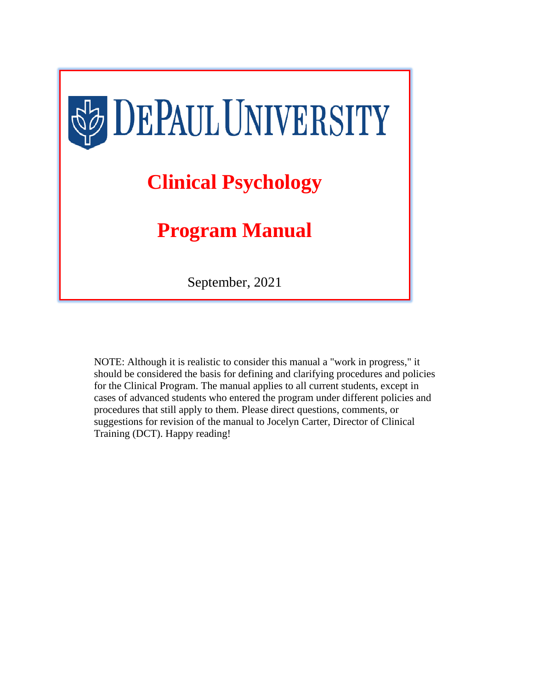

NOTE: Although it is realistic to consider this manual a "work in progress," it should be considered the basis for defining and clarifying procedures and policies for the Clinical Program. The manual applies to all current students, except in cases of advanced students who entered the program under different policies and procedures that still apply to them. Please direct questions, comments, or suggestions for revision of the manual to Jocelyn Carter, Director of Clinical Training (DCT). Happy reading!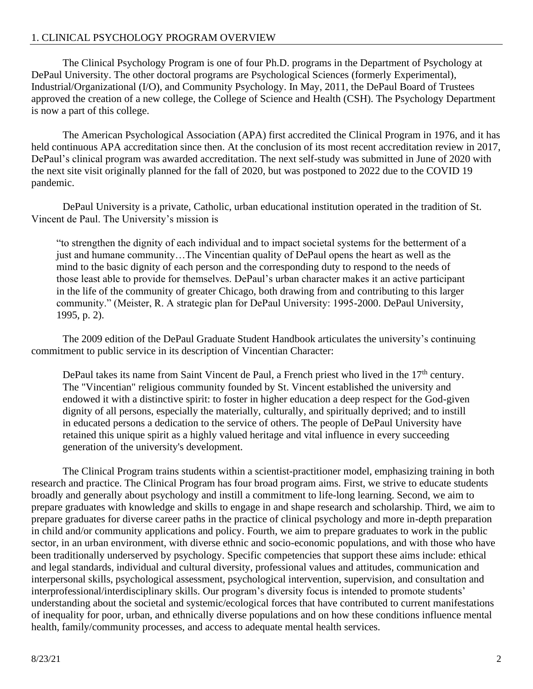## 1. CLINICAL PSYCHOLOGY PROGRAM OVERVIEW

The Clinical Psychology Program is one of four Ph.D. programs in the Department of Psychology at DePaul University. The other doctoral programs are Psychological Sciences (formerly Experimental), Industrial/Organizational (I/O), and Community Psychology. In May, 2011, the DePaul Board of Trustees approved the creation of a new college, the College of Science and Health (CSH). The Psychology Department is now a part of this college.

The American Psychological Association (APA) first accredited the Clinical Program in 1976, and it has held continuous APA accreditation since then. At the conclusion of its most recent accreditation review in 2017, DePaul's clinical program was awarded accreditation. The next self-study was submitted in June of 2020 with the next site visit originally planned for the fall of 2020, but was postponed to 2022 due to the COVID 19 pandemic.

DePaul University is a private, Catholic, urban educational institution operated in the tradition of St. Vincent de Paul. The University's mission is

"to strengthen the dignity of each individual and to impact societal systems for the betterment of a just and humane community…The Vincentian quality of DePaul opens the heart as well as the mind to the basic dignity of each person and the corresponding duty to respond to the needs of those least able to provide for themselves. DePaul's urban character makes it an active participant in the life of the community of greater Chicago, both drawing from and contributing to this larger community." (Meister, R. A strategic plan for DePaul University: 1995-2000. DePaul University, 1995, p. 2).

The 2009 edition of the DePaul Graduate Student Handbook articulates the university's continuing commitment to public service in its description of Vincentian Character:

DePaul takes its name from Saint Vincent de Paul, a French priest who lived in the 17<sup>th</sup> century. The "Vincentian" religious community founded by St. Vincent established the university and endowed it with a distinctive spirit: to foster in higher education a deep respect for the God-given dignity of all persons, especially the materially, culturally, and spiritually deprived; and to instill in educated persons a dedication to the service of others. The people of DePaul University have retained this unique spirit as a highly valued heritage and vital influence in every succeeding generation of the university's development.

The Clinical Program trains students within a scientist-practitioner model, emphasizing training in both research and practice. The Clinical Program has four broad program aims. First, we strive to educate students broadly and generally about psychology and instill a commitment to life-long learning. Second, we aim to prepare graduates with knowledge and skills to engage in and shape research and scholarship. Third, we aim to prepare graduates for diverse career paths in the practice of clinical psychology and more in-depth preparation in child and/or community applications and policy. Fourth, we aim to prepare graduates to work in the public sector, in an urban environment, with diverse ethnic and socio-economic populations, and with those who have been traditionally underserved by psychology. Specific competencies that support these aims include: ethical and legal standards, individual and cultural diversity, professional values and attitudes, communication and interpersonal skills, psychological assessment, psychological intervention, supervision, and consultation and interprofessional/interdisciplinary skills. Our program's diversity focus is intended to promote students' understanding about the societal and systemic/ecological forces that have contributed to current manifestations of inequality for poor, urban, and ethnically diverse populations and on how these conditions influence mental health, family/community processes, and access to adequate mental health services.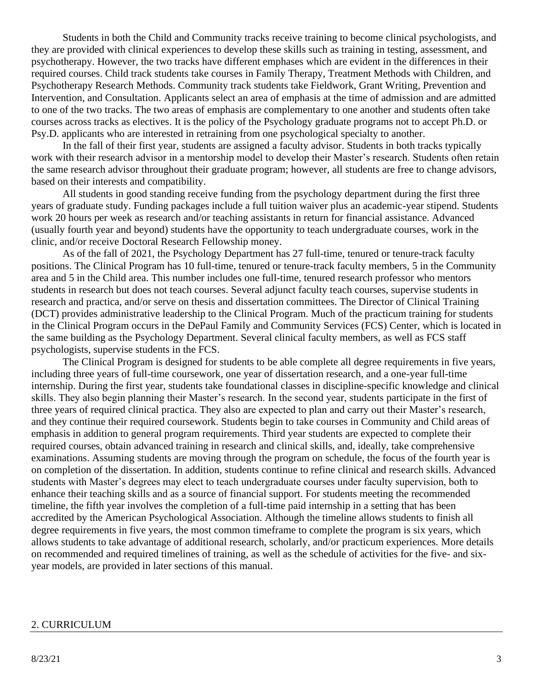Students in both the Child and Community tracks receive training to become clinical psychologists, and they are provided with clinical experiences to develop these skills such as training in testing, assessment, and psychotherapy. However, the two tracks have different emphases which are evident in the differences in their required courses. Child track students take courses in Family Therapy, Treatment Methods with Children, and Psychotherapy Research Methods. Community track students take Fieldwork, Grant Writing, Prevention and Intervention, and Consultation. Applicants select an area of emphasis at the time of admission and are admitted to one of the two tracks. The two areas of emphasis are complementary to one another and students often take courses across tracks as electives. It is the policy of the Psychology graduate programs not to accept Ph.D. or Psy.D. applicants who are interested in retraining from one psychological specialty to another.

In the fall of their first year, students are assigned a faculty advisor. Students in both tracks typically work with their research advisor in a mentorship model to develop their Master's research. Students often retain the same research advisor throughout their graduate program; however, all students are free to change advisors, based on their interests and compatibility.

All students in good standing receive funding from the psychology department during the first three years of graduate study. Funding packages include a full tuition waiver plus an academic-year stipend. Students work 20 hours per week as research and/or teaching assistants in return for financial assistance. Advanced (usually fourth year and beyond) students have the opportunity to teach undergraduate courses, work in the clinic, and/or receive Doctoral Research Fellowship money.

As of the fall of 2021, the Psychology Department has 27 full-time, tenured or tenure-track faculty positions. The Clinical Program has 10 full-time, tenured or tenure-track faculty members, 5 in the Community area and 5 in the Child area. This number includes one full-time, tenured research professor who mentors students in research but does not teach courses. Several adjunct faculty teach courses, supervise students in research and practica, and/or serve on thesis and dissertation committees. The Director of Clinical Training (DCT) provides administrative leadership to the Clinical Program. Much of the practicum training for students in the Clinical Program occurs in the DePaul Family and Community Services (FCS) Center, which is located in the same building as the Psychology Department. Several clinical faculty members, as well as FCS staff psychologists, supervise students in the FCS.

The Clinical Program is designed for students to be able complete all degree requirements in five years, including three years of full-time coursework, one year of dissertation research, and a one-year full-time internship. During the first year, students take foundational classes in discipline-specific knowledge and clinical skills. They also begin planning their Master's research. In the second year, students participate in the first of three years of required clinical practica. They also are expected to plan and carry out their Master's research, and they continue their required coursework. Students begin to take courses in Community and Child areas of emphasis in addition to general program requirements. Third year students are expected to complete their required courses, obtain advanced training in research and clinical skills, and, ideally, take comprehensive examinations. Assuming students are moving through the program on schedule, the focus of the fourth year is on completion of the dissertation. In addition, students continue to refine clinical and research skills. Advanced students with Master's degrees may elect to teach undergraduate courses under faculty supervision, both to enhance their teaching skills and as a source of financial support. For students meeting the recommended timeline, the fifth year involves the completion of a full-time paid internship in a setting that has been accredited by the American Psychological Association. Although the timeline allows students to finish all degree requirements in five years, the most common timeframe to complete the program is six years, which allows students to take advantage of additional research, scholarly, and/or practicum experiences. More details on recommended and required timelines of training, as well as the schedule of activities for the five- and sixyear models, are provided in later sections of this manual.

#### 2. CURRICULUM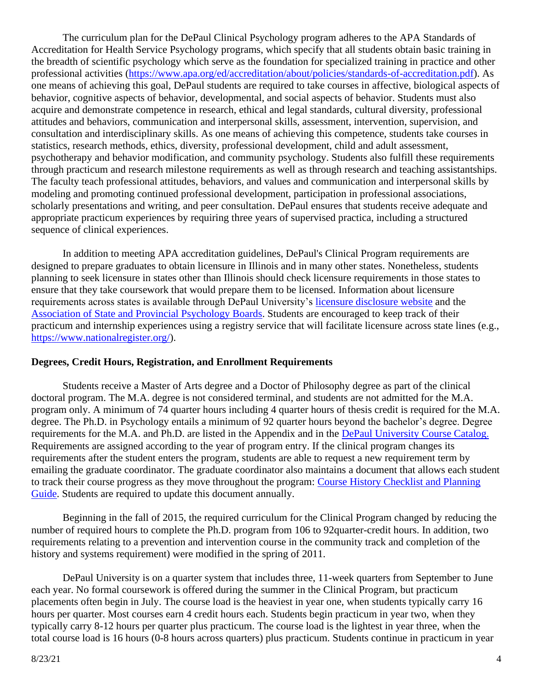The curriculum plan for the DePaul Clinical Psychology program adheres to the APA Standards of Accreditation for Health Service Psychology programs, which specify that all students obtain basic training in the breadth of scientific psychology which serve as the foundation for specialized training in practice and other professional activities [\(https://www.apa.org/ed/accreditation/about/policies/standards-of-accreditation.pdf\)](https://www.apa.org/ed/accreditation/about/policies/standards-of-accreditation.pdf). As one means of achieving this goal, DePaul students are required to take courses in affective, biological aspects of behavior, cognitive aspects of behavior, developmental, and social aspects of behavior. Students must also acquire and demonstrate competence in research, ethical and legal standards, cultural diversity, professional attitudes and behaviors, communication and interpersonal skills, assessment, intervention, supervision, and consultation and interdisciplinary skills. As one means of achieving this competence, students take courses in statistics, research methods, ethics, diversity, professional development, child and adult assessment, psychotherapy and behavior modification, and community psychology. Students also fulfill these requirements through practicum and research milestone requirements as well as through research and teaching assistantships. The faculty teach professional attitudes, behaviors, and values and communication and interpersonal skills by modeling and promoting continued professional development, participation in professional associations, scholarly presentations and writing, and peer consultation. DePaul ensures that students receive adequate and appropriate practicum experiences by requiring three years of supervised practica, including a structured sequence of clinical experiences.

In addition to meeting APA accreditation guidelines, DePaul's Clinical Program requirements are designed to prepare graduates to obtain licensure in Illinois and in many other states. Nonetheless, students planning to seek licensure in states other than Illinois should check licensure requirements in those states to ensure that they take coursework that would prepare them to be licensed. Information about licensure requirements across states is available through DePaul University's [licensure disclosure website](https://www.depaul.edu/about/Pages/accreditation.aspx) and the [Association of State and Provincial Psychology Boards.](http://psybook.asppb.org/) Students are encouraged to keep track of their practicum and internship experiences using a registry service that will facilitate licensure across state lines (e.g., [https://www.nationalregister.org/\)](https://www.nationalregister.org/).

### **Degrees, Credit Hours, Registration, and Enrollment Requirements**

Students receive a Master of Arts degree and a Doctor of Philosophy degree as part of the clinical doctoral program. The M.A. degree is not considered terminal, and students are not admitted for the M.A. program only. A minimum of 74 quarter hours including 4 quarter hours of thesis credit is required for the M.A. degree. The Ph.D. in Psychology entails a minimum of 92 quarter hours beyond the bachelor's degree. Degree requirements for the M.A. and Ph.D. are listed in the Appendix and in the [DePaul University Course Catalog](https://csh.depaul.edu/academics/psychology/graduate/clinical-psychology-ma-phd/Pages/degree-requirements.aspx)[.](https://csh.depaul.edu/academics/psychology/graduate/clinical-psychology-ma-phd/Pages/degree-requirements.aspx) Requirements are assigned according to the year of program entry. If the clinical program changes its requirements after the student enters the program, students are able to request a new requirement term by emailing the graduate coordinator. The graduate coordinator also maintains a document that allows each student to track their course progress as they move throughout the program: [Course History Checklist and Planning](https://docs.google.com/spreadsheets/d/10sfh7XOPlzVgeJ2HHr4pWWqoBTJIa-a-51IJhR-VsXQ/edit?usp=sharing)  [Guide.](https://docs.google.com/spreadsheets/d/10sfh7XOPlzVgeJ2HHr4pWWqoBTJIa-a-51IJhR-VsXQ/edit?usp=sharing) Students are required to update this document annually.

Beginning in the fall of 2015, the required curriculum for the Clinical Program changed by reducing the number of required hours to complete the Ph.D. program from 106 to 92quarter-credit hours. In addition, two requirements relating to a prevention and intervention course in the community track and completion of the history and systems requirement) were modified in the spring of 2011.

DePaul University is on a quarter system that includes three, 11-week quarters from September to June each year. No formal coursework is offered during the summer in the Clinical Program, but practicum placements often begin in July. The course load is the heaviest in year one, when students typically carry 16 hours per quarter. Most courses earn 4 credit hours each. Students begin practicum in year two, when they typically carry 8-12 hours per quarter plus practicum. The course load is the lightest in year three, when the total course load is 16 hours (0-8 hours across quarters) plus practicum. Students continue in practicum in year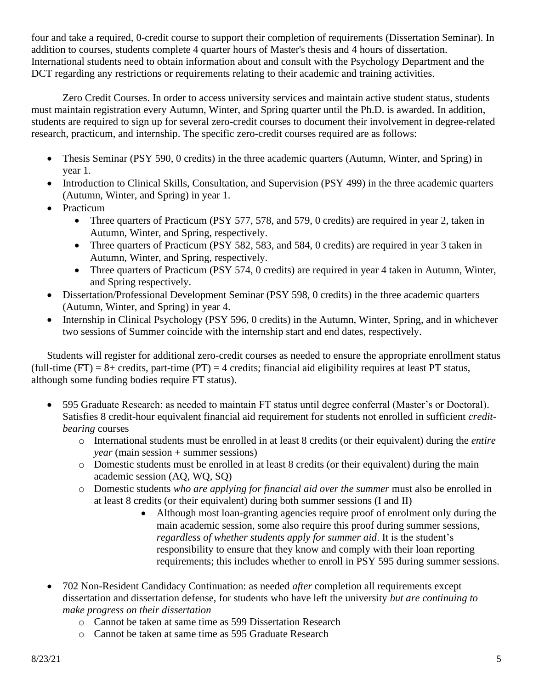four and take a required, 0-credit course to support their completion of requirements (Dissertation Seminar). In addition to courses, students complete 4 quarter hours of Master's thesis and 4 hours of dissertation. International students need to obtain information about and consult with the Psychology Department and the DCT regarding any restrictions or requirements relating to their academic and training activities.

Zero Credit Courses. In order to access university services and maintain active student status, students must maintain registration every Autumn, Winter, and Spring quarter until the Ph.D. is awarded. In addition, students are required to sign up for several zero-credit courses to document their involvement in degree-related research, practicum, and internship. The specific zero-credit courses required are as follows:

- Thesis Seminar (PSY 590, 0 credits) in the three academic quarters (Autumn, Winter, and Spring) in year 1.
- Introduction to Clinical Skills, Consultation, and Supervision (PSY 499) in the three academic quarters (Autumn, Winter, and Spring) in year 1.
- Practicum
	- Three quarters of Practicum (PSY 577, 578, and 579, 0 credits) are required in year 2, taken in Autumn, Winter, and Spring, respectively.
	- Three quarters of Practicum (PSY 582, 583, and 584, 0 credits) are required in year 3 taken in Autumn, Winter, and Spring, respectively.
	- Three quarters of Practicum (PSY 574, 0 credits) are required in year 4 taken in Autumn, Winter, and Spring respectively.
- Dissertation/Professional Development Seminar (PSY 598, 0 credits) in the three academic quarters (Autumn, Winter, and Spring) in year 4.
- Internship in Clinical Psychology (PSY 596, 0 credits) in the Autumn, Winter, Spring, and in whichever two sessions of Summer coincide with the internship start and end dates, respectively.

Students will register for additional zero-credit courses as needed to ensure the appropriate enrollment status (full-time (FT) = 8+ credits, part-time (PT) = 4 credits; financial aid eligibility requires at least PT status, although some funding bodies require FT status).

- 595 Graduate Research: as needed to maintain FT status until degree conferral (Master's or Doctoral). Satisfies 8 credit-hour equivalent financial aid requirement for students not enrolled in sufficient *creditbearing* courses
	- o International students must be enrolled in at least 8 credits (or their equivalent) during the *entire year* (main session + summer sessions)
	- o Domestic students must be enrolled in at least 8 credits (or their equivalent) during the main academic session (AQ, WQ, SQ)
	- o Domestic students *who are applying for financial aid over the summer* must also be enrolled in at least 8 credits (or their equivalent) during both summer sessions (I and II)
		- Although most loan-granting agencies require proof of enrolment only during the main academic session, some also require this proof during summer sessions, *regardless of whether students apply for summer aid*. It is the student's responsibility to ensure that they know and comply with their loan reporting requirements; this includes whether to enroll in PSY 595 during summer sessions.
- 702 Non-Resident Candidacy Continuation: as needed *after* completion all requirements except dissertation and dissertation defense, for students who have left the university *but are continuing to make progress on their dissertation*
	- o Cannot be taken at same time as 599 Dissertation Research
	- o Cannot be taken at same time as 595 Graduate Research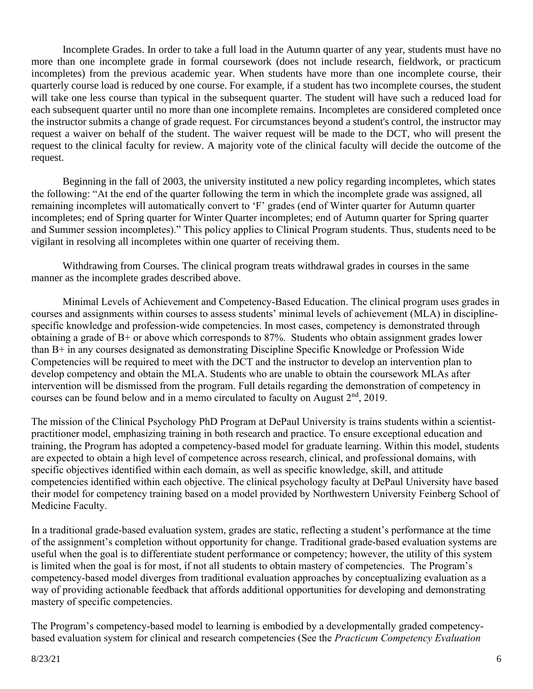Incomplete Grades. In order to take a full load in the Autumn quarter of any year, students must have no more than one incomplete grade in formal coursework (does not include research, fieldwork, or practicum incompletes) from the previous academic year. When students have more than one incomplete course, their quarterly course load is reduced by one course. For example, if a student has two incomplete courses, the student will take one less course than typical in the subsequent quarter. The student will have such a reduced load for each subsequent quarter until no more than one incomplete remains. Incompletes are considered completed once the instructor submits a change of grade request. For circumstances beyond a student's control, the instructor may request a waiver on behalf of the student. The waiver request will be made to the DCT, who will present the request to the clinical faculty for review. A majority vote of the clinical faculty will decide the outcome of the request.

Beginning in the fall of 2003, the university instituted a new policy regarding incompletes, which states the following: "At the end of the quarter following the term in which the incomplete grade was assigned, all remaining incompletes will automatically convert to 'F' grades (end of Winter quarter for Autumn quarter incompletes; end of Spring quarter for Winter Quarter incompletes; end of Autumn quarter for Spring quarter and Summer session incompletes)." This policy applies to Clinical Program students. Thus, students need to be vigilant in resolving all incompletes within one quarter of receiving them.

Withdrawing from Courses. The clinical program treats withdrawal grades in courses in the same manner as the incomplete grades described above.

Minimal Levels of Achievement and Competency-Based Education. The clinical program uses grades in courses and assignments within courses to assess students' minimal levels of achievement (MLA) in disciplinespecific knowledge and profession-wide competencies. In most cases, competency is demonstrated through obtaining a grade of  $B<sup>+</sup>$  or above which corresponds to 87%. Students who obtain assignment grades lower than B+ in any courses designated as demonstrating Discipline Specific Knowledge or Profession Wide Competencies will be required to meet with the DCT and the instructor to develop an intervention plan to develop competency and obtain the MLA. Students who are unable to obtain the coursework MLAs after intervention will be dismissed from the program. Full details regarding the demonstration of competency in courses can be found below and in a memo circulated to faculty on August  $2<sup>nd</sup>$ , 2019.

The mission of the Clinical Psychology PhD Program at DePaul University is trains students within a scientistpractitioner model, emphasizing training in both research and practice. To ensure exceptional education and training, the Program has adopted a competency-based model for graduate learning. Within this model, students are expected to obtain a high level of competence across research, clinical, and professional domains, with specific objectives identified within each domain, as well as specific knowledge, skill, and attitude competencies identified within each objective. The clinical psychology faculty at DePaul University have based their model for competency training based on a model provided by Northwestern University Feinberg School of Medicine Faculty.

In a traditional grade-based evaluation system, grades are static, reflecting a student's performance at the time of the assignment's completion without opportunity for change. Traditional grade-based evaluation systems are useful when the goal is to differentiate student performance or competency; however, the utility of this system is limited when the goal is for most, if not all students to obtain mastery of competencies. The Program's competency-based model diverges from traditional evaluation approaches by conceptualizing evaluation as a way of providing actionable feedback that affords additional opportunities for developing and demonstrating mastery of specific competencies.

The Program's competency-based model to learning is embodied by a developmentally graded competencybased evaluation system for clinical and research competencies (See the *Practicum Competency Evaluation*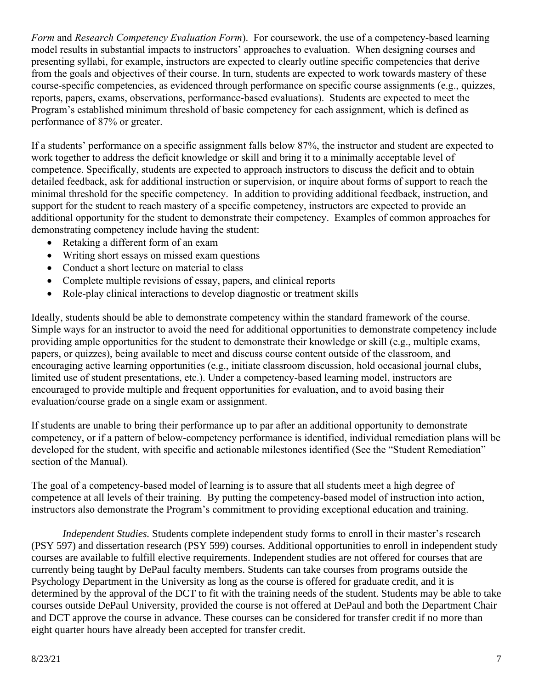*Form* and *Research Competency Evaluation Form*). For coursework, the use of a competency-based learning model results in substantial impacts to instructors' approaches to evaluation. When designing courses and presenting syllabi, for example, instructors are expected to clearly outline specific competencies that derive from the goals and objectives of their course. In turn, students are expected to work towards mastery of these course-specific competencies, as evidenced through performance on specific course assignments (e.g., quizzes, reports, papers, exams, observations, performance-based evaluations). Students are expected to meet the Program's established minimum threshold of basic competency for each assignment, which is defined as performance of 87% or greater.

If a students' performance on a specific assignment falls below 87%, the instructor and student are expected to work together to address the deficit knowledge or skill and bring it to a minimally acceptable level of competence. Specifically, students are expected to approach instructors to discuss the deficit and to obtain detailed feedback, ask for additional instruction or supervision, or inquire about forms of support to reach the minimal threshold for the specific competency. In addition to providing additional feedback, instruction, and support for the student to reach mastery of a specific competency, instructors are expected to provide an additional opportunity for the student to demonstrate their competency. Examples of common approaches for demonstrating competency include having the student:

- Retaking a different form of an exam
- Writing short essays on missed exam questions
- Conduct a short lecture on material to class
- Complete multiple revisions of essay, papers, and clinical reports
- Role-play clinical interactions to develop diagnostic or treatment skills

Ideally, students should be able to demonstrate competency within the standard framework of the course. Simple ways for an instructor to avoid the need for additional opportunities to demonstrate competency include providing ample opportunities for the student to demonstrate their knowledge or skill (e.g., multiple exams, papers, or quizzes), being available to meet and discuss course content outside of the classroom, and encouraging active learning opportunities (e.g., initiate classroom discussion, hold occasional journal clubs, limited use of student presentations, etc.). Under a competency-based learning model, instructors are encouraged to provide multiple and frequent opportunities for evaluation, and to avoid basing their evaluation/course grade on a single exam or assignment.

If students are unable to bring their performance up to par after an additional opportunity to demonstrate competency, or if a pattern of below-competency performance is identified, individual remediation plans will be developed for the student, with specific and actionable milestones identified (See the "Student Remediation" section of the Manual).

The goal of a competency-based model of learning is to assure that all students meet a high degree of competence at all levels of their training. By putting the competency-based model of instruction into action, instructors also demonstrate the Program's commitment to providing exceptional education and training.

*Independent Studies.* Students complete independent study forms to enroll in their master's research (PSY 597) and dissertation research (PSY 599) courses. Additional opportunities to enroll in independent study courses are available to fulfill elective requirements. Independent studies are not offered for courses that are currently being taught by DePaul faculty members. Students can take courses from programs outside the Psychology Department in the University as long as the course is offered for graduate credit, and it is determined by the approval of the DCT to fit with the training needs of the student. Students may be able to take courses outside DePaul University, provided the course is not offered at DePaul and both the Department Chair and DCT approve the course in advance. These courses can be considered for transfer credit if no more than eight quarter hours have already been accepted for transfer credit.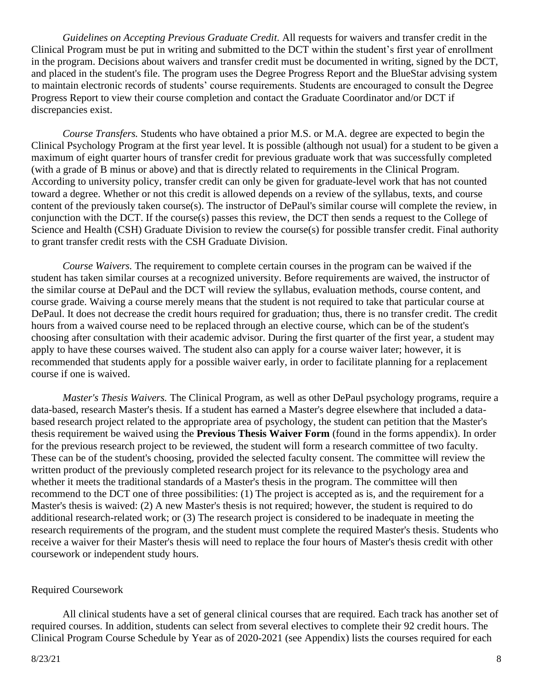*Guidelines on Accepting Previous Graduate Credit.* All requests for waivers and transfer credit in the Clinical Program must be put in writing and submitted to the DCT within the student's first year of enrollment in the program. Decisions about waivers and transfer credit must be documented in writing, signed by the DCT, and placed in the student's file. The program uses the Degree Progress Report and the BlueStar advising system to maintain electronic records of students' course requirements. Students are encouraged to consult the Degree Progress Report to view their course completion and contact the Graduate Coordinator and/or DCT if discrepancies exist.

*Course Transfers.* Students who have obtained a prior M.S. or M.A. degree are expected to begin the Clinical Psychology Program at the first year level. It is possible (although not usual) for a student to be given a maximum of eight quarter hours of transfer credit for previous graduate work that was successfully completed (with a grade of B minus or above) and that is directly related to requirements in the Clinical Program. According to university policy, transfer credit can only be given for graduate-level work that has not counted toward a degree. Whether or not this credit is allowed depends on a review of the syllabus, texts, and course content of the previously taken course(s). The instructor of DePaul's similar course will complete the review, in conjunction with the DCT. If the course(s) passes this review, the DCT then sends a request to the College of Science and Health (CSH) Graduate Division to review the course(s) for possible transfer credit. Final authority to grant transfer credit rests with the CSH Graduate Division.

*Course Waivers.* The requirement to complete certain courses in the program can be waived if the student has taken similar courses at a recognized university. Before requirements are waived, the instructor of the similar course at DePaul and the DCT will review the syllabus, evaluation methods, course content, and course grade. Waiving a course merely means that the student is not required to take that particular course at DePaul. It does not decrease the credit hours required for graduation; thus, there is no transfer credit. The credit hours from a waived course need to be replaced through an elective course, which can be of the student's choosing after consultation with their academic advisor. During the first quarter of the first year, a student may apply to have these courses waived. The student also can apply for a course waiver later; however, it is recommended that students apply for a possible waiver early, in order to facilitate planning for a replacement course if one is waived.

*Master's Thesis Waivers.* The Clinical Program, as well as other DePaul psychology programs, require a data-based, research Master's thesis. If a student has earned a Master's degree elsewhere that included a databased research project related to the appropriate area of psychology, the student can petition that the Master's thesis requirement be waived using the **Previous Thesis Waiver Form** (found in the forms appendix). In order for the previous research project to be reviewed, the student will form a research committee of two faculty. These can be of the student's choosing, provided the selected faculty consent. The committee will review the written product of the previously completed research project for its relevance to the psychology area and whether it meets the traditional standards of a Master's thesis in the program. The committee will then recommend to the DCT one of three possibilities: (1) The project is accepted as is, and the requirement for a Master's thesis is waived: (2) A new Master's thesis is not required; however, the student is required to do additional research-related work; or (3) The research project is considered to be inadequate in meeting the research requirements of the program, and the student must complete the required Master's thesis. Students who receive a waiver for their Master's thesis will need to replace the four hours of Master's thesis credit with other coursework or independent study hours.

#### Required Coursework

All clinical students have a set of general clinical courses that are required. Each track has another set of required courses. In addition, students can select from several electives to complete their 92 credit hours. The Clinical Program Course Schedule by Year as of 2020-2021 (see Appendix) lists the courses required for each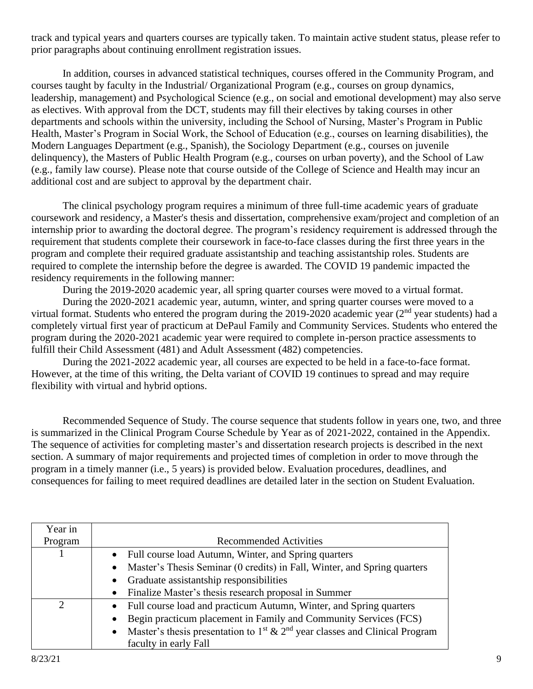track and typical years and quarters courses are typically taken. To maintain active student status, please refer to prior paragraphs about continuing enrollment registration issues.

In addition, courses in advanced statistical techniques, courses offered in the Community Program, and courses taught by faculty in the Industrial/ Organizational Program (e.g., courses on group dynamics, leadership, management) and Psychological Science (e.g., on social and emotional development) may also serve as electives. With approval from the DCT, students may fill their electives by taking courses in other departments and schools within the university, including the School of Nursing, Master's Program in Public Health, Master's Program in Social Work, the School of Education (e.g., courses on learning disabilities), the Modern Languages Department (e.g., Spanish), the Sociology Department (e.g., courses on juvenile delinquency), the Masters of Public Health Program (e.g., courses on urban poverty), and the School of Law (e.g., family law course). Please note that course outside of the College of Science and Health may incur an additional cost and are subject to approval by the department chair.

The clinical psychology program requires a minimum of three full-time academic years of graduate coursework and residency, a Master's thesis and dissertation, comprehensive exam/project and completion of an internship prior to awarding the doctoral degree. The program's residency requirement is addressed through the requirement that students complete their coursework in face-to-face classes during the first three years in the program and complete their required graduate assistantship and teaching assistantship roles. Students are required to complete the internship before the degree is awarded. The COVID 19 pandemic impacted the residency requirements in the following manner:

During the 2019-2020 academic year, all spring quarter courses were moved to a virtual format.

During the 2020-2021 academic year, autumn, winter, and spring quarter courses were moved to a virtual format. Students who entered the program during the 2019-2020 academic year ( $2<sup>nd</sup>$  year students) had a completely virtual first year of practicum at DePaul Family and Community Services. Students who entered the program during the 2020-2021 academic year were required to complete in-person practice assessments to fulfill their Child Assessment (481) and Adult Assessment (482) competencies.

During the 2021-2022 academic year, all courses are expected to be held in a face-to-face format. However, at the time of this writing, the Delta variant of COVID 19 continues to spread and may require flexibility with virtual and hybrid options.

Recommended Sequence of Study. The course sequence that students follow in years one, two, and three is summarized in the Clinical Program Course Schedule by Year as of 2021-2022, contained in the Appendix. The sequence of activities for completing master's and dissertation research projects is described in the next section. A summary of major requirements and projected times of completion in order to move through the program in a timely manner (i.e., 5 years) is provided below. Evaluation procedures, deadlines, and consequences for failing to meet required deadlines are detailed later in the section on Student Evaluation.

| Year in |                                                                                                                  |
|---------|------------------------------------------------------------------------------------------------------------------|
| Program | <b>Recommended Activities</b>                                                                                    |
|         | • Full course load Autumn, Winter, and Spring quarters                                                           |
|         | Master's Thesis Seminar (0 credits) in Fall, Winter, and Spring quarters                                         |
|         | • Graduate assistantship responsibilities                                                                        |
|         | Finalize Master's thesis research proposal in Summer                                                             |
| റ       | Full course load and practicum Autumn, Winter, and Spring quarters                                               |
|         | Begin practicum placement in Family and Community Services (FCS)                                                 |
|         | Master's thesis presentation to 1 <sup>st</sup> & 2 <sup>nd</sup> year classes and Clinical Program<br>$\bullet$ |
|         | faculty in early Fall                                                                                            |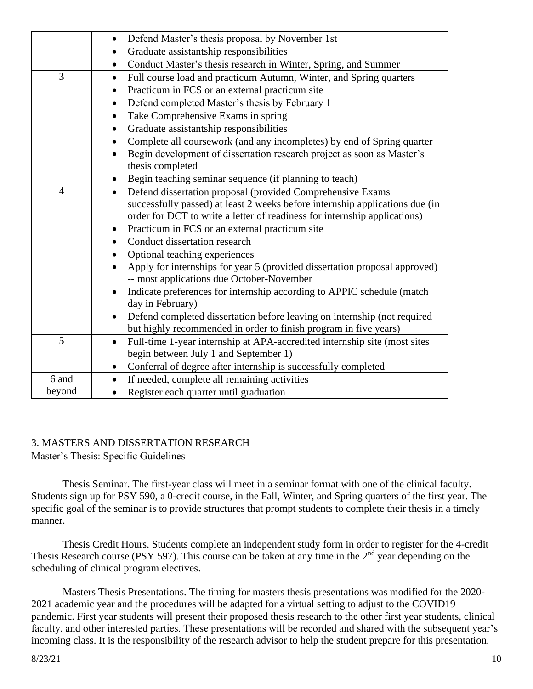|                | Defend Master's thesis proposal by November 1st<br>$\bullet$                        |
|----------------|-------------------------------------------------------------------------------------|
|                | Graduate assistantship responsibilities                                             |
|                | Conduct Master's thesis research in Winter, Spring, and Summer<br>$\bullet$         |
| 3              | Full course load and practicum Autumn, Winter, and Spring quarters<br>$\bullet$     |
|                | Practicum in FCS or an external practicum site<br>$\bullet$                         |
|                | Defend completed Master's thesis by February 1<br>$\bullet$                         |
|                | Take Comprehensive Exams in spring                                                  |
|                | Graduate assistantship responsibilities                                             |
|                | Complete all coursework (and any incompletes) by end of Spring quarter<br>$\bullet$ |
|                | Begin development of dissertation research project as soon as Master's              |
|                | thesis completed                                                                    |
|                | Begin teaching seminar sequence (if planning to teach)                              |
| $\overline{4}$ | Defend dissertation proposal (provided Comprehensive Exams<br>$\bullet$             |
|                | successfully passed) at least 2 weeks before internship applications due (in        |
|                | order for DCT to write a letter of readiness for internship applications)           |
|                | Practicum in FCS or an external practicum site                                      |
|                | Conduct dissertation research                                                       |
|                | Optional teaching experiences                                                       |
|                | Apply for internships for year 5 (provided dissertation proposal approved)          |
|                | -- most applications due October-November                                           |
|                | Indicate preferences for internship according to APPIC schedule (match              |
|                | day in February)                                                                    |
|                | Defend completed dissertation before leaving on internship (not required            |
|                | but highly recommended in order to finish program in five years)                    |
| 5              | Full-time 1-year internship at APA-accredited internship site (most sites<br>٠      |
|                | begin between July 1 and September 1)                                               |
|                | Conferral of degree after internship is successfully completed<br>٠                 |
| 6 and          | If needed, complete all remaining activities<br>$\bullet$                           |
| beyond         | Register each quarter until graduation<br>$\bullet$                                 |

#### 3. MASTERS AND DISSERTATION RESEARCH

Master's Thesis: Specific Guidelines

Thesis Seminar. The first-year class will meet in a seminar format with one of the clinical faculty. Students sign up for PSY 590, a 0-credit course, in the Fall, Winter, and Spring quarters of the first year. The specific goal of the seminar is to provide structures that prompt students to complete their thesis in a timely manner.

Thesis Credit Hours. Students complete an independent study form in order to register for the 4-credit Thesis Research course (PSY 597). This course can be taken at any time in the 2<sup>nd</sup> year depending on the scheduling of clinical program electives.

Masters Thesis Presentations. The timing for masters thesis presentations was modified for the 2020- 2021 academic year and the procedures will be adapted for a virtual setting to adjust to the COVID19 pandemic. First year students will present their proposed thesis research to the other first year students, clinical faculty, and other interested parties. These presentations will be recorded and shared with the subsequent year's incoming class. It is the responsibility of the research advisor to help the student prepare for this presentation.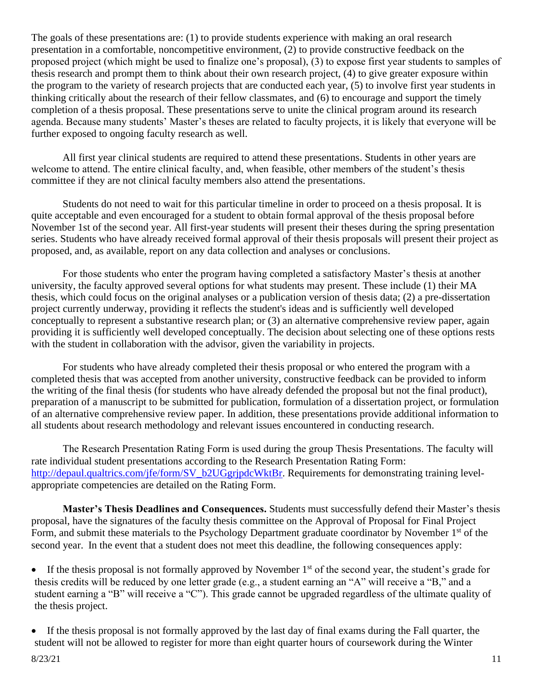The goals of these presentations are: (1) to provide students experience with making an oral research presentation in a comfortable, noncompetitive environment, (2) to provide constructive feedback on the proposed project (which might be used to finalize one's proposal), (3) to expose first year students to samples of thesis research and prompt them to think about their own research project, (4) to give greater exposure within the program to the variety of research projects that are conducted each year, (5) to involve first year students in thinking critically about the research of their fellow classmates, and (6) to encourage and support the timely completion of a thesis proposal. These presentations serve to unite the clinical program around its research agenda. Because many students' Master's theses are related to faculty projects, it is likely that everyone will be further exposed to ongoing faculty research as well.

All first year clinical students are required to attend these presentations. Students in other years are welcome to attend. The entire clinical faculty, and, when feasible, other members of the student's thesis committee if they are not clinical faculty members also attend the presentations.

Students do not need to wait for this particular timeline in order to proceed on a thesis proposal. It is quite acceptable and even encouraged for a student to obtain formal approval of the thesis proposal before November 1st of the second year. All first-year students will present their theses during the spring presentation series. Students who have already received formal approval of their thesis proposals will present their project as proposed, and, as available, report on any data collection and analyses or conclusions.

For those students who enter the program having completed a satisfactory Master's thesis at another university, the faculty approved several options for what students may present. These include (1) their MA thesis, which could focus on the original analyses or a publication version of thesis data; (2) a pre-dissertation project currently underway, providing it reflects the student's ideas and is sufficiently well developed conceptually to represent a substantive research plan; or (3) an alternative comprehensive review paper, again providing it is sufficiently well developed conceptually. The decision about selecting one of these options rests with the student in collaboration with the advisor, given the variability in projects.

For students who have already completed their thesis proposal or who entered the program with a completed thesis that was accepted from another university, constructive feedback can be provided to inform the writing of the final thesis (for students who have already defended the proposal but not the final product), preparation of a manuscript to be submitted for publication, formulation of a dissertation project, or formulation of an alternative comprehensive review paper. In addition, these presentations provide additional information to all students about research methodology and relevant issues encountered in conducting research.

The Research Presentation Rating Form is used during the group Thesis Presentations. The faculty will rate individual student presentations according to the Research Presentation Rating Form: [http://depaul.qualtrics.com/jfe/form/SV\\_b2UGgrjpdcWktBr.](http://depaul.qualtrics.com/jfe/form/SV_b2UGgrjpdcWktBr) Requirements for demonstrating training levelappropriate competencies are detailed on the Rating Form.

**Master's Thesis Deadlines and Consequences.** Students must successfully defend their Master's thesis proposal, have the signatures of the faculty thesis committee on the Approval of Proposal for Final Project Form, and submit these materials to the Psychology Department graduate coordinator by November 1<sup>st</sup> of the second year. In the event that a student does not meet this deadline, the following consequences apply:

• If the thesis proposal is not formally approved by November  $1<sup>st</sup>$  of the second year, the student's grade for thesis credits will be reduced by one letter grade (e.g., a student earning an "A" will receive a "B," and a student earning a "B" will receive a "C"). This grade cannot be upgraded regardless of the ultimate quality of the thesis project.

• If the thesis proposal is not formally approved by the last day of final exams during the Fall quarter, the student will not be allowed to register for more than eight quarter hours of coursework during the Winter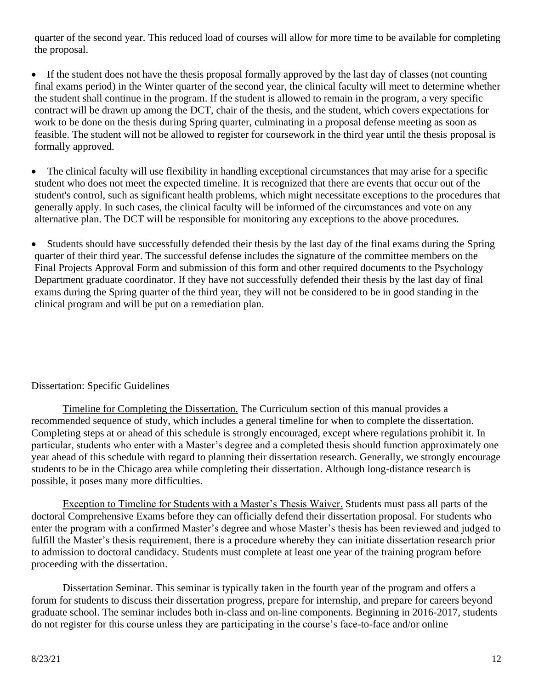quarter of the second year. This reduced load of courses will allow for more time to be available for completing the proposal.

- If the student does not have the thesis proposal formally approved by the last day of classes (not counting final exams period) in the Winter quarter of the second year, the clinical faculty will meet to determine whether the student shall continue in the program. If the student is allowed to remain in the program, a very specific contract will be drawn up among the DCT, chair of the thesis, and the student, which covers expectations for work to be done on the thesis during Spring quarter, culminating in a proposal defense meeting as soon as feasible. The student will not be allowed to register for coursework in the third year until the thesis proposal is formally approved.
- The clinical faculty will use flexibility in handling exceptional circumstances that may arise for a specific student who does not meet the expected timeline. It is recognized that there are events that occur out of the student's control, such as significant health problems, which might necessitate exceptions to the procedures that generally apply. In such cases, the clinical faculty will be informed of the circumstances and vote on any alternative plan. The DCT will be responsible for monitoring any exceptions to the above procedures.
- Students should have successfully defended their thesis by the last day of the final exams during the Spring quarter of their third year. The successful defense includes the signature of the committee members on the Final Projects Approval Form and submission of this form and other required documents to the Psychology Department graduate coordinator. If they have not successfully defended their thesis by the last day of final exams during the Spring quarter of the third year, they will not be considered to be in good standing in the clinical program and will be put on a remediation plan.

## Dissertation: Specific Guidelines

Timeline for Completing the Dissertation. The Curriculum section of this manual provides a recommended sequence of study, which includes a general timeline for when to complete the dissertation. Completing steps at or ahead of this schedule is strongly encouraged, except where regulations prohibit it. In particular, students who enter with a Master's degree and a completed thesis should function approximately one year ahead of this schedule with regard to planning their dissertation research. Generally, we strongly encourage students to be in the Chicago area while completing their dissertation. Although long-distance research is possible, it poses many more difficulties.

Exception to Timeline for Students with a Master's Thesis Waiver. Students must pass all parts of the doctoral Comprehensive Exams before they can officially defend their dissertation proposal. For students who enter the program with a confirmed Master's degree and whose Master's thesis has been reviewed and judged to fulfill the Master's thesis requirement, there is a procedure whereby they can initiate dissertation research prior to admission to doctoral candidacy. Students must complete at least one year of the training program before proceeding with the dissertation.

Dissertation Seminar. This seminar is typically taken in the fourth year of the program and offers a forum for students to discuss their dissertation progress, prepare for internship, and prepare for careers beyond graduate school. The seminar includes both in-class and on-line components. Beginning in 2016-2017, students do not register for this course unless they are participating in the course's face-to-face and/or online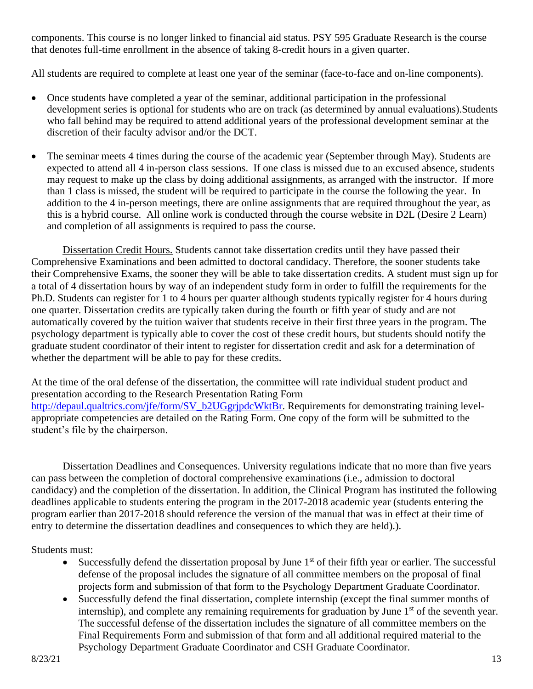components. This course is no longer linked to financial aid status. PSY 595 Graduate Research is the course that denotes full-time enrollment in the absence of taking 8-credit hours in a given quarter.

All students are required to complete at least one year of the seminar (face-to-face and on-line components).

- Once students have completed a year of the seminar, additional participation in the professional development series is optional for students who are on track (as determined by annual evaluations).Students who fall behind may be required to attend additional years of the professional development seminar at the discretion of their faculty advisor and/or the DCT.
- The seminar meets 4 times during the course of the academic year (September through May). Students are expected to attend all 4 in-person class sessions. If one class is missed due to an excused absence, students may request to make up the class by doing additional assignments, as arranged with the instructor. If more than 1 class is missed, the student will be required to participate in the course the following the year. In addition to the 4 in-person meetings, there are online assignments that are required throughout the year, as this is a hybrid course. All online work is conducted through the course website in D2L (Desire 2 Learn) and completion of all assignments is required to pass the course.

Dissertation Credit Hours. Students cannot take dissertation credits until they have passed their Comprehensive Examinations and been admitted to doctoral candidacy. Therefore, the sooner students take their Comprehensive Exams, the sooner they will be able to take dissertation credits. A student must sign up for a total of 4 dissertation hours by way of an independent study form in order to fulfill the requirements for the Ph.D. Students can register for 1 to 4 hours per quarter although students typically register for 4 hours during one quarter. Dissertation credits are typically taken during the fourth or fifth year of study and are not automatically covered by the tuition waiver that students receive in their first three years in the program. The psychology department is typically able to cover the cost of these credit hours, but students should notify the graduate student coordinator of their intent to register for dissertation credit and ask for a determination of whether the department will be able to pay for these credits.

At the time of the oral defense of the dissertation, the committee will rate individual student product and presentation according to the Research Presentation Rating Form [http://depaul.qualtrics.com/jfe/form/SV\\_b2UGgrjpdcWktBr.](http://depaul.qualtrics.com/jfe/form/SV_b2UGgrjpdcWktBr) Requirements for demonstrating training levelappropriate competencies are detailed on the Rating Form. One copy of the form will be submitted to the student's file by the chairperson.

Dissertation Deadlines and Consequences. University regulations indicate that no more than five years can pass between the completion of doctoral comprehensive examinations (i.e., admission to doctoral candidacy) and the completion of the dissertation. In addition, the Clinical Program has instituted the following deadlines applicable to students entering the program in the 2017-2018 academic year (students entering the program earlier than 2017-2018 should reference the version of the manual that was in effect at their time of entry to determine the dissertation deadlines and consequences to which they are held).).

Students must:

- Successfully defend the dissertation proposal by June  $1<sup>st</sup>$  of their fifth year or earlier. The successful defense of the proposal includes the signature of all committee members on the proposal of final projects form and submission of that form to the Psychology Department Graduate Coordinator.
- Successfully defend the final dissertation, complete internship (except the final summer months of internship), and complete any remaining requirements for graduation by June  $1<sup>st</sup>$  of the seventh year. The successful defense of the dissertation includes the signature of all committee members on the Final Requirements Form and submission of that form and all additional required material to the Psychology Department Graduate Coordinator and CSH Graduate Coordinator.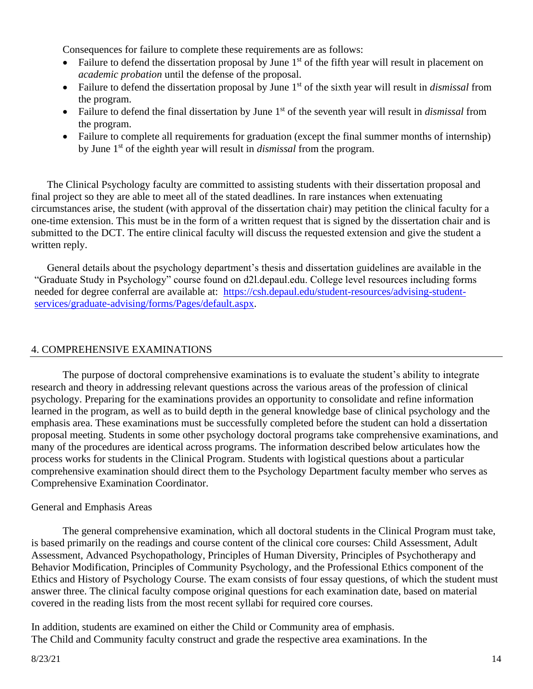Consequences for failure to complete these requirements are as follows:

- Failure to defend the dissertation proposal by June  $1<sup>st</sup>$  of the fifth year will result in placement on *academic probation* until the defense of the proposal.
- Failure to defend the dissertation proposal by June 1<sup>st</sup> of the sixth year will result in *dismissal* from the program.
- Failure to defend the final dissertation by June 1<sup>st</sup> of the seventh year will result in *dismissal* from the program.
- Failure to complete all requirements for graduation (except the final summer months of internship) by June 1st of the eighth year will result in *dismissal* from the program.

The Clinical Psychology faculty are committed to assisting students with their dissertation proposal and final project so they are able to meet all of the stated deadlines. In rare instances when extenuating circumstances arise, the student (with approval of the dissertation chair) may petition the clinical faculty for a one-time extension. This must be in the form of a written request that is signed by the dissertation chair and is submitted to the DCT. The entire clinical faculty will discuss the requested extension and give the student a written reply.

General details about the psychology department's thesis and dissertation guidelines are available in the "Graduate Study in Psychology" course found on d2l.depaul.edu. College level resources including forms needed for degree conferral are available at: [https://csh.depaul.edu/student-resources/advising-student](https://csh.depaul.edu/student-resources/advising-student-services/graduate-advising/forms/Pages/default.aspx)[services/graduate-advising/forms/Pages/default.aspx.](https://csh.depaul.edu/student-resources/advising-student-services/graduate-advising/forms/Pages/default.aspx)

## 4. COMPREHENSIVE EXAMINATIONS

The purpose of doctoral comprehensive examinations is to evaluate the student's ability to integrate research and theory in addressing relevant questions across the various areas of the profession of clinical psychology. Preparing for the examinations provides an opportunity to consolidate and refine information learned in the program, as well as to build depth in the general knowledge base of clinical psychology and the emphasis area. These examinations must be successfully completed before the student can hold a dissertation proposal meeting. Students in some other psychology doctoral programs take comprehensive examinations, and many of the procedures are identical across programs. The information described below articulates how the process works for students in the Clinical Program. Students with logistical questions about a particular comprehensive examination should direct them to the Psychology Department faculty member who serves as Comprehensive Examination Coordinator.

#### General and Emphasis Areas

The general comprehensive examination, which all doctoral students in the Clinical Program must take, is based primarily on the readings and course content of the clinical core courses: Child Assessment, Adult Assessment, Advanced Psychopathology, Principles of Human Diversity, Principles of Psychotherapy and Behavior Modification, Principles of Community Psychology, and the Professional Ethics component of the Ethics and History of Psychology Course. The exam consists of four essay questions, of which the student must answer three. The clinical faculty compose original questions for each examination date, based on material covered in the reading lists from the most recent syllabi for required core courses.

In addition, students are examined on either the Child or Community area of emphasis. The Child and Community faculty construct and grade the respective area examinations. In the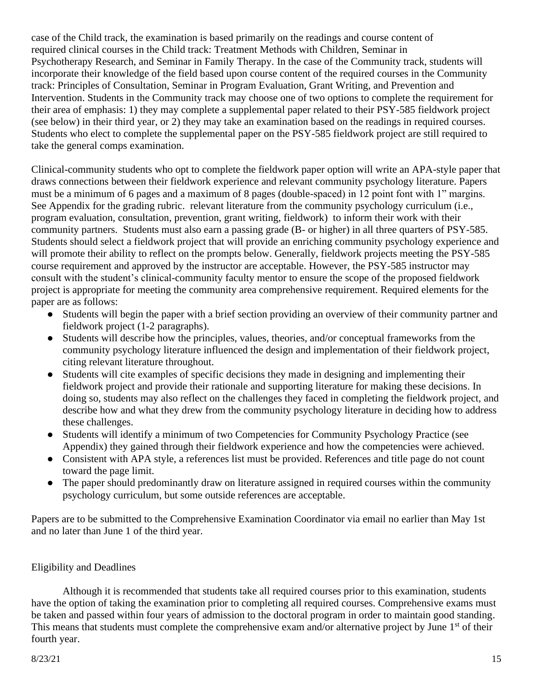case of the Child track, the examination is based primarily on the readings and course content of required clinical courses in the Child track: Treatment Methods with Children, Seminar in Psychotherapy Research, and Seminar in Family Therapy. In the case of the Community track, students will incorporate their knowledge of the field based upon course content of the required courses in the Community track: Principles of Consultation, Seminar in Program Evaluation, Grant Writing, and Prevention and Intervention. Students in the Community track may choose one of two options to complete the requirement for their area of emphasis: 1) they may complete a supplemental paper related to their PSY-585 fieldwork project (see below) in their third year, or 2) they may take an examination based on the readings in required courses. Students who elect to complete the supplemental paper on the PSY-585 fieldwork project are still required to take the general comps examination.

Clinical-community students who opt to complete the fieldwork paper option will write an APA-style paper that draws connections between their fieldwork experience and relevant community psychology literature. Papers must be a minimum of 6 pages and a maximum of 8 pages (double-spaced) in 12 point font with 1" margins. See Appendix for the grading rubric. relevant literature from the community psychology curriculum (i.e., program evaluation, consultation, prevention, grant writing, fieldwork) to inform their work with their community partners. Students must also earn a passing grade (B- or higher) in all three quarters of PSY-585. Students should select a fieldwork project that will provide an enriching community psychology experience and will promote their ability to reflect on the prompts below. Generally, fieldwork projects meeting the PSY-585 course requirement and approved by the instructor are acceptable. However, the PSY-585 instructor may consult with the student's clinical-community faculty mentor to ensure the scope of the proposed fieldwork project is appropriate for meeting the community area comprehensive requirement. Required elements for the paper are as follows:

- Students will begin the paper with a brief section providing an overview of their community partner and fieldwork project (1-2 paragraphs).
- Students will describe how the principles, values, theories, and/or conceptual frameworks from the community psychology literature influenced the design and implementation of their fieldwork project, citing relevant literature throughout.
- Students will cite examples of specific decisions they made in designing and implementing their fieldwork project and provide their rationale and supporting literature for making these decisions. In doing so, students may also reflect on the challenges they faced in completing the fieldwork project, and describe how and what they drew from the community psychology literature in deciding how to address these challenges.
- Students will identify a minimum of two Competencies for Community Psychology Practice (see Appendix) they gained through their fieldwork experience and how the competencies were achieved.
- Consistent with APA style, a references list must be provided. References and title page do not count toward the page limit.
- The paper should predominantly draw on literature assigned in required courses within the community psychology curriculum, but some outside references are acceptable.

Papers are to be submitted to the Comprehensive Examination Coordinator via email no earlier than May 1st and no later than June 1 of the third year.

## Eligibility and Deadlines

Although it is recommended that students take all required courses prior to this examination, students have the option of taking the examination prior to completing all required courses. Comprehensive exams must be taken and passed within four years of admission to the doctoral program in order to maintain good standing. This means that students must complete the comprehensive exam and/or alternative project by June 1<sup>st</sup> of their fourth year.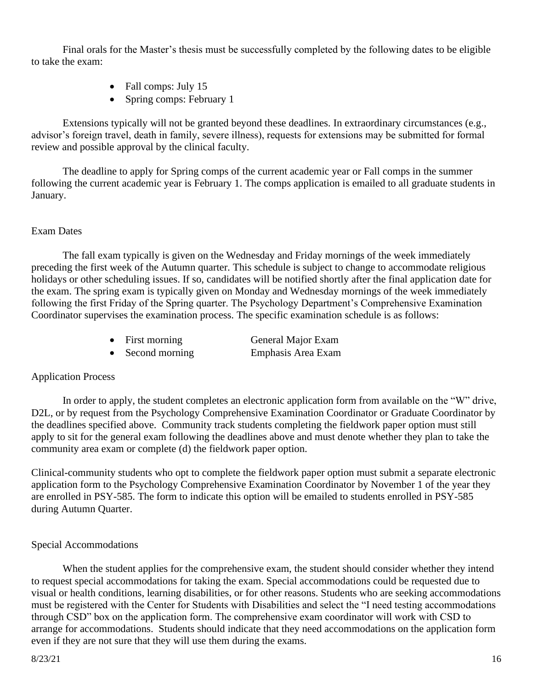Final orals for the Master's thesis must be successfully completed by the following dates to be eligible to take the exam:

- Fall comps: July 15
- Spring comps: February 1

Extensions typically will not be granted beyond these deadlines. In extraordinary circumstances (e.g., advisor's foreign travel, death in family, severe illness), requests for extensions may be submitted for formal review and possible approval by the clinical faculty.

The deadline to apply for Spring comps of the current academic year or Fall comps in the summer following the current academic year is February 1. The comps application is emailed to all graduate students in January.

## Exam Dates

The fall exam typically is given on the Wednesday and Friday mornings of the week immediately preceding the first week of the Autumn quarter. This schedule is subject to change to accommodate religious holidays or other scheduling issues. If so, candidates will be notified shortly after the final application date for the exam. The spring exam is typically given on Monday and Wednesday mornings of the week immediately following the first Friday of the Spring quarter. The Psychology Department's Comprehensive Examination Coordinator supervises the examination process. The specific examination schedule is as follows:

| $\bullet$ | First morning  | General Major Exam |
|-----------|----------------|--------------------|
| $\bullet$ | Second morning | Emphasis Area Exam |

## Application Process

In order to apply, the student completes an electronic application form from available on the "W" drive, D2L, or by request from the Psychology Comprehensive Examination Coordinator or Graduate Coordinator by the deadlines specified above. Community track students completing the fieldwork paper option must still apply to sit for the general exam following the deadlines above and must denote whether they plan to take the community area exam or complete (d) the fieldwork paper option.

Clinical-community students who opt to complete the fieldwork paper option must submit a separate electronic application form to the Psychology Comprehensive Examination Coordinator by November 1 of the year they are enrolled in PSY-585. The form to indicate this option will be emailed to students enrolled in PSY-585 during Autumn Quarter.

## Special Accommodations

When the student applies for the comprehensive exam, the student should consider whether they intend to request special accommodations for taking the exam. Special accommodations could be requested due to visual or health conditions, learning disabilities, or for other reasons. Students who are seeking accommodations must be registered with the Center for Students with Disabilities and select the "I need testing accommodations through CSD" box on the application form. The comprehensive exam coordinator will work with CSD to arrange for accommodations. Students should indicate that they need accommodations on the application form even if they are not sure that they will use them during the exams.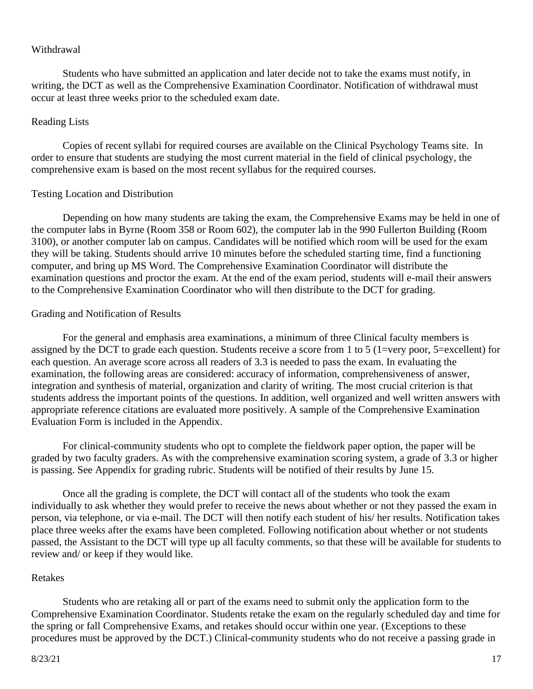#### Withdrawal

Students who have submitted an application and later decide not to take the exams must notify, in writing, the DCT as well as the Comprehensive Examination Coordinator. Notification of withdrawal must occur at least three weeks prior to the scheduled exam date.

#### Reading Lists

Copies of recent syllabi for required courses are available on the Clinical Psychology Teams site. In order to ensure that students are studying the most current material in the field of clinical psychology, the comprehensive exam is based on the most recent syllabus for the required courses.

#### Testing Location and Distribution

Depending on how many students are taking the exam, the Comprehensive Exams may be held in one of the computer labs in Byrne (Room 358 or Room 602), the computer lab in the 990 Fullerton Building (Room 3100), or another computer lab on campus. Candidates will be notified which room will be used for the exam they will be taking. Students should arrive 10 minutes before the scheduled starting time, find a functioning computer, and bring up MS Word. The Comprehensive Examination Coordinator will distribute the examination questions and proctor the exam. At the end of the exam period, students will e-mail their answers to the Comprehensive Examination Coordinator who will then distribute to the DCT for grading.

#### Grading and Notification of Results

For the general and emphasis area examinations, a minimum of three Clinical faculty members is assigned by the DCT to grade each question. Students receive a score from 1 to 5 (1=very poor, 5=excellent) for each question. An average score across all readers of 3.3 is needed to pass the exam. In evaluating the examination, the following areas are considered: accuracy of information, comprehensiveness of answer, integration and synthesis of material, organization and clarity of writing. The most crucial criterion is that students address the important points of the questions. In addition, well organized and well written answers with appropriate reference citations are evaluated more positively. A sample of the Comprehensive Examination Evaluation Form is included in the Appendix.

For clinical-community students who opt to complete the fieldwork paper option, the paper will be graded by two faculty graders. As with the comprehensive examination scoring system, a grade of 3.3 or higher is passing. See Appendix for grading rubric. Students will be notified of their results by June 15.

Once all the grading is complete, the DCT will contact all of the students who took the exam individually to ask whether they would prefer to receive the news about whether or not they passed the exam in person, via telephone, or via e-mail. The DCT will then notify each student of his/ her results. Notification takes place three weeks after the exams have been completed. Following notification about whether or not students passed, the Assistant to the DCT will type up all faculty comments, so that these will be available for students to review and/ or keep if they would like.

#### Retakes

Students who are retaking all or part of the exams need to submit only the application form to the Comprehensive Examination Coordinator. Students retake the exam on the regularly scheduled day and time for the spring or fall Comprehensive Exams, and retakes should occur within one year. (Exceptions to these procedures must be approved by the DCT.) Clinical-community students who do not receive a passing grade in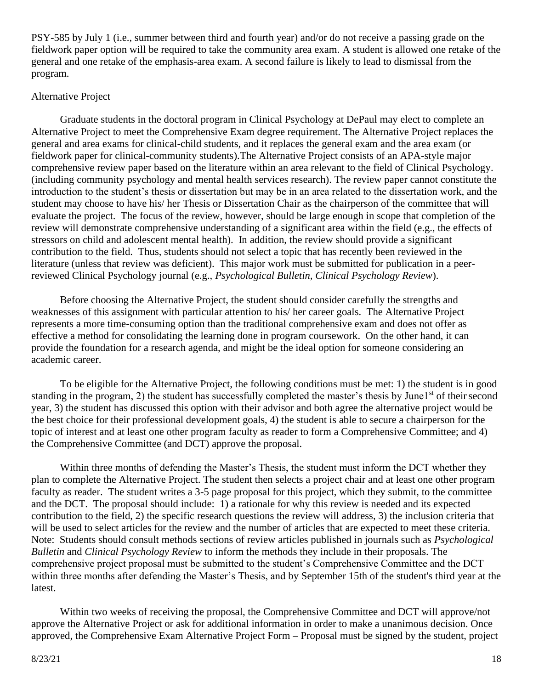PSY-585 by July 1 (i.e., summer between third and fourth year) and/or do not receive a passing grade on the fieldwork paper option will be required to take the community area exam. A student is allowed one retake of the general and one retake of the emphasis-area exam. A second failure is likely to lead to dismissal from the program.

#### Alternative Project

Graduate students in the doctoral program in Clinical Psychology at DePaul may elect to complete an Alternative Project to meet the Comprehensive Exam degree requirement. The Alternative Project replaces the general and area exams for clinical-child students, and it replaces the general exam and the area exam (or fieldwork paper for clinical-community students).The Alternative Project consists of an APA-style major comprehensive review paper based on the literature within an area relevant to the field of Clinical Psychology. (including community psychology and mental health services research). The review paper cannot constitute the introduction to the student's thesis or dissertation but may be in an area related to the dissertation work, and the student may choose to have his/ her Thesis or Dissertation Chair as the chairperson of the committee that will evaluate the project. The focus of the review, however, should be large enough in scope that completion of the review will demonstrate comprehensive understanding of a significant area within the field (e.g., the effects of stressors on child and adolescent mental health). In addition, the review should provide a significant contribution to the field. Thus, students should not select a topic that has recently been reviewed in the literature (unless that review was deficient). This major work must be submitted for publication in a peerreviewed Clinical Psychology journal (e.g., *Psychological Bulletin, Clinical Psychology Review*).

Before choosing the Alternative Project, the student should consider carefully the strengths and weaknesses of this assignment with particular attention to his/ her career goals. The Alternative Project represents a more time-consuming option than the traditional comprehensive exam and does not offer as effective a method for consolidating the learning done in program coursework. On the other hand, it can provide the foundation for a research agenda, and might be the ideal option for someone considering an academic career.

To be eligible for the Alternative Project, the following conditions must be met: 1) the student is in good standing in the program, 2) the student has successfully completed the master's thesis by June1st of their second year, 3) the student has discussed this option with their advisor and both agree the alternative project would be the best choice for their professional development goals, 4) the student is able to secure a chairperson for the topic of interest and at least one other program faculty as reader to form a Comprehensive Committee; and 4) the Comprehensive Committee (and DCT) approve the proposal.

Within three months of defending the Master's Thesis, the student must inform the DCT whether they plan to complete the Alternative Project. The student then selects a project chair and at least one other program faculty as reader. The student writes a 3-5 page proposal for this project, which they submit, to the committee and the DCT. The proposal should include: 1) a rationale for why this review is needed and its expected contribution to the field, 2) the specific research questions the review will address, 3) the inclusion criteria that will be used to select articles for the review and the number of articles that are expected to meet these criteria. Note: Students should consult methods sections of review articles published in journals such as *Psychological Bulletin* and *Clinical Psychology Review* to inform the methods they include in their proposals. The comprehensive project proposal must be submitted to the student's Comprehensive Committee and the DCT within three months after defending the Master's Thesis, and by September 15th of the student's third year at the latest.

Within two weeks of receiving the proposal, the Comprehensive Committee and DCT will approve/not approve the Alternative Project or ask for additional information in order to make a unanimous decision. Once approved, the Comprehensive Exam Alternative Project Form – Proposal must be signed by the student, project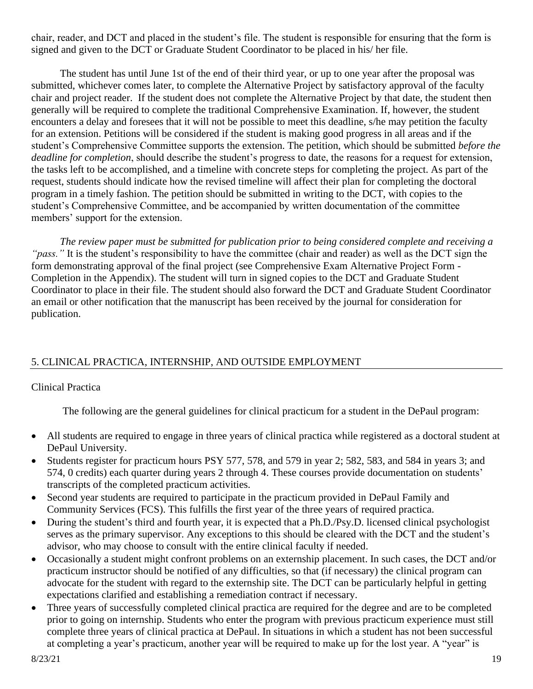chair, reader, and DCT and placed in the student's file. The student is responsible for ensuring that the form is signed and given to the DCT or Graduate Student Coordinator to be placed in his/ her file.

The student has until June 1st of the end of their third year, or up to one year after the proposal was submitted, whichever comes later, to complete the Alternative Project by satisfactory approval of the faculty chair and project reader. If the student does not complete the Alternative Project by that date, the student then generally will be required to complete the traditional Comprehensive Examination. If, however, the student encounters a delay and foresees that it will not be possible to meet this deadline, s/he may petition the faculty for an extension. Petitions will be considered if the student is making good progress in all areas and if the student's Comprehensive Committee supports the extension. The petition, which should be submitted *before the deadline for completion*, should describe the student's progress to date, the reasons for a request for extension, the tasks left to be accomplished, and a timeline with concrete steps for completing the project. As part of the request, students should indicate how the revised timeline will affect their plan for completing the doctoral program in a timely fashion. The petition should be submitted in writing to the DCT, with copies to the student's Comprehensive Committee, and be accompanied by written documentation of the committee members' support for the extension.

*The review paper must be submitted for publication prior to being considered complete and receiving a "pass."* It is the student's responsibility to have the committee (chair and reader) as well as the DCT sign the form demonstrating approval of the final project (see Comprehensive Exam Alternative Project Form - Completion in the Appendix). The student will turn in signed copies to the DCT and Graduate Student Coordinator to place in their file. The student should also forward the DCT and Graduate Student Coordinator an email or other notification that the manuscript has been received by the journal for consideration for publication.

# 5. CLINICAL PRACTICA, INTERNSHIP, AND OUTSIDE EMPLOYMENT

# Clinical Practica

The following are the general guidelines for clinical practicum for a student in the DePaul program:

- All students are required to engage in three years of clinical practica while registered as a doctoral student at DePaul University.
- Students register for practicum hours PSY 577, 578, and 579 in year 2; 582, 583, and 584 in years 3; and 574, 0 credits) each quarter during years 2 through 4. These courses provide documentation on students' transcripts of the completed practicum activities.
- Second year students are required to participate in the practicum provided in DePaul Family and Community Services (FCS). This fulfills the first year of the three years of required practica.
- During the student's third and fourth year, it is expected that a Ph.D./Psy.D. licensed clinical psychologist serves as the primary supervisor. Any exceptions to this should be cleared with the DCT and the student's advisor, who may choose to consult with the entire clinical faculty if needed.
- Occasionally a student might confront problems on an externship placement. In such cases, the DCT and/or practicum instructor should be notified of any difficulties, so that (if necessary) the clinical program can advocate for the student with regard to the externship site. The DCT can be particularly helpful in getting expectations clarified and establishing a remediation contract if necessary.
- Three years of successfully completed clinical practica are required for the degree and are to be completed prior to going on internship. Students who enter the program with previous practicum experience must still complete three years of clinical practica at DePaul. In situations in which a student has not been successful at completing a year's practicum, another year will be required to make up for the lost year. A "year" is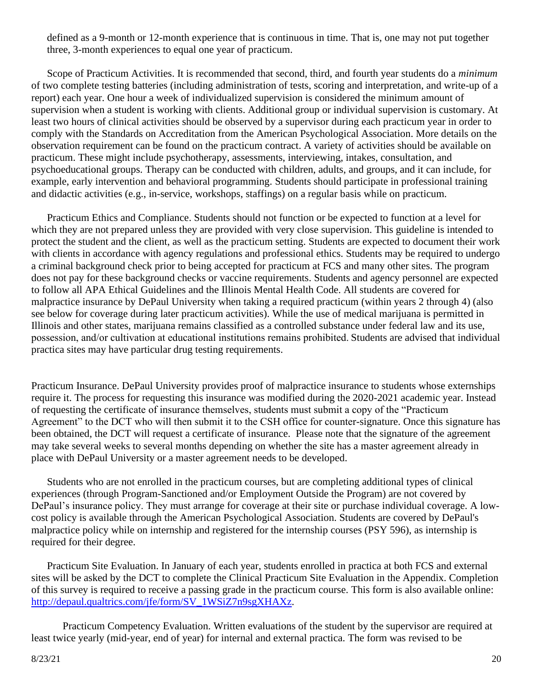defined as a 9-month or 12-month experience that is continuous in time. That is, one may not put together three, 3-month experiences to equal one year of practicum.

Scope of Practicum Activities. It is recommended that second, third, and fourth year students do a *minimum* of two complete testing batteries (including administration of tests, scoring and interpretation, and write-up of a report) each year. One hour a week of individualized supervision is considered the minimum amount of supervision when a student is working with clients. Additional group or individual supervision is customary. At least two hours of clinical activities should be observed by a supervisor during each practicum year in order to comply with the Standards on Accreditation from the American Psychological Association. More details on the observation requirement can be found on the practicum contract. A variety of activities should be available on practicum. These might include psychotherapy, assessments, interviewing, intakes, consultation, and psychoeducational groups. Therapy can be conducted with children, adults, and groups, and it can include, for example, early intervention and behavioral programming. Students should participate in professional training and didactic activities (e.g., in-service, workshops, staffings) on a regular basis while on practicum.

Practicum Ethics and Compliance. Students should not function or be expected to function at a level for which they are not prepared unless they are provided with very close supervision. This guideline is intended to protect the student and the client, as well as the practicum setting. Students are expected to document their work with clients in accordance with agency regulations and professional ethics. Students may be required to undergo a criminal background check prior to being accepted for practicum at FCS and many other sites. The program does not pay for these background checks or vaccine requirements. Students and agency personnel are expected to follow all APA Ethical Guidelines and the Illinois Mental Health Code. All students are covered for malpractice insurance by DePaul University when taking a required practicum (within years 2 through 4) (also see below for coverage during later practicum activities). While the use of medical marijuana is permitted in Illinois and other states, marijuana remains classified as a controlled substance under federal law and its use, possession, and/or cultivation at educational institutions remains prohibited. Students are advised that individual practica sites may have particular drug testing requirements.

Practicum Insurance. DePaul University provides proof of malpractice insurance to students whose externships require it. The process for requesting this insurance was modified during the 2020-2021 academic year. Instead of requesting the certificate of insurance themselves, students must submit a copy of the "Practicum Agreement" to the DCT who will then submit it to the CSH office for counter-signature. Once this signature has been obtained, the DCT will request a certificate of insurance. Please note that the signature of the agreement may take several weeks to several months depending on whether the site has a master agreement already in place with DePaul University or a master agreement needs to be developed.

Students who are not enrolled in the practicum courses, but are completing additional types of clinical experiences (through Program-Sanctioned and/or Employment Outside the Program) are not covered by DePaul's insurance policy. They must arrange for coverage at their site or purchase individual coverage. A lowcost policy is available through the American Psychological Association. Students are covered by DePaul's malpractice policy while on internship and registered for the internship courses (PSY 596), as internship is required for their degree.

Practicum Site Evaluation. In January of each year, students enrolled in practica at both FCS and external sites will be asked by the DCT to complete the Clinical Practicum Site Evaluation in the Appendix. Completion of this survey is required to receive a passing grade in the practicum course. This form is also available online: [http://depaul.qualtrics.com/jfe/form/SV\\_1WSiZ7n9sgXHAXz.](http://depaul.qualtrics.com/jfe/form/SV_1WSiZ7n9sgXHAXz)

Practicum Competency Evaluation. Written evaluations of the student by the supervisor are required at least twice yearly (mid-year, end of year) for internal and external practica. The form was revised to be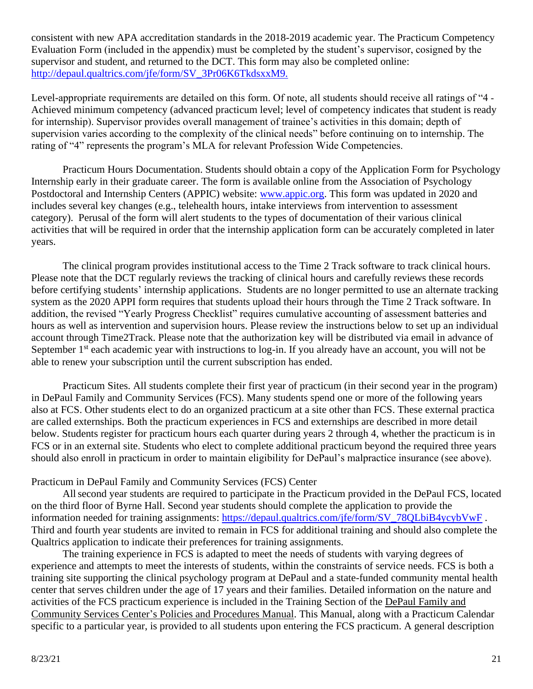consistent with new APA accreditation standards in the 2018-2019 academic year. The Practicum Competency Evaluation Form (included in the appendix) must be completed by the student's supervisor, cosigned by the supervisor and student, and returned to the DCT. This form may also be completed online: [http://depaul.qualtrics.com/jfe/form/SV\\_3Pr06K6TkdsxxM9.](http://depaul.qualtrics.com/jfe/form/SV_3Pr06K6TkdsxxM9.)

Level-appropriate requirements are detailed on this form. Of note, all students should receive all ratings of "4 - Achieved minimum competency (advanced practicum level; level of competency indicates that student is ready for internship). Supervisor provides overall management of trainee's activities in this domain; depth of supervision varies according to the complexity of the clinical needs" before continuing on to internship. The rating of "4" represents the program's MLA for relevant Profession Wide Competencies.

Practicum Hours Documentation. Students should obtain a copy of the Application Form for Psychology Internship early in their graduate career. The form is available online from the Association of Psychology Postdoctoral and Internship Centers (APPIC) website: [www.appic.org.](http://www.appic.org/) This form was updated in 2020 and includes several key changes (e.g., telehealth hours, intake interviews from intervention to assessment category). Perusal of the form will alert students to the types of documentation of their various clinical activities that will be required in order that the internship application form can be accurately completed in later years.

The clinical program provides institutional access to the Time 2 Track software to track clinical hours. Please note that the DCT regularly reviews the tracking of clinical hours and carefully reviews these records before certifying students' internship applications. Students are no longer permitted to use an alternate tracking system as the 2020 APPI form requires that students upload their hours through the Time 2 Track software. In addition, the revised "Yearly Progress Checklist" requires cumulative accounting of assessment batteries and hours as well as intervention and supervision hours. Please review the instructions below to set up an individual account through Time2Track. Please note that the authorization key will be distributed via email in advance of September 1<sup>st</sup> each academic year with instructions to log-in. If you already have an account, you will not be able to renew your subscription until the current subscription has ended.

Practicum Sites. All students complete their first year of practicum (in their second year in the program) in DePaul Family and Community Services (FCS). Many students spend one or more of the following years also at FCS. Other students elect to do an organized practicum at a site other than FCS. These external practica are called externships. Both the practicum experiences in FCS and externships are described in more detail below. Students register for practicum hours each quarter during years 2 through 4, whether the practicum is in FCS or in an external site. Students who elect to complete additional practicum beyond the required three years should also enroll in practicum in order to maintain eligibility for DePaul's malpractice insurance (see above).

#### Practicum in DePaul Family and Community Services (FCS) Center

Allsecond year students are required to participate in the Practicum provided in the DePaul FCS, located on the third floor of Byrne Hall. Second year students should complete the application to provide the information needed for training assignments: [https://depaul.qualtrics.com/jfe/form/SV\\_78QLbiB4ycybVwF](https://depaul.qualtrics.com/jfe/form/SV_78QLbiB4ycybVwF). Third and fourth year students are invited to remain in FCS for additional training and should also complete the Qualtrics application to indicate their preferences for training assignments.

The training experience in FCS is adapted to meet the needs of students with varying degrees of experience and attempts to meet the interests of students, within the constraints of service needs. FCS is both a training site supporting the clinical psychology program at DePaul and a state-funded community mental health center that serves children under the age of 17 years and their families. Detailed information on the nature and activities of the FCS practicum experience is included in the Training Section of the DePaul Family and Community Services Center's Policies and Procedures Manual. This Manual, along with a Practicum Calendar specific to a particular year, is provided to all students upon entering the FCS practicum. A general description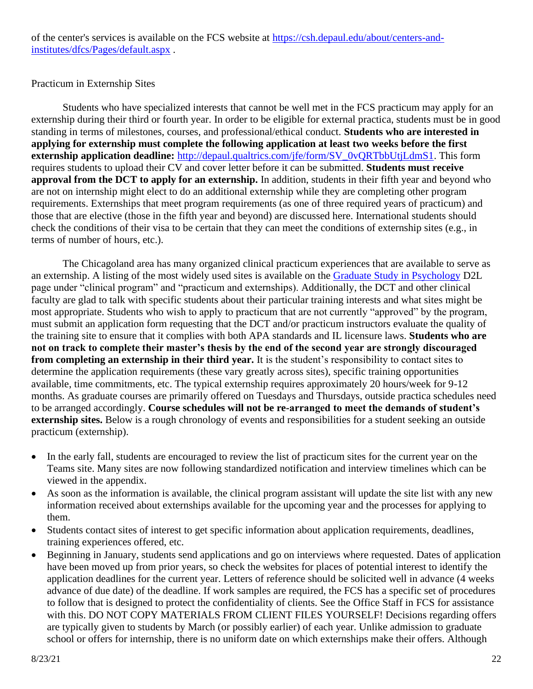### Practicum in Externship Sites

Students who have specialized interests that cannot be well met in the FCS practicum may apply for an externship during their third or fourth year. In order to be eligible for external practica, students must be in good standing in terms of milestones, courses, and professional/ethical conduct. **Students who are interested in applying for externship must complete the following application at least two weeks before the first externship application deadline:** [http://depaul.qualtrics.com/jfe/form/SV\\_0vQRTbbUtjLdmS1.](http://depaul.qualtrics.com/jfe/form/SV_0vQRTbbUtjLdmS1) This form requires students to upload their CV and cover letter before it can be submitted. **Students must receive approval from the DCT to apply for an externship.** In addition, students in their fifth year and beyond who are not on internship might elect to do an additional externship while they are completing other program requirements. Externships that meet program requirements (as one of three required years of practicum) and those that are elective (those in the fifth year and beyond) are discussed here. International students should check the conditions of their visa to be certain that they can meet the conditions of externship sites (e.g., in terms of number of hours, etc.).

The Chicagoland area has many organized clinical practicum experiences that are available to serve as an externship. A listing of the most widely used sites is available on the [Graduate Study in Psychology](https://d2l.depaul.edu/d2l/le/content/530759/Home) D2L page under "clinical program" and "practicum and externships). Additionally, the DCT and other clinical faculty are glad to talk with specific students about their particular training interests and what sites might be most appropriate. Students who wish to apply to practicum that are not currently "approved" by the program, must submit an application form requesting that the DCT and/or practicum instructors evaluate the quality of the training site to ensure that it complies with both APA standards and IL licensure laws. **Students who are not on track to complete their master's thesis by the end of the second year are strongly discouraged from completing an externship in their third year.** It is the student's responsibility to contact sites to determine the application requirements (these vary greatly across sites), specific training opportunities available, time commitments, etc. The typical externship requires approximately 20 hours/week for 9-12 months. As graduate courses are primarily offered on Tuesdays and Thursdays, outside practica schedules need to be arranged accordingly. **Course schedules will not be re-arranged to meet the demands of student's externship sites.** Below is a rough chronology of events and responsibilities for a student seeking an outside practicum (externship).

- In the early fall, students are encouraged to review the list of practicum sites for the current year on the Teams site. Many sites are now following standardized notification and interview timelines which can be viewed in the appendix.
- As soon as the information is available, the clinical program assistant will update the site list with any new information received about externships available for the upcoming year and the processes for applying to them.
- Students contact sites of interest to get specific information about application requirements, deadlines, training experiences offered, etc.
- Beginning in January, students send applications and go on interviews where requested. Dates of application have been moved up from prior years, so check the websites for places of potential interest to identify the application deadlines for the current year. Letters of reference should be solicited well in advance (4 weeks advance of due date) of the deadline. If work samples are required, the FCS has a specific set of procedures to follow that is designed to protect the confidentiality of clients. See the Office Staff in FCS for assistance with this. DO NOT COPY MATERIALS FROM CLIENT FILES YOURSELF! Decisions regarding offers are typically given to students by March (or possibly earlier) of each year. Unlike admission to graduate school or offers for internship, there is no uniform date on which externships make their offers. Although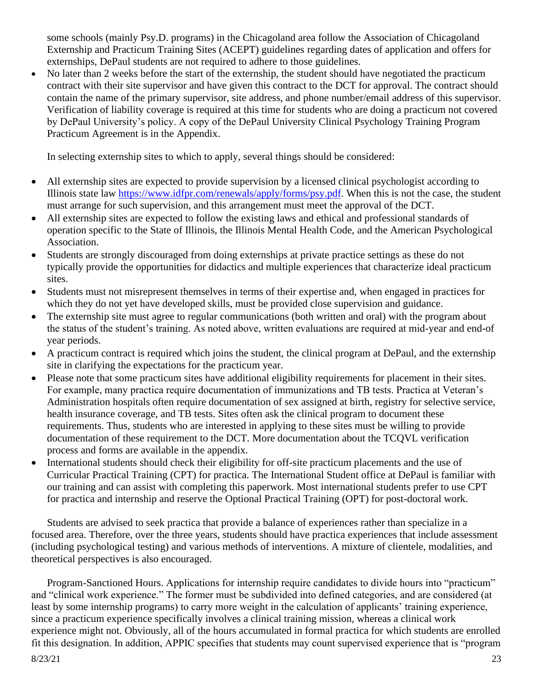some schools (mainly Psy.D. programs) in the Chicagoland area follow the Association of Chicagoland Externship and Practicum Training Sites (ACEPT) guidelines regarding dates of application and offers for externships, DePaul students are not required to adhere to those guidelines.

• No later than 2 weeks before the start of the externship, the student should have negotiated the practicum contract with their site supervisor and have given this contract to the DCT for approval. The contract should contain the name of the primary supervisor, site address, and phone number/email address of this supervisor. Verification of liability coverage is required at this time for students who are doing a practicum not covered by DePaul University's policy. A copy of the DePaul University Clinical Psychology Training Program Practicum Agreement is in the Appendix.

In selecting externship sites to which to apply, several things should be considered:

- All externship sites are expected to provide supervision by a licensed clinical psychologist according to Illinois state law [https://www.idfpr.com/renewals/apply/forms/psy.pdf.](https://www.idfpr.com/renewals/apply/forms/psy.pdf) When this is not the case, the student must arrange for such supervision, and this arrangement must meet the approval of the DCT.
- All externship sites are expected to follow the existing laws and ethical and professional standards of operation specific to the State of Illinois, the Illinois Mental Health Code, and the American Psychological Association.
- Students are strongly discouraged from doing externships at private practice settings as these do not typically provide the opportunities for didactics and multiple experiences that characterize ideal practicum sites.
- Students must not misrepresent themselves in terms of their expertise and, when engaged in practices for which they do not yet have developed skills, must be provided close supervision and guidance.
- The externship site must agree to regular communications (both written and oral) with the program about the status of the student's training. As noted above, written evaluations are required at mid-year and end-of year periods.
- A practicum contract is required which joins the student, the clinical program at DePaul, and the externship site in clarifying the expectations for the practicum year.
- Please note that some practicum sites have additional eligibility requirements for placement in their sites. For example, many practica require documentation of immunizations and TB tests. Practica at Veteran's Administration hospitals often require documentation of sex assigned at birth, registry for selective service, health insurance coverage, and TB tests. Sites often ask the clinical program to document these requirements. Thus, students who are interested in applying to these sites must be willing to provide documentation of these requirement to the DCT. More documentation about the TCQVL verification process and forms are available in the appendix.
- International students should check their eligibility for off-site practicum placements and the use of Curricular Practical Training (CPT) for practica. The International Student office at DePaul is familiar with our training and can assist with completing this paperwork. Most international students prefer to use CPT for practica and internship and reserve the Optional Practical Training (OPT) for post-doctoral work.

Students are advised to seek practica that provide a balance of experiences rather than specialize in a focused area. Therefore, over the three years, students should have practica experiences that include assessment (including psychological testing) and various methods of interventions. A mixture of clientele, modalities, and theoretical perspectives is also encouraged.

Program-Sanctioned Hours. Applications for internship require candidates to divide hours into "practicum" and "clinical work experience." The former must be subdivided into defined categories, and are considered (at least by some internship programs) to carry more weight in the calculation of applicants' training experience, since a practicum experience specifically involves a clinical training mission, whereas a clinical work experience might not. Obviously, all of the hours accumulated in formal practica for which students are enrolled fit this designation. In addition, APPIC specifies that students may count supervised experience that is "program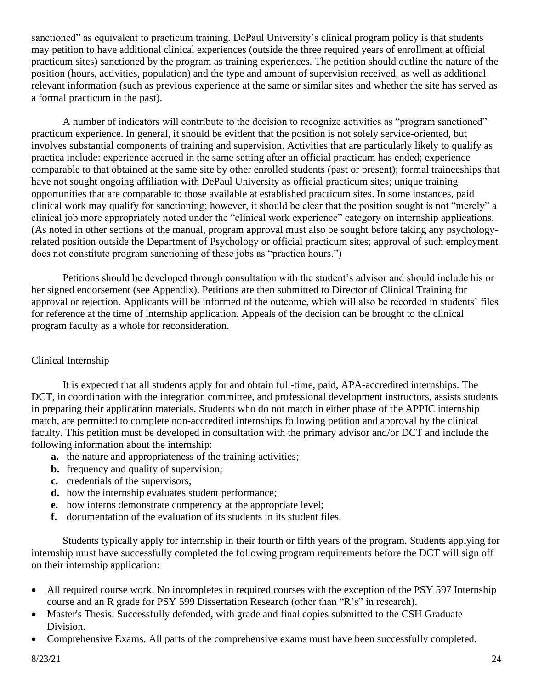sanctioned" as equivalent to practicum training. DePaul University's clinical program policy is that students may petition to have additional clinical experiences (outside the three required years of enrollment at official practicum sites) sanctioned by the program as training experiences. The petition should outline the nature of the position (hours, activities, population) and the type and amount of supervision received, as well as additional relevant information (such as previous experience at the same or similar sites and whether the site has served as a formal practicum in the past).

A number of indicators will contribute to the decision to recognize activities as "program sanctioned" practicum experience. In general, it should be evident that the position is not solely service-oriented, but involves substantial components of training and supervision. Activities that are particularly likely to qualify as practica include: experience accrued in the same setting after an official practicum has ended; experience comparable to that obtained at the same site by other enrolled students (past or present); formal traineeships that have not sought ongoing affiliation with DePaul University as official practicum sites; unique training opportunities that are comparable to those available at established practicum sites. In some instances, paid clinical work may qualify for sanctioning; however, it should be clear that the position sought is not "merely" a clinical job more appropriately noted under the "clinical work experience" category on internship applications. (As noted in other sections of the manual, program approval must also be sought before taking any psychologyrelated position outside the Department of Psychology or official practicum sites; approval of such employment does not constitute program sanctioning of these jobs as "practica hours.")

Petitions should be developed through consultation with the student's advisor and should include his or her signed endorsement (see Appendix). Petitions are then submitted to Director of Clinical Training for approval or rejection. Applicants will be informed of the outcome, which will also be recorded in students' files for reference at the time of internship application. Appeals of the decision can be brought to the clinical program faculty as a whole for reconsideration.

## Clinical Internship

It is expected that all students apply for and obtain full-time, paid, APA-accredited internships. The DCT, in coordination with the integration committee, and professional development instructors, assists students in preparing their application materials. Students who do not match in either phase of the APPIC internship match, are permitted to complete non-accredited internships following petition and approval by the clinical faculty. This petition must be developed in consultation with the primary advisor and/or DCT and include the following information about the internship:

- **a.** the nature and appropriateness of the training activities;
- **b.** frequency and quality of supervision;
- **c.** credentials of the supervisors;
- **d.** how the internship evaluates student performance;
- **e.** how interns demonstrate competency at the appropriate level;
- **f.** documentation of the evaluation of its students in its student files.

Students typically apply for internship in their fourth or fifth years of the program. Students applying for internship must have successfully completed the following program requirements before the DCT will sign off on their internship application:

- All required course work. No incompletes in required courses with the exception of the PSY 597 Internship course and an R grade for PSY 599 Dissertation Research (other than "R's" in research).
- Master's Thesis. Successfully defended, with grade and final copies submitted to the CSH Graduate Division.
- Comprehensive Exams. All parts of the comprehensive exams must have been successfully completed.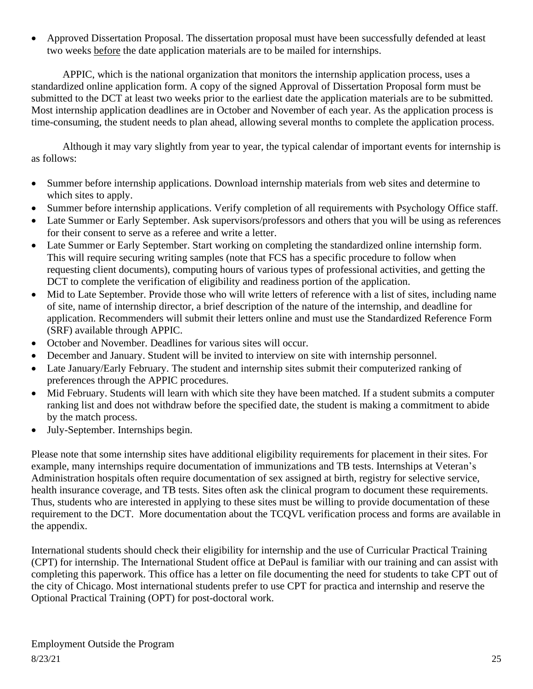• Approved Dissertation Proposal. The dissertation proposal must have been successfully defended at least two weeks before the date application materials are to be mailed for internships.

APPIC, which is the national organization that monitors the internship application process, uses a standardized online application form. A copy of the signed Approval of Dissertation Proposal form must be submitted to the DCT at least two weeks prior to the earliest date the application materials are to be submitted. Most internship application deadlines are in October and November of each year. As the application process is time-consuming, the student needs to plan ahead, allowing several months to complete the application process.

Although it may vary slightly from year to year, the typical calendar of important events for internship is as follows:

- Summer before internship applications. Download internship materials from web sites and determine to which sites to apply.
- Summer before internship applications. Verify completion of all requirements with Psychology Office staff.
- Late Summer or Early September. Ask supervisors/professors and others that you will be using as references for their consent to serve as a referee and write a letter.
- Late Summer or Early September. Start working on completing the standardized online internship form. This will require securing writing samples (note that FCS has a specific procedure to follow when requesting client documents), computing hours of various types of professional activities, and getting the DCT to complete the verification of eligibility and readiness portion of the application.
- Mid to Late September. Provide those who will write letters of reference with a list of sites, including name of site, name of internship director, a brief description of the nature of the internship, and deadline for application. Recommenders will submit their letters online and must use the Standardized Reference Form (SRF) available through APPIC.
- October and November. Deadlines for various sites will occur.
- December and January. Student will be invited to interview on site with internship personnel.
- Late January/Early February. The student and internship sites submit their computerized ranking of preferences through the APPIC procedures.
- Mid February. Students will learn with which site they have been matched. If a student submits a computer ranking list and does not withdraw before the specified date, the student is making a commitment to abide by the match process.
- July-September. Internships begin.

Please note that some internship sites have additional eligibility requirements for placement in their sites. For example, many internships require documentation of immunizations and TB tests. Internships at Veteran's Administration hospitals often require documentation of sex assigned at birth, registry for selective service, health insurance coverage, and TB tests. Sites often ask the clinical program to document these requirements. Thus, students who are interested in applying to these sites must be willing to provide documentation of these requirement to the DCT. More documentation about the TCQVL verification process and forms are available in the appendix.

International students should check their eligibility for internship and the use of Curricular Practical Training (CPT) for internship. The International Student office at DePaul is familiar with our training and can assist with completing this paperwork. This office has a letter on file documenting the need for students to take CPT out of the city of Chicago. Most international students prefer to use CPT for practica and internship and reserve the Optional Practical Training (OPT) for post-doctoral work.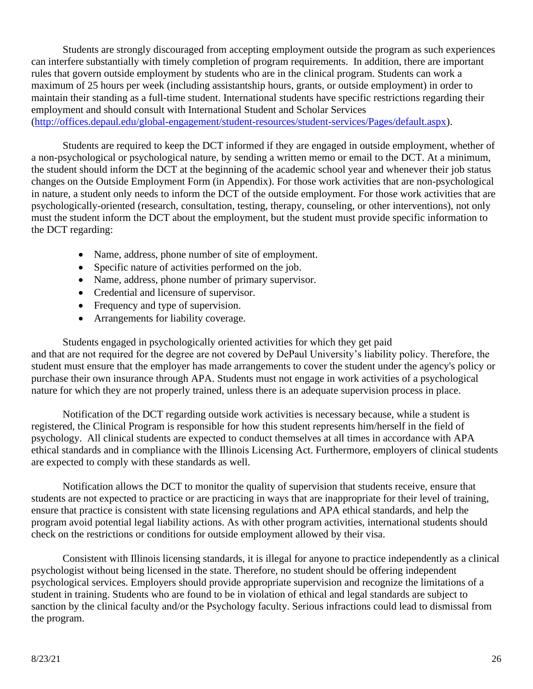Students are strongly discouraged from accepting employment outside the program as such experiences can interfere substantially with timely completion of program requirements. In addition, there are important rules that govern outside employment by students who are in the clinical program. Students can work a maximum of 25 hours per week (including assistantship hours, grants, or outside employment) in order to maintain their standing as a full-time student. International students have specific restrictions regarding their employment and should consult with International Student and Scholar Services [\(http://offices.depaul.edu/global-engagement/student-resources/student-services/Pages/default.aspx\)](http://offices.depaul.edu/global-engagement/student-resources/student-services/Pages/default.aspx).

Students are required to keep the DCT informed if they are engaged in outside employment, whether of a non-psychological or psychological nature, by sending a written memo or email to the DCT. At a minimum, the student should inform the DCT at the beginning of the academic school year and whenever their job status changes on the Outside Employment Form (in Appendix). For those work activities that are non-psychological in nature, a student only needs to inform the DCT of the outside employment. For those work activities that are psychologically-oriented (research, consultation, testing, therapy, counseling, or other interventions), not only must the student inform the DCT about the employment, but the student must provide specific information to the DCT regarding:

- Name, address, phone number of site of employment.
- Specific nature of activities performed on the job.
- Name, address, phone number of primary supervisor.
- Credential and licensure of supervisor.
- Frequency and type of supervision.
- Arrangements for liability coverage.

Students engaged in psychologically oriented activities for which they get paid and that are not required for the degree are not covered by DePaul University's liability policy. Therefore, the student must ensure that the employer has made arrangements to cover the student under the agency's policy or purchase their own insurance through APA. Students must not engage in work activities of a psychological nature for which they are not properly trained, unless there is an adequate supervision process in place.

Notification of the DCT regarding outside work activities is necessary because, while a student is registered, the Clinical Program is responsible for how this student represents him/herself in the field of psychology. All clinical students are expected to conduct themselves at all times in accordance with APA ethical standards and in compliance with the Illinois Licensing Act. Furthermore, employers of clinical students are expected to comply with these standards as well.

Notification allows the DCT to monitor the quality of supervision that students receive, ensure that students are not expected to practice or are practicing in ways that are inappropriate for their level of training, ensure that practice is consistent with state licensing regulations and APA ethical standards, and help the program avoid potential legal liability actions. As with other program activities, international students should check on the restrictions or conditions for outside employment allowed by their visa.

Consistent with Illinois licensing standards, it is illegal for anyone to practice independently as a clinical psychologist without being licensed in the state. Therefore, no student should be offering independent psychological services. Employers should provide appropriate supervision and recognize the limitations of a student in training. Students who are found to be in violation of ethical and legal standards are subject to sanction by the clinical faculty and/or the Psychology faculty. Serious infractions could lead to dismissal from the program.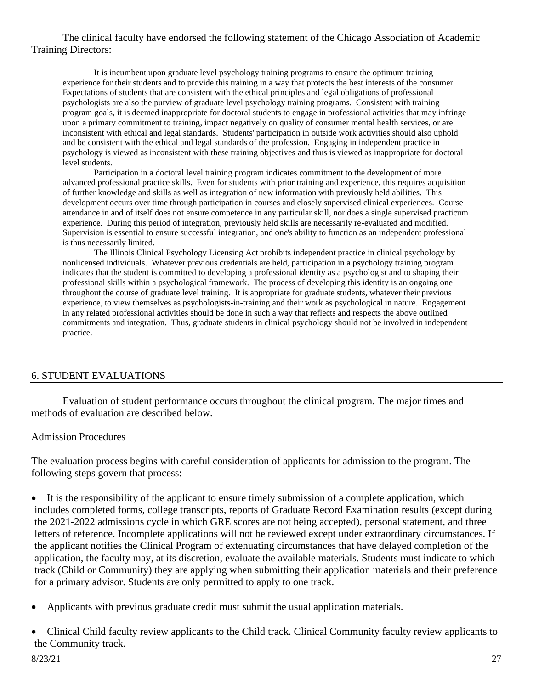#### The clinical faculty have endorsed the following statement of the Chicago Association of Academic Training Directors:

It is incumbent upon graduate level psychology training programs to ensure the optimum training experience for their students and to provide this training in a way that protects the best interests of the consumer. Expectations of students that are consistent with the ethical principles and legal obligations of professional psychologists are also the purview of graduate level psychology training programs. Consistent with training program goals, it is deemed inappropriate for doctoral students to engage in professional activities that may infringe upon a primary commitment to training, impact negatively on quality of consumer mental health services, or are inconsistent with ethical and legal standards. Students' participation in outside work activities should also uphold and be consistent with the ethical and legal standards of the profession. Engaging in independent practice in psychology is viewed as inconsistent with these training objectives and thus is viewed as inappropriate for doctoral level students.

Participation in a doctoral level training program indicates commitment to the development of more advanced professional practice skills. Even for students with prior training and experience, this requires acquisition of further knowledge and skills as well as integration of new information with previously held abilities. This development occurs over time through participation in courses and closely supervised clinical experiences. Course attendance in and of itself does not ensure competence in any particular skill, nor does a single supervised practicum experience. During this period of integration, previously held skills are necessarily re-evaluated and modified. Supervision is essential to ensure successful integration, and one's ability to function as an independent professional is thus necessarily limited.

The Illinois Clinical Psychology Licensing Act prohibits independent practice in clinical psychology by nonlicensed individuals. Whatever previous credentials are held, participation in a psychology training program indicates that the student is committed to developing a professional identity as a psychologist and to shaping their professional skills within a psychological framework. The process of developing this identity is an ongoing one throughout the course of graduate level training. It is appropriate for graduate students, whatever their previous experience, to view themselves as psychologists-in-training and their work as psychological in nature. Engagement in any related professional activities should be done in such a way that reflects and respects the above outlined commitments and integration. Thus, graduate students in clinical psychology should not be involved in independent practice.

#### 6. STUDENT EVALUATIONS

Evaluation of student performance occurs throughout the clinical program. The major times and methods of evaluation are described below.

#### Admission Procedures

The evaluation process begins with careful consideration of applicants for admission to the program. The following steps govern that process:

- It is the responsibility of the applicant to ensure timely submission of a complete application, which includes completed forms, college transcripts, reports of Graduate Record Examination results (except during the 2021-2022 admissions cycle in which GRE scores are not being accepted), personal statement, and three letters of reference. Incomplete applications will not be reviewed except under extraordinary circumstances. If the applicant notifies the Clinical Program of extenuating circumstances that have delayed completion of the application, the faculty may, at its discretion, evaluate the available materials. Students must indicate to which track (Child or Community) they are applying when submitting their application materials and their preference for a primary advisor. Students are only permitted to apply to one track.
- Applicants with previous graduate credit must submit the usual application materials.
- Clinical Child faculty review applicants to the Child track. Clinical Community faculty review applicants to the Community track.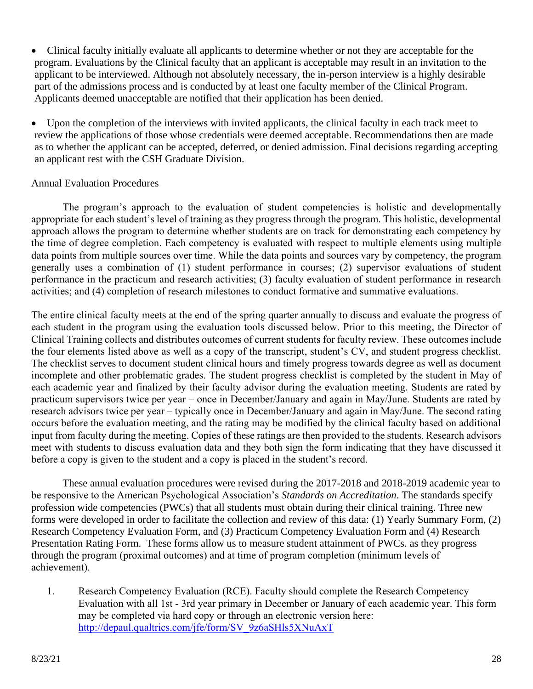• Clinical faculty initially evaluate all applicants to determine whether or not they are acceptable for the program. Evaluations by the Clinical faculty that an applicant is acceptable may result in an invitation to the applicant to be interviewed. Although not absolutely necessary, the in-person interview is a highly desirable part of the admissions process and is conducted by at least one faculty member of the Clinical Program. Applicants deemed unacceptable are notified that their application has been denied.

• Upon the completion of the interviews with invited applicants, the clinical faculty in each track meet to review the applications of those whose credentials were deemed acceptable. Recommendations then are made as to whether the applicant can be accepted, deferred, or denied admission. Final decisions regarding accepting an applicant rest with the CSH Graduate Division.

## Annual Evaluation Procedures

The program's approach to the evaluation of student competencies is holistic and developmentally appropriate for each student's level of training as they progress through the program. This holistic, developmental approach allows the program to determine whether students are on track for demonstrating each competency by the time of degree completion. Each competency is evaluated with respect to multiple elements using multiple data points from multiple sources over time. While the data points and sources vary by competency, the program generally uses a combination of (1) student performance in courses; (2) supervisor evaluations of student performance in the practicum and research activities; (3) faculty evaluation of student performance in research activities; and (4) completion of research milestones to conduct formative and summative evaluations.

The entire clinical faculty meets at the end of the spring quarter annually to discuss and evaluate the progress of each student in the program using the evaluation tools discussed below. Prior to this meeting, the Director of Clinical Training collects and distributes outcomes of current students for faculty review. These outcomes include the four elements listed above as well as a copy of the transcript, student's CV, and student progress checklist. The checklist serves to document student clinical hours and timely progress towards degree as well as document incomplete and other problematic grades. The student progress checklist is completed by the student in May of each academic year and finalized by their faculty advisor during the evaluation meeting. Students are rated by practicum supervisors twice per year – once in December/January and again in May/June. Students are rated by research advisors twice per year – typically once in December/January and again in May/June. The second rating occurs before the evaluation meeting, and the rating may be modified by the clinical faculty based on additional input from faculty during the meeting. Copies of these ratings are then provided to the students. Research advisors meet with students to discuss evaluation data and they both sign the form indicating that they have discussed it before a copy is given to the student and a copy is placed in the student's record.

These annual evaluation procedures were revised during the 2017-2018 and 2018-2019 academic year to be responsive to the American Psychological Association's *Standards on Accreditation*. The standards specify profession wide competencies (PWCs) that all students must obtain during their clinical training. Three new forms were developed in order to facilitate the collection and review of this data: (1) Yearly Summary Form, (2) Research Competency Evaluation Form, and (3) Practicum Competency Evaluation Form and (4) Research Presentation Rating Form. These forms allow us to measure student attainment of PWCs. as they progress through the program (proximal outcomes) and at time of program completion (minimum levels of achievement).

1. Research Competency Evaluation (RCE). Faculty should complete the Research Competency Evaluation with all 1st - 3rd year primary in December or January of each academic year. This form may be completed via hard copy or through an electronic version here: [http://depaul.qualtrics.com/jfe/form/SV\\_9z6aSHls5XNuAxT](http://depaul.qualtrics.com/jfe/form/SV_9z6aSHls5XNuAxT)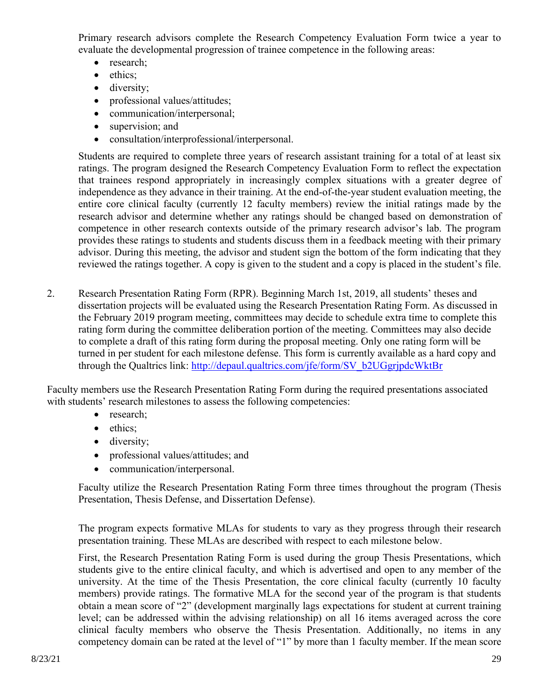Primary research advisors complete the Research Competency Evaluation Form twice a year to evaluate the developmental progression of trainee competence in the following areas:

- research;
- ethics;
- diversity;
- professional values/attitudes;
- communication/interpersonal;
- supervision; and
- consultation/interprofessional/interpersonal.

Students are required to complete three years of research assistant training for a total of at least six ratings. The program designed the Research Competency Evaluation Form to reflect the expectation that trainees respond appropriately in increasingly complex situations with a greater degree of independence as they advance in their training. At the end-of-the-year student evaluation meeting, the entire core clinical faculty (currently 12 faculty members) review the initial ratings made by the research advisor and determine whether any ratings should be changed based on demonstration of competence in other research contexts outside of the primary research advisor's lab. The program provides these ratings to students and students discuss them in a feedback meeting with their primary advisor. During this meeting, the advisor and student sign the bottom of the form indicating that they reviewed the ratings together. A copy is given to the student and a copy is placed in the student's file.

2. Research Presentation Rating Form (RPR). Beginning March 1st, 2019, all students' theses and dissertation projects will be evaluated using the Research Presentation Rating Form. As discussed in the February 2019 program meeting, committees may decide to schedule extra time to complete this rating form during the committee deliberation portion of the meeting. Committees may also decide to complete a draft of this rating form during the proposal meeting. Only one rating form will be turned in per student for each milestone defense. This form is currently available as a hard copy and through the Qualtrics link: [http://depaul.qualtrics.com/jfe/form/SV\\_b2UGgrjpdcWktBr](http://depaul.qualtrics.com/jfe/form/SV_b2UGgrjpdcWktBr)

Faculty members use the Research Presentation Rating Form during the required presentations associated with students' research milestones to assess the following competencies:

- research;
- ethics;
- diversity;
- professional values/attitudes; and
- communication/interpersonal.

Faculty utilize the Research Presentation Rating Form three times throughout the program (Thesis Presentation, Thesis Defense, and Dissertation Defense).

The program expects formative MLAs for students to vary as they progress through their research presentation training. These MLAs are described with respect to each milestone below.

First, the Research Presentation Rating Form is used during the group Thesis Presentations, which students give to the entire clinical faculty, and which is advertised and open to any member of the university. At the time of the Thesis Presentation, the core clinical faculty (currently 10 faculty members) provide ratings. The formative MLA for the second year of the program is that students obtain a mean score of "2" (development marginally lags expectations for student at current training level; can be addressed within the advising relationship) on all 16 items averaged across the core clinical faculty members who observe the Thesis Presentation. Additionally, no items in any competency domain can be rated at the level of "1" by more than 1 faculty member. If the mean score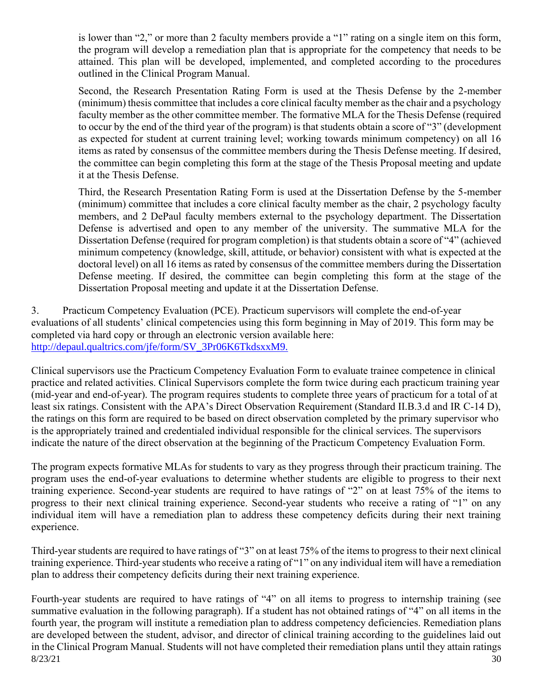is lower than "2," or more than 2 faculty members provide a "1" rating on a single item on this form, the program will develop a remediation plan that is appropriate for the competency that needs to be attained. This plan will be developed, implemented, and completed according to the procedures outlined in the Clinical Program Manual.

Second, the Research Presentation Rating Form is used at the Thesis Defense by the 2-member (minimum) thesis committee that includes a core clinical faculty member as the chair and a psychology faculty member as the other committee member. The formative MLA for the Thesis Defense (required to occur by the end of the third year of the program) is that students obtain a score of "3" (development as expected for student at current training level; working towards minimum competency) on all 16 items as rated by consensus of the committee members during the Thesis Defense meeting. If desired, the committee can begin completing this form at the stage of the Thesis Proposal meeting and update it at the Thesis Defense.

Third, the Research Presentation Rating Form is used at the Dissertation Defense by the 5-member (minimum) committee that includes a core clinical faculty member as the chair, 2 psychology faculty members, and 2 DePaul faculty members external to the psychology department. The Dissertation Defense is advertised and open to any member of the university. The summative MLA for the Dissertation Defense (required for program completion) is that students obtain a score of "4" (achieved minimum competency (knowledge, skill, attitude, or behavior) consistent with what is expected at the doctoral level) on all 16 items as rated by consensus of the committee members during the Dissertation Defense meeting. If desired, the committee can begin completing this form at the stage of the Dissertation Proposal meeting and update it at the Dissertation Defense.

3. Practicum Competency Evaluation (PCE). Practicum supervisors will complete the end-of-year evaluations of all students' clinical competencies using this form beginning in May of 2019. This form may be completed via hard copy or through an electronic version available here: [http://depaul.qualtrics.com/jfe/form/SV\\_3Pr06K6TkdsxxM9.](http://depaul.qualtrics.com/jfe/form/SV_3Pr06K6TkdsxxM9.)

Clinical supervisors use the Practicum Competency Evaluation Form to evaluate trainee competence in clinical practice and related activities. Clinical Supervisors complete the form twice during each practicum training year (mid-year and end-of-year). The program requires students to complete three years of practicum for a total of at least six ratings. Consistent with the APA's Direct Observation Requirement (Standard II.B.3.d and IR C-14 D), the ratings on this form are required to be based on direct observation completed by the primary supervisor who is the appropriately trained and credentialed individual responsible for the clinical services. The supervisors indicate the nature of the direct observation at the beginning of the Practicum Competency Evaluation Form.

The program expects formative MLAs for students to vary as they progress through their practicum training. The program uses the end-of-year evaluations to determine whether students are eligible to progress to their next training experience. Second-year students are required to have ratings of "2" on at least 75% of the items to progress to their next clinical training experience. Second-year students who receive a rating of "1" on any individual item will have a remediation plan to address these competency deficits during their next training experience.

Third-year students are required to have ratings of "3" on at least 75% of the items to progress to their next clinical training experience. Third-year students who receive a rating of "1" on any individual item will have a remediation plan to address their competency deficits during their next training experience.

 $8/23/21$  30 Fourth-year students are required to have ratings of "4" on all items to progress to internship training (see summative evaluation in the following paragraph). If a student has not obtained ratings of "4" on all items in the fourth year, the program will institute a remediation plan to address competency deficiencies. Remediation plans are developed between the student, advisor, and director of clinical training according to the guidelines laid out in the Clinical Program Manual. Students will not have completed their remediation plans until they attain ratings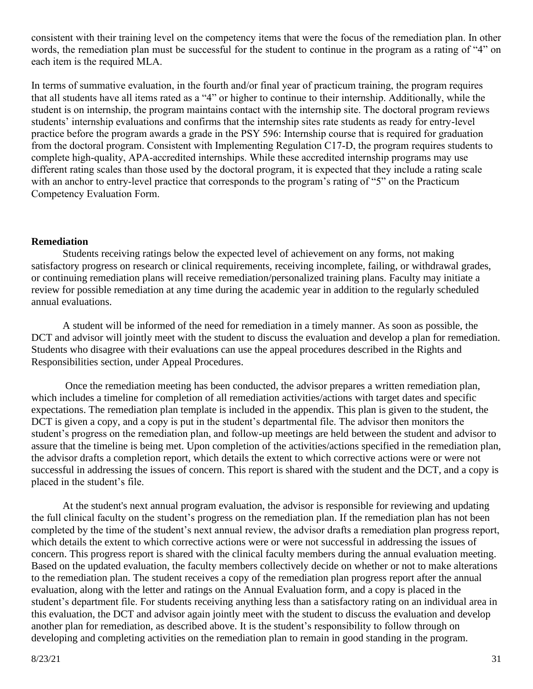consistent with their training level on the competency items that were the focus of the remediation plan. In other words, the remediation plan must be successful for the student to continue in the program as a rating of "4" on each item is the required MLA.

In terms of summative evaluation, in the fourth and/or final year of practicum training, the program requires that all students have all items rated as a "4" or higher to continue to their internship. Additionally, while the student is on internship, the program maintains contact with the internship site. The doctoral program reviews students' internship evaluations and confirms that the internship sites rate students as ready for entry-level practice before the program awards a grade in the PSY 596: Internship course that is required for graduation from the doctoral program. Consistent with Implementing Regulation C17-D, the program requires students to complete high-quality, APA-accredited internships. While these accredited internship programs may use different rating scales than those used by the doctoral program, it is expected that they include a rating scale with an anchor to entry-level practice that corresponds to the program's rating of "5" on the Practicum Competency Evaluation Form.

### **Remediation**

Students receiving ratings below the expected level of achievement on any forms, not making satisfactory progress on research or clinical requirements, receiving incomplete, failing, or withdrawal grades, or continuing remediation plans will receive remediation/personalized training plans. Faculty may initiate a review for possible remediation at any time during the academic year in addition to the regularly scheduled annual evaluations.

A student will be informed of the need for remediation in a timely manner. As soon as possible, the DCT and advisor will jointly meet with the student to discuss the evaluation and develop a plan for remediation. Students who disagree with their evaluations can use the appeal procedures described in the Rights and Responsibilities section, under Appeal Procedures.

Once the remediation meeting has been conducted, the advisor prepares a written remediation plan, which includes a timeline for completion of all remediation activities/actions with target dates and specific expectations. The remediation plan template is included in the appendix. This plan is given to the student, the DCT is given a copy, and a copy is put in the student's departmental file. The advisor then monitors the student's progress on the remediation plan, and follow-up meetings are held between the student and advisor to assure that the timeline is being met. Upon completion of the activities/actions specified in the remediation plan, the advisor drafts a completion report, which details the extent to which corrective actions were or were not successful in addressing the issues of concern. This report is shared with the student and the DCT, and a copy is placed in the student's file.

At the student's next annual program evaluation, the advisor is responsible for reviewing and updating the full clinical faculty on the student's progress on the remediation plan. If the remediation plan has not been completed by the time of the student's next annual review, the advisor drafts a remediation plan progress report, which details the extent to which corrective actions were or were not successful in addressing the issues of concern. This progress report is shared with the clinical faculty members during the annual evaluation meeting. Based on the updated evaluation, the faculty members collectively decide on whether or not to make alterations to the remediation plan. The student receives a copy of the remediation plan progress report after the annual evaluation, along with the letter and ratings on the Annual Evaluation form, and a copy is placed in the student's department file. For students receiving anything less than a satisfactory rating on an individual area in this evaluation, the DCT and advisor again jointly meet with the student to discuss the evaluation and develop another plan for remediation, as described above. It is the student's responsibility to follow through on developing and completing activities on the remediation plan to remain in good standing in the program.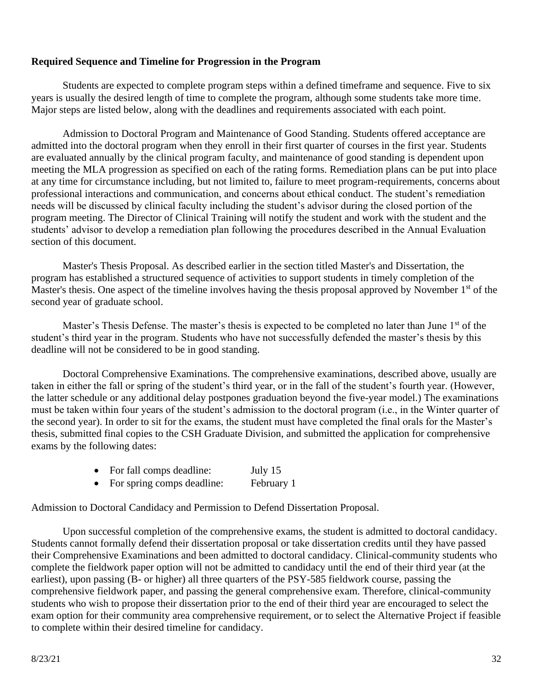#### **Required Sequence and Timeline for Progression in the Program**

Students are expected to complete program steps within a defined timeframe and sequence. Five to six years is usually the desired length of time to complete the program, although some students take more time. Major steps are listed below, along with the deadlines and requirements associated with each point.

Admission to Doctoral Program and Maintenance of Good Standing. Students offered acceptance are admitted into the doctoral program when they enroll in their first quarter of courses in the first year. Students are evaluated annually by the clinical program faculty, and maintenance of good standing is dependent upon meeting the MLA progression as specified on each of the rating forms. Remediation plans can be put into place at any time for circumstance including, but not limited to, failure to meet program-requirements, concerns about professional interactions and communication, and concerns about ethical conduct. The student's remediation needs will be discussed by clinical faculty including the student's advisor during the closed portion of the program meeting. The Director of Clinical Training will notify the student and work with the student and the students' advisor to develop a remediation plan following the procedures described in the Annual Evaluation section of this document.

Master's Thesis Proposal. As described earlier in the section titled Master's and Dissertation, the program has established a structured sequence of activities to support students in timely completion of the Master's thesis. One aspect of the timeline involves having the thesis proposal approved by November 1<sup>st</sup> of the second year of graduate school.

Master's Thesis Defense. The master's thesis is expected to be completed no later than June 1<sup>st</sup> of the student's third year in the program. Students who have not successfully defended the master's thesis by this deadline will not be considered to be in good standing.

Doctoral Comprehensive Examinations. The comprehensive examinations, described above, usually are taken in either the fall or spring of the student's third year, or in the fall of the student's fourth year. (However, the latter schedule or any additional delay postpones graduation beyond the five-year model.) The examinations must be taken within four years of the student's admission to the doctoral program (i.e., in the Winter quarter of the second year). In order to sit for the exams, the student must have completed the final orals for the Master's thesis, submitted final copies to the CSH Graduate Division, and submitted the application for comprehensive exams by the following dates:

- For fall comps deadline: July 15
- For spring comps deadline: February 1

Admission to Doctoral Candidacy and Permission to Defend Dissertation Proposal.

Upon successful completion of the comprehensive exams, the student is admitted to doctoral candidacy. Students cannot formally defend their dissertation proposal or take dissertation credits until they have passed their Comprehensive Examinations and been admitted to doctoral candidacy. Clinical-community students who complete the fieldwork paper option will not be admitted to candidacy until the end of their third year (at the earliest), upon passing (B- or higher) all three quarters of the PSY-585 fieldwork course, passing the comprehensive fieldwork paper, and passing the general comprehensive exam. Therefore, clinical-community students who wish to propose their dissertation prior to the end of their third year are encouraged to select the exam option for their community area comprehensive requirement, or to select the Alternative Project if feasible to complete within their desired timeline for candidacy.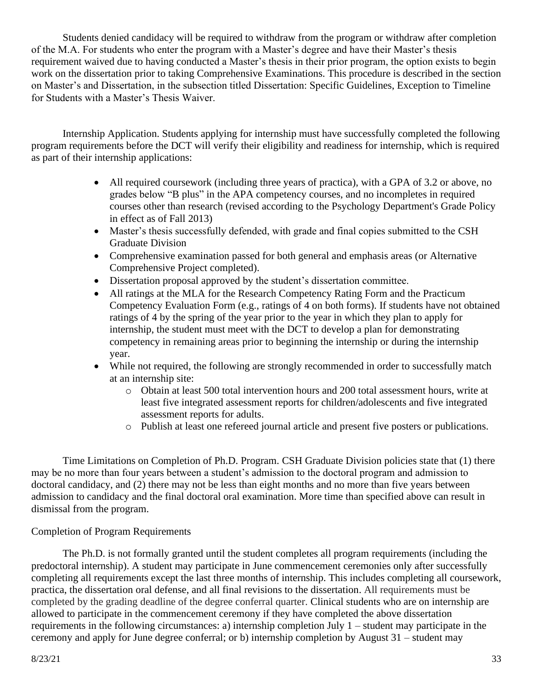Students denied candidacy will be required to withdraw from the program or withdraw after completion of the M.A. For students who enter the program with a Master's degree and have their Master's thesis requirement waived due to having conducted a Master's thesis in their prior program, the option exists to begin work on the dissertation prior to taking Comprehensive Examinations. This procedure is described in the section on Master's and Dissertation, in the subsection titled Dissertation: Specific Guidelines, Exception to Timeline for Students with a Master's Thesis Waiver.

Internship Application. Students applying for internship must have successfully completed the following program requirements before the DCT will verify their eligibility and readiness for internship, which is required as part of their internship applications:

- All required coursework (including three years of practica), with a GPA of 3.2 or above, no grades below "B plus" in the APA competency courses, and no incompletes in required courses other than research (revised according to the Psychology Department's Grade Policy in effect as of Fall 2013)
- Master's thesis successfully defended, with grade and final copies submitted to the CSH Graduate Division
- Comprehensive examination passed for both general and emphasis areas (or Alternative Comprehensive Project completed).
- Dissertation proposal approved by the student's dissertation committee.
- All ratings at the MLA for the Research Competency Rating Form and the Practicum Competency Evaluation Form (e.g., ratings of 4 on both forms). If students have not obtained ratings of 4 by the spring of the year prior to the year in which they plan to apply for internship, the student must meet with the DCT to develop a plan for demonstrating competency in remaining areas prior to beginning the internship or during the internship year.
- While not required, the following are strongly recommended in order to successfully match at an internship site:
	- o Obtain at least 500 total intervention hours and 200 total assessment hours, write at least five integrated assessment reports for children/adolescents and five integrated assessment reports for adults.
	- o Publish at least one refereed journal article and present five posters or publications.

Time Limitations on Completion of Ph.D. Program. CSH Graduate Division policies state that (1) there may be no more than four years between a student's admission to the doctoral program and admission to doctoral candidacy, and (2) there may not be less than eight months and no more than five years between admission to candidacy and the final doctoral oral examination. More time than specified above can result in dismissal from the program.

## Completion of Program Requirements

The Ph.D. is not formally granted until the student completes all program requirements (including the predoctoral internship). A student may participate in June commencement ceremonies only after successfully completing all requirements except the last three months of internship. This includes completing all coursework, practica, the dissertation oral defense, and all final revisions to the dissertation. All requirements must be completed by the grading deadline of the degree conferral quarter. Clinical students who are on internship are allowed to participate in the commencement ceremony if they have completed the above dissertation requirements in the following circumstances: a) internship completion July 1 – student may participate in the ceremony and apply for June degree conferral; or b) internship completion by August 31 – student may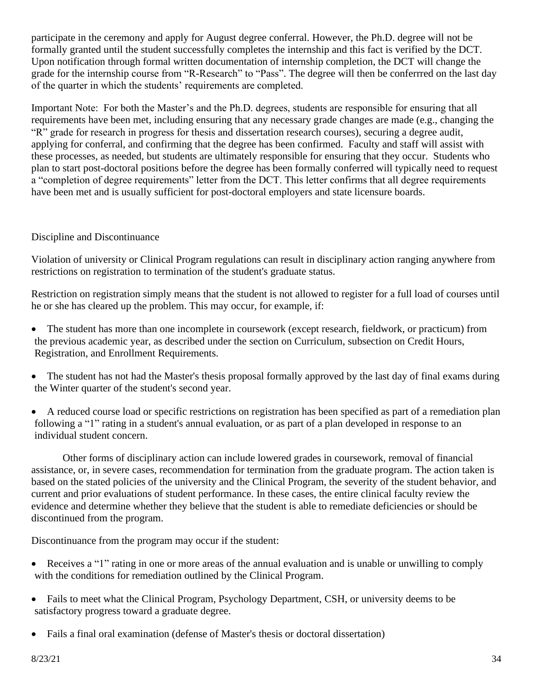participate in the ceremony and apply for August degree conferral. However, the Ph.D. degree will not be formally granted until the student successfully completes the internship and this fact is verified by the DCT. Upon notification through formal written documentation of internship completion, the DCT will change the grade for the internship course from "R-Research" to "Pass". The degree will then be conferrred on the last day of the quarter in which the students' requirements are completed.

Important Note: For both the Master's and the Ph.D. degrees, students are responsible for ensuring that all requirements have been met, including ensuring that any necessary grade changes are made (e.g., changing the "R" grade for research in progress for thesis and dissertation research courses), securing a degree audit, applying for conferral, and confirming that the degree has been confirmed. Faculty and staff will assist with these processes, as needed, but students are ultimately responsible for ensuring that they occur. Students who plan to start post-doctoral positions before the degree has been formally conferred will typically need to request a "completion of degree requirements" letter from the DCT. This letter confirms that all degree requirements have been met and is usually sufficient for post-doctoral employers and state licensure boards.

## Discipline and Discontinuance

Violation of university or Clinical Program regulations can result in disciplinary action ranging anywhere from restrictions on registration to termination of the student's graduate status.

Restriction on registration simply means that the student is not allowed to register for a full load of courses until he or she has cleared up the problem. This may occur, for example, if:

- The student has more than one incomplete in coursework (except research, fieldwork, or practicum) from the previous academic year, as described under the section on Curriculum, subsection on Credit Hours, Registration, and Enrollment Requirements.
- The student has not had the Master's thesis proposal formally approved by the last day of final exams during the Winter quarter of the student's second year.
- A reduced course load or specific restrictions on registration has been specified as part of a remediation plan following a "1" rating in a student's annual evaluation, or as part of a plan developed in response to an individual student concern.

Other forms of disciplinary action can include lowered grades in coursework, removal of financial assistance, or, in severe cases, recommendation for termination from the graduate program. The action taken is based on the stated policies of the university and the Clinical Program, the severity of the student behavior, and current and prior evaluations of student performance. In these cases, the entire clinical faculty review the evidence and determine whether they believe that the student is able to remediate deficiencies or should be discontinued from the program.

Discontinuance from the program may occur if the student:

- Receives a "1" rating in one or more areas of the annual evaluation and is unable or unwilling to comply with the conditions for remediation outlined by the Clinical Program.
- Fails to meet what the Clinical Program, Psychology Department, CSH, or university deems to be satisfactory progress toward a graduate degree.
- Fails a final oral examination (defense of Master's thesis or doctoral dissertation)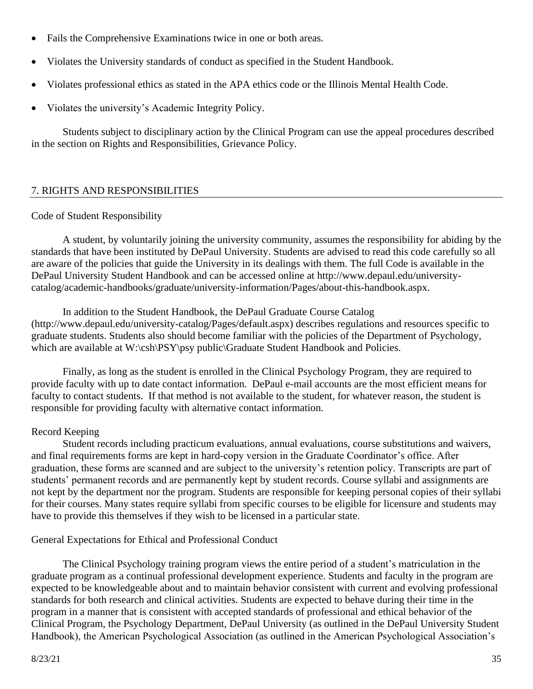- Fails the Comprehensive Examinations twice in one or both areas.
- Violates the University standards of conduct as specified in the Student Handbook.
- Violates professional ethics as stated in the APA ethics code or the Illinois Mental Health Code.
- Violates the university's Academic Integrity Policy.

Students subject to disciplinary action by the Clinical Program can use the appeal procedures described in the section on Rights and Responsibilities, Grievance Policy.

## 7. RIGHTS AND RESPONSIBILITIES

## Code of Student Responsibility

A student, by voluntarily joining the university community, assumes the responsibility for abiding by the standards that have been instituted by DePaul University. Students are advised to read this code carefully so all are aware of the policies that guide the University in its dealings with them. The full Code is available in the DePaul University Student Handbook and can be accessed online at http://www.depaul.edu/universitycatalog/academic-handbooks/graduate/university-information/Pages/about-this-handbook.aspx.

In addition to the Student Handbook, the DePaul Graduate Course Catalog (http://www.depaul.edu/university-catalog/Pages/default.aspx) describes regulations and resources specific to graduate students. Students also should become familiar with the policies of the Department of Psychology, which are available at W:\csh\PSY\psy public\Graduate Student Handbook and Policies.

Finally, as long as the student is enrolled in the Clinical Psychology Program, they are required to provide faculty with up to date contact information. DePaul e-mail accounts are the most efficient means for faculty to contact students. If that method is not available to the student, for whatever reason, the student is responsible for providing faculty with alternative contact information.

## Record Keeping

Student records including practicum evaluations, annual evaluations, course substitutions and waivers, and final requirements forms are kept in hard-copy version in the Graduate Coordinator's office. After graduation, these forms are scanned and are subject to the university's retention policy. Transcripts are part of students' permanent records and are permanently kept by student records. Course syllabi and assignments are not kept by the department nor the program. Students are responsible for keeping personal copies of their syllabi for their courses. Many states require syllabi from specific courses to be eligible for licensure and students may have to provide this themselves if they wish to be licensed in a particular state.

## General Expectations for Ethical and Professional Conduct

The Clinical Psychology training program views the entire period of a student's matriculation in the graduate program as a continual professional development experience. Students and faculty in the program are expected to be knowledgeable about and to maintain behavior consistent with current and evolving professional standards for both research and clinical activities. Students are expected to behave during their time in the program in a manner that is consistent with accepted standards of professional and ethical behavior of the Clinical Program, the Psychology Department, DePaul University (as outlined in the DePaul University Student Handbook), the American Psychological Association (as outlined in the American Psychological Association's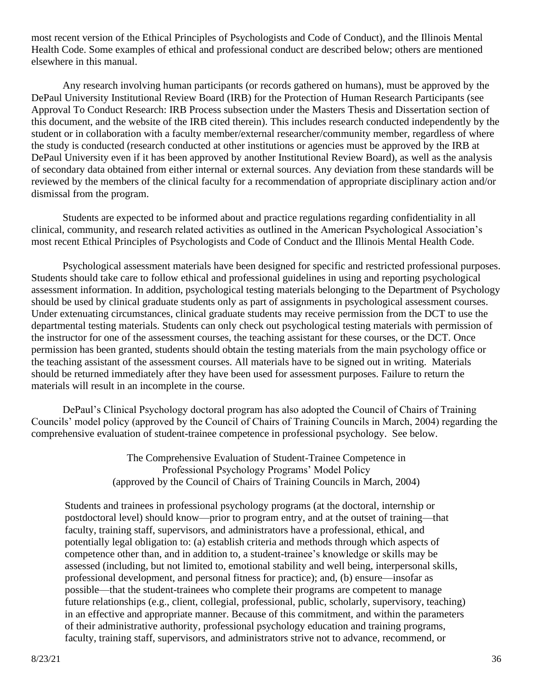most recent version of the Ethical Principles of Psychologists and Code of Conduct), and the Illinois Mental Health Code. Some examples of ethical and professional conduct are described below; others are mentioned elsewhere in this manual.

Any research involving human participants (or records gathered on humans), must be approved by the DePaul University Institutional Review Board (IRB) for the Protection of Human Research Participants (see Approval To Conduct Research: IRB Process subsection under the Masters Thesis and Dissertation section of this document, and the website of the IRB cited therein). This includes research conducted independently by the student or in collaboration with a faculty member/external researcher/community member, regardless of where the study is conducted (research conducted at other institutions or agencies must be approved by the IRB at DePaul University even if it has been approved by another Institutional Review Board), as well as the analysis of secondary data obtained from either internal or external sources. Any deviation from these standards will be reviewed by the members of the clinical faculty for a recommendation of appropriate disciplinary action and/or dismissal from the program.

Students are expected to be informed about and practice regulations regarding confidentiality in all clinical, community, and research related activities as outlined in the American Psychological Association's most recent Ethical Principles of Psychologists and Code of Conduct and the Illinois Mental Health Code.

Psychological assessment materials have been designed for specific and restricted professional purposes. Students should take care to follow ethical and professional guidelines in using and reporting psychological assessment information. In addition, psychological testing materials belonging to the Department of Psychology should be used by clinical graduate students only as part of assignments in psychological assessment courses. Under extenuating circumstances, clinical graduate students may receive permission from the DCT to use the departmental testing materials. Students can only check out psychological testing materials with permission of the instructor for one of the assessment courses, the teaching assistant for these courses, or the DCT. Once permission has been granted, students should obtain the testing materials from the main psychology office or the teaching assistant of the assessment courses. All materials have to be signed out in writing. Materials should be returned immediately after they have been used for assessment purposes. Failure to return the materials will result in an incomplete in the course.

DePaul's Clinical Psychology doctoral program has also adopted the Council of Chairs of Training Councils' model policy (approved by the Council of Chairs of Training Councils in March, 2004) regarding the comprehensive evaluation of student-trainee competence in professional psychology. See below.

> The Comprehensive Evaluation of Student-Trainee Competence in Professional Psychology Programs' Model Policy (approved by the Council of Chairs of Training Councils in March, 2004)

Students and trainees in professional psychology programs (at the doctoral, internship or postdoctoral level) should know—prior to program entry, and at the outset of training—that faculty, training staff, supervisors, and administrators have a professional, ethical, and potentially legal obligation to: (a) establish criteria and methods through which aspects of competence other than, and in addition to, a student-trainee's knowledge or skills may be assessed (including, but not limited to, emotional stability and well being, interpersonal skills, professional development, and personal fitness for practice); and, (b) ensure—insofar as possible—that the student-trainees who complete their programs are competent to manage future relationships (e.g., client, collegial, professional, public, scholarly, supervisory, teaching) in an effective and appropriate manner. Because of this commitment, and within the parameters of their administrative authority, professional psychology education and training programs, faculty, training staff, supervisors, and administrators strive not to advance, recommend, or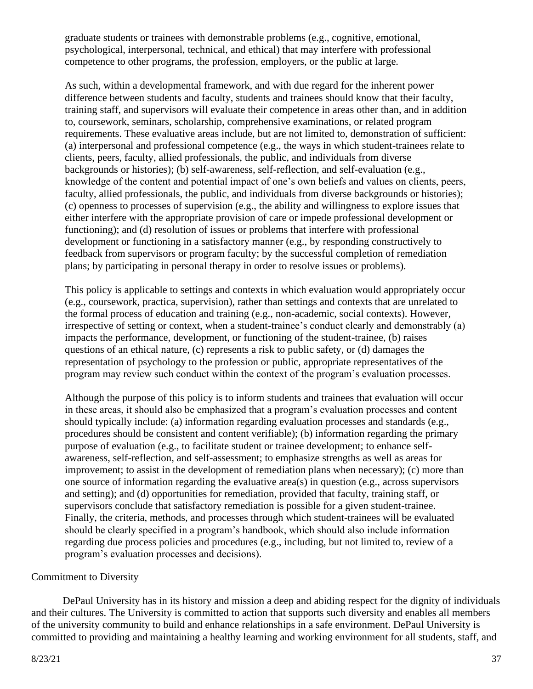graduate students or trainees with demonstrable problems (e.g., cognitive, emotional, psychological, interpersonal, technical, and ethical) that may interfere with professional competence to other programs, the profession, employers, or the public at large.

As such, within a developmental framework, and with due regard for the inherent power difference between students and faculty, students and trainees should know that their faculty, training staff, and supervisors will evaluate their competence in areas other than, and in addition to, coursework, seminars, scholarship, comprehensive examinations, or related program requirements. These evaluative areas include, but are not limited to, demonstration of sufficient: (a) interpersonal and professional competence (e.g., the ways in which student-trainees relate to clients, peers, faculty, allied professionals, the public, and individuals from diverse backgrounds or histories); (b) self-awareness, self-reflection, and self-evaluation (e.g., knowledge of the content and potential impact of one's own beliefs and values on clients, peers, faculty, allied professionals, the public, and individuals from diverse backgrounds or histories); (c) openness to processes of supervision (e.g., the ability and willingness to explore issues that either interfere with the appropriate provision of care or impede professional development or functioning); and (d) resolution of issues or problems that interfere with professional development or functioning in a satisfactory manner (e.g., by responding constructively to feedback from supervisors or program faculty; by the successful completion of remediation plans; by participating in personal therapy in order to resolve issues or problems).

This policy is applicable to settings and contexts in which evaluation would appropriately occur (e.g., coursework, practica, supervision), rather than settings and contexts that are unrelated to the formal process of education and training (e.g., non-academic, social contexts). However, irrespective of setting or context, when a student-trainee's conduct clearly and demonstrably (a) impacts the performance, development, or functioning of the student-trainee, (b) raises questions of an ethical nature, (c) represents a risk to public safety, or (d) damages the representation of psychology to the profession or public, appropriate representatives of the program may review such conduct within the context of the program's evaluation processes.

Although the purpose of this policy is to inform students and trainees that evaluation will occur in these areas, it should also be emphasized that a program's evaluation processes and content should typically include: (a) information regarding evaluation processes and standards (e.g., procedures should be consistent and content verifiable); (b) information regarding the primary purpose of evaluation (e.g., to facilitate student or trainee development; to enhance selfawareness, self-reflection, and self-assessment; to emphasize strengths as well as areas for improvement; to assist in the development of remediation plans when necessary); (c) more than one source of information regarding the evaluative area(s) in question (e.g., across supervisors and setting); and (d) opportunities for remediation, provided that faculty, training staff, or supervisors conclude that satisfactory remediation is possible for a given student-trainee. Finally, the criteria, methods, and processes through which student-trainees will be evaluated should be clearly specified in a program's handbook, which should also include information regarding due process policies and procedures (e.g., including, but not limited to, review of a program's evaluation processes and decisions).

#### Commitment to Diversity

DePaul University has in its history and mission a deep and abiding respect for the dignity of individuals and their cultures. The University is committed to action that supports such diversity and enables all members of the university community to build and enhance relationships in a safe environment. DePaul University is committed to providing and maintaining a healthy learning and working environment for all students, staff, and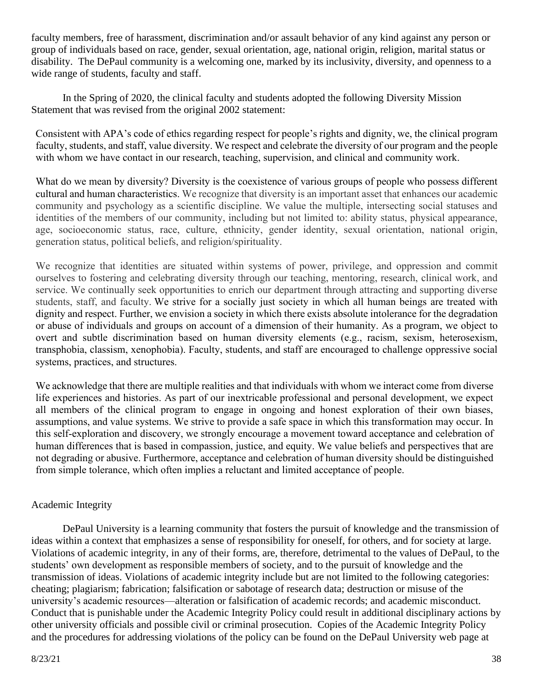faculty members, free of harassment, discrimination and/or assault behavior of any kind against any person or group of individuals based on race, gender, sexual orientation, age, national origin, religion, marital status or disability. The DePaul community is a welcoming one, marked by its inclusivity, diversity, and openness to a wide range of students, faculty and staff.

In the Spring of 2020, the clinical faculty and students adopted the following Diversity Mission Statement that was revised from the original 2002 statement:

Consistent with APA's code of ethics regarding respect for people's rights and dignity, we, the clinical program faculty, students, and staff, value diversity. We respect and celebrate the diversity of our program and the people with whom we have contact in our research, teaching, supervision, and clinical and community work.

What do we mean by diversity? Diversity is the coexistence of various groups of people who possess different cultural and human characteristics. We recognize that diversity is an important asset that enhances our academic community and psychology as a scientific discipline. We value the multiple, intersecting social statuses and identities of the members of our community, including but not limited to: ability status, physical appearance, age, socioeconomic status, race, culture, ethnicity, gender identity, sexual orientation, national origin, generation status, political beliefs, and religion/spirituality.

We recognize that identities are situated within systems of power, privilege, and oppression and commit ourselves to fostering and celebrating diversity through our teaching, mentoring, research, clinical work, and service. We continually seek opportunities to enrich our department through attracting and supporting diverse students, staff, and faculty. We strive for a socially just society in which all human beings are treated with dignity and respect. Further, we envision a society in which there exists absolute intolerance for the degradation or abuse of individuals and groups on account of a dimension of their humanity. As a program, we object to overt and subtle discrimination based on human diversity elements (e.g., racism, sexism, heterosexism, transphobia, classism, xenophobia). Faculty, students, and staff are encouraged to challenge oppressive social systems, practices, and structures.

We acknowledge that there are multiple realities and that individuals with whom we interact come from diverse life experiences and histories. As part of our inextricable professional and personal development, we expect all members of the clinical program to engage in ongoing and honest exploration of their own biases, assumptions, and value systems. We strive to provide a safe space in which this transformation may occur. In this self-exploration and discovery, we strongly encourage a movement toward acceptance and celebration of human differences that is based in compassion, justice, and equity. We value beliefs and perspectives that are not degrading or abusive. Furthermore, acceptance and celebration of human diversity should be distinguished from simple tolerance, which often implies a reluctant and limited acceptance of people.

## Academic Integrity

DePaul University is a learning community that fosters the pursuit of knowledge and the transmission of ideas within a context that emphasizes a sense of responsibility for oneself, for others, and for society at large. Violations of academic integrity, in any of their forms, are, therefore, detrimental to the values of DePaul, to the students' own development as responsible members of society, and to the pursuit of knowledge and the transmission of ideas. Violations of academic integrity include but are not limited to the following categories: cheating; plagiarism; fabrication; falsification or sabotage of research data; destruction or misuse of the university's academic resources—alteration or falsification of academic records; and academic misconduct. Conduct that is punishable under the Academic Integrity Policy could result in additional disciplinary actions by other university officials and possible civil or criminal prosecution. Copies of the Academic Integrity Policy and the procedures for addressing violations of the policy can be found on the DePaul University web page at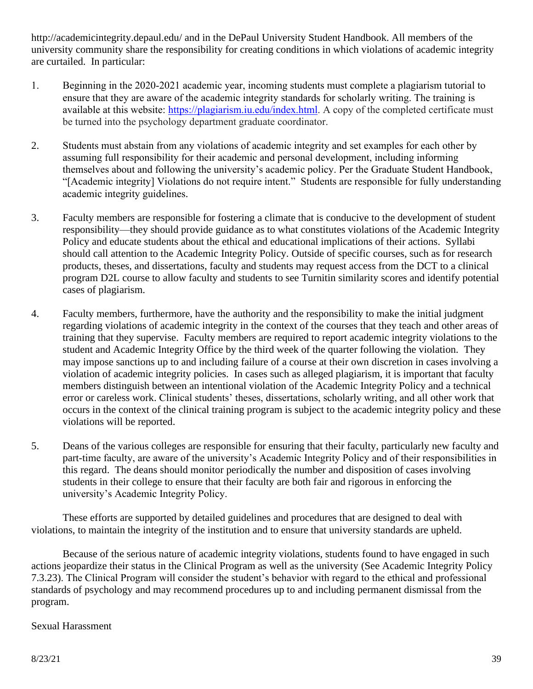http://academicintegrity.depaul.edu/ and in the DePaul University Student Handbook. All members of the university community share the responsibility for creating conditions in which violations of academic integrity are curtailed. In particular:

- 1. Beginning in the 2020-2021 academic year, incoming students must complete a plagiarism tutorial to ensure that they are aware of the academic integrity standards for scholarly writing. The training is available at this website: https://plagiarism.ju.edu/index.html. A copy of the completed certificate must be turned into the psychology department graduate coordinator.
- 2. Students must abstain from any violations of academic integrity and set examples for each other by assuming full responsibility for their academic and personal development, including informing themselves about and following the university's academic policy. Per the Graduate Student Handbook, "[Academic integrity] Violations do not require intent." Students are responsible for fully understanding academic integrity guidelines.
- 3. Faculty members are responsible for fostering a climate that is conducive to the development of student responsibility—they should provide guidance as to what constitutes violations of the Academic Integrity Policy and educate students about the ethical and educational implications of their actions. Syllabi should call attention to the Academic Integrity Policy. Outside of specific courses, such as for research products, theses, and dissertations, faculty and students may request access from the DCT to a clinical program D2L course to allow faculty and students to see Turnitin similarity scores and identify potential cases of plagiarism.
- 4. Faculty members, furthermore, have the authority and the responsibility to make the initial judgment regarding violations of academic integrity in the context of the courses that they teach and other areas of training that they supervise. Faculty members are required to report academic integrity violations to the student and Academic Integrity Office by the third week of the quarter following the violation. They may impose sanctions up to and including failure of a course at their own discretion in cases involving a violation of academic integrity policies. In cases such as alleged plagiarism, it is important that faculty members distinguish between an intentional violation of the Academic Integrity Policy and a technical error or careless work. Clinical students' theses, dissertations, scholarly writing, and all other work that occurs in the context of the clinical training program is subject to the academic integrity policy and these violations will be reported.
- 5. Deans of the various colleges are responsible for ensuring that their faculty, particularly new faculty and part-time faculty, are aware of the university's Academic Integrity Policy and of their responsibilities in this regard. The deans should monitor periodically the number and disposition of cases involving students in their college to ensure that their faculty are both fair and rigorous in enforcing the university's Academic Integrity Policy.

These efforts are supported by detailed guidelines and procedures that are designed to deal with violations, to maintain the integrity of the institution and to ensure that university standards are upheld.

Because of the serious nature of academic integrity violations, students found to have engaged in such actions jeopardize their status in the Clinical Program as well as the university (See Academic Integrity Policy 7.3.23). The Clinical Program will consider the student's behavior with regard to the ethical and professional standards of psychology and may recommend procedures up to and including permanent dismissal from the program.

## Sexual Harassment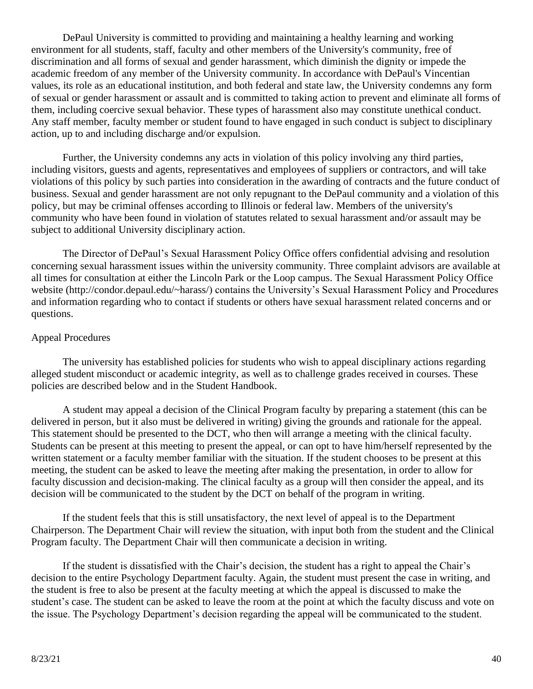DePaul University is committed to providing and maintaining a healthy learning and working environment for all students, staff, faculty and other members of the University's community, free of discrimination and all forms of sexual and gender harassment, which diminish the dignity or impede the academic freedom of any member of the University community. In accordance with DePaul's Vincentian values, its role as an educational institution, and both federal and state law, the University condemns any form of sexual or gender harassment or assault and is committed to taking action to prevent and eliminate all forms of them, including coercive sexual behavior. These types of harassment also may constitute unethical conduct. Any staff member, faculty member or student found to have engaged in such conduct is subject to disciplinary action, up to and including discharge and/or expulsion.

Further, the University condemns any acts in violation of this policy involving any third parties, including visitors, guests and agents, representatives and employees of suppliers or contractors, and will take violations of this policy by such parties into consideration in the awarding of contracts and the future conduct of business. Sexual and gender harassment are not only repugnant to the DePaul community and a violation of this policy, but may be criminal offenses according to Illinois or federal law. Members of the university's community who have been found in violation of statutes related to sexual harassment and/or assault may be subject to additional University disciplinary action.

The Director of DePaul's Sexual Harassment Policy Office offers confidential advising and resolution concerning sexual harassment issues within the university community. Three complaint advisors are available at all times for consultation at either the Lincoln Park or the Loop campus. The Sexual Harassment Policy Office website (http://condor.depaul.edu/~harass/) contains the University's Sexual Harassment Policy and Procedures and information regarding who to contact if students or others have sexual harassment related concerns and or questions.

### Appeal Procedures

The university has established policies for students who wish to appeal disciplinary actions regarding alleged student misconduct or academic integrity, as well as to challenge grades received in courses. These policies are described below and in the Student Handbook.

A student may appeal a decision of the Clinical Program faculty by preparing a statement (this can be delivered in person, but it also must be delivered in writing) giving the grounds and rationale for the appeal. This statement should be presented to the DCT, who then will arrange a meeting with the clinical faculty. Students can be present at this meeting to present the appeal, or can opt to have him/herself represented by the written statement or a faculty member familiar with the situation. If the student chooses to be present at this meeting, the student can be asked to leave the meeting after making the presentation, in order to allow for faculty discussion and decision-making. The clinical faculty as a group will then consider the appeal, and its decision will be communicated to the student by the DCT on behalf of the program in writing.

If the student feels that this is still unsatisfactory, the next level of appeal is to the Department Chairperson. The Department Chair will review the situation, with input both from the student and the Clinical Program faculty. The Department Chair will then communicate a decision in writing.

If the student is dissatisfied with the Chair's decision, the student has a right to appeal the Chair's decision to the entire Psychology Department faculty. Again, the student must present the case in writing, and the student is free to also be present at the faculty meeting at which the appeal is discussed to make the student's case. The student can be asked to leave the room at the point at which the faculty discuss and vote on the issue. The Psychology Department's decision regarding the appeal will be communicated to the student.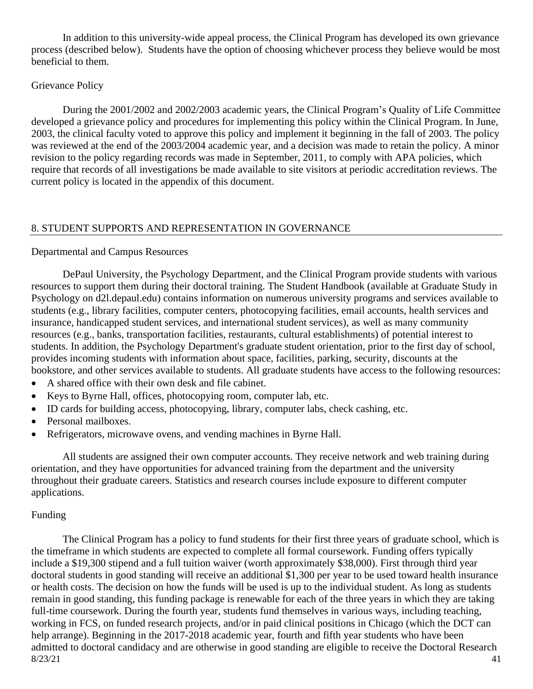In addition to this university-wide appeal process, the Clinical Program has developed its own grievance process (described below). Students have the option of choosing whichever process they believe would be most beneficial to them.

#### Grievance Policy

During the 2001/2002 and 2002/2003 academic years, the Clinical Program's Quality of Life Committee developed a grievance policy and procedures for implementing this policy within the Clinical Program. In June, 2003, the clinical faculty voted to approve this policy and implement it beginning in the fall of 2003. The policy was reviewed at the end of the 2003/2004 academic year, and a decision was made to retain the policy. A minor revision to the policy regarding records was made in September, 2011, to comply with APA policies, which require that records of all investigations be made available to site visitors at periodic accreditation reviews. The current policy is located in the appendix of this document.

#### 8. STUDENT SUPPORTS AND REPRESENTATION IN GOVERNANCE

#### Departmental and Campus Resources

DePaul University, the Psychology Department, and the Clinical Program provide students with various resources to support them during their doctoral training. The Student Handbook (available at Graduate Study in Psychology on d2l.depaul.edu) contains information on numerous university programs and services available to students (e.g., library facilities, computer centers, photocopying facilities, email accounts, health services and insurance, handicapped student services, and international student services), as well as many community resources (e.g., banks, transportation facilities, restaurants, cultural establishments) of potential interest to students. In addition, the Psychology Department's graduate student orientation, prior to the first day of school, provides incoming students with information about space, facilities, parking, security, discounts at the bookstore, and other services available to students. All graduate students have access to the following resources:

- A shared office with their own desk and file cabinet.
- Keys to Byrne Hall, offices, photocopying room, computer lab, etc.
- ID cards for building access, photocopying, library, computer labs, check cashing, etc.
- Personal mailboxes.
- Refrigerators, microwave ovens, and vending machines in Byrne Hall.

All students are assigned their own computer accounts. They receive network and web training during orientation, and they have opportunities for advanced training from the department and the university throughout their graduate careers. Statistics and research courses include exposure to different computer applications.

#### Funding

 $8/23/21$  41 The Clinical Program has a policy to fund students for their first three years of graduate school, which is the timeframe in which students are expected to complete all formal coursework. Funding offers typically include a \$19,300 stipend and a full tuition waiver (worth approximately \$38,000). First through third year doctoral students in good standing will receive an additional \$1,300 per year to be used toward health insurance or health costs. The decision on how the funds will be used is up to the individual student. As long as students remain in good standing, this funding package is renewable for each of the three years in which they are taking full-time coursework. During the fourth year, students fund themselves in various ways, including teaching, working in FCS, on funded research projects, and/or in paid clinical positions in Chicago (which the DCT can help arrange). Beginning in the 2017-2018 academic year, fourth and fifth year students who have been admitted to doctoral candidacy and are otherwise in good standing are eligible to receive the Doctoral Research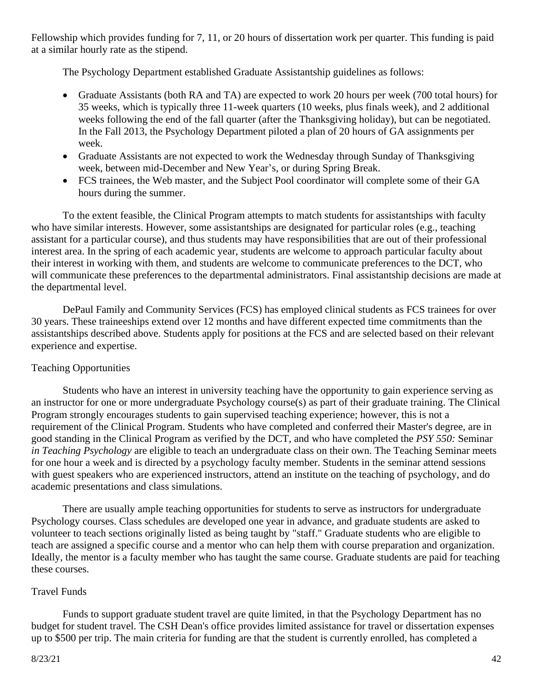Fellowship which provides funding for 7, 11, or 20 hours of dissertation work per quarter. This funding is paid at a similar hourly rate as the stipend.

The Psychology Department established Graduate Assistantship guidelines as follows:

- Graduate Assistants (both RA and TA) are expected to work 20 hours per week (700 total hours) for 35 weeks, which is typically three 11-week quarters (10 weeks, plus finals week), and 2 additional weeks following the end of the fall quarter (after the Thanksgiving holiday), but can be negotiated. In the Fall 2013, the Psychology Department piloted a plan of 20 hours of GA assignments per week.
- Graduate Assistants are not expected to work the Wednesday through Sunday of Thanksgiving week, between mid-December and New Year's, or during Spring Break.
- FCS trainees, the Web master, and the Subject Pool coordinator will complete some of their GA hours during the summer.

To the extent feasible, the Clinical Program attempts to match students for assistantships with faculty who have similar interests. However, some assistantships are designated for particular roles (e.g., teaching assistant for a particular course), and thus students may have responsibilities that are out of their professional interest area. In the spring of each academic year, students are welcome to approach particular faculty about their interest in working with them, and students are welcome to communicate preferences to the DCT, who will communicate these preferences to the departmental administrators. Final assistantship decisions are made at the departmental level.

DePaul Family and Community Services (FCS) has employed clinical students as FCS trainees for over 30 years. These traineeships extend over 12 months and have different expected time commitments than the assistantships described above. Students apply for positions at the FCS and are selected based on their relevant experience and expertise.

## Teaching Opportunities

Students who have an interest in university teaching have the opportunity to gain experience serving as an instructor for one or more undergraduate Psychology course(s) as part of their graduate training. The Clinical Program strongly encourages students to gain supervised teaching experience; however, this is not a requirement of the Clinical Program. Students who have completed and conferred their Master's degree, are in good standing in the Clinical Program as verified by the DCT, and who have completed the *PSY 550:* Seminar *in Teaching Psychology* are eligible to teach an undergraduate class on their own. The Teaching Seminar meets for one hour a week and is directed by a psychology faculty member. Students in the seminar attend sessions with guest speakers who are experienced instructors, attend an institute on the teaching of psychology, and do academic presentations and class simulations.

There are usually ample teaching opportunities for students to serve as instructors for undergraduate Psychology courses. Class schedules are developed one year in advance, and graduate students are asked to volunteer to teach sections originally listed as being taught by "staff." Graduate students who are eligible to teach are assigned a specific course and a mentor who can help them with course preparation and organization. Ideally, the mentor is a faculty member who has taught the same course. Graduate students are paid for teaching these courses.

#### Travel Funds

Funds to support graduate student travel are quite limited, in that the Psychology Department has no budget for student travel. The CSH Dean's office provides limited assistance for travel or dissertation expenses up to \$500 per trip. The main criteria for funding are that the student is currently enrolled, has completed a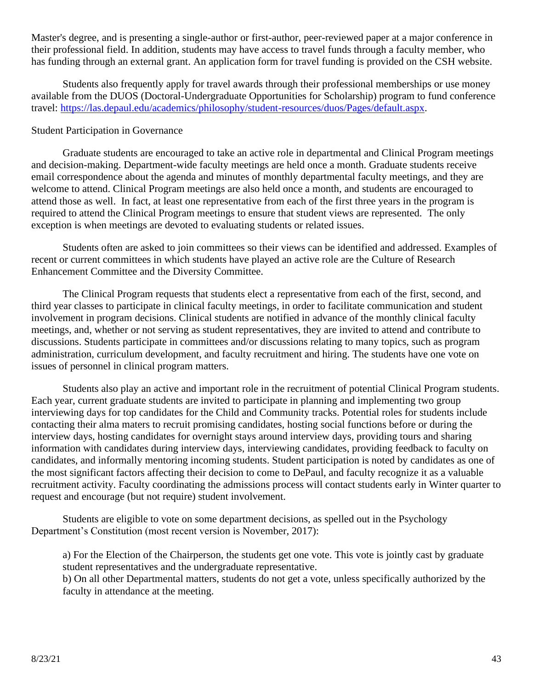Master's degree, and is presenting a single-author or first-author, peer-reviewed paper at a major conference in their professional field. In addition, students may have access to travel funds through a faculty member, who has funding through an external grant. An application form for travel funding is provided on the CSH website.

Students also frequently apply for travel awards through their professional memberships or use money available from the DUOS (Doctoral-Undergraduate Opportunities for Scholarship) program to fund conference travel: [https://las.depaul.edu/academics/philosophy/student-resources/duos/Pages/default.aspx.](https://las.depaul.edu/academics/philosophy/student-resources/duos/Pages/default.aspx)

### Student Participation in Governance

Graduate students are encouraged to take an active role in departmental and Clinical Program meetings and decision-making. Department-wide faculty meetings are held once a month. Graduate students receive email correspondence about the agenda and minutes of monthly departmental faculty meetings, and they are welcome to attend. Clinical Program meetings are also held once a month, and students are encouraged to attend those as well. In fact, at least one representative from each of the first three years in the program is required to attend the Clinical Program meetings to ensure that student views are represented. The only exception is when meetings are devoted to evaluating students or related issues.

Students often are asked to join committees so their views can be identified and addressed. Examples of recent or current committees in which students have played an active role are the Culture of Research Enhancement Committee and the Diversity Committee.

The Clinical Program requests that students elect a representative from each of the first, second, and third year classes to participate in clinical faculty meetings, in order to facilitate communication and student involvement in program decisions. Clinical students are notified in advance of the monthly clinical faculty meetings, and, whether or not serving as student representatives, they are invited to attend and contribute to discussions. Students participate in committees and/or discussions relating to many topics, such as program administration, curriculum development, and faculty recruitment and hiring. The students have one vote on issues of personnel in clinical program matters.

Students also play an active and important role in the recruitment of potential Clinical Program students. Each year, current graduate students are invited to participate in planning and implementing two group interviewing days for top candidates for the Child and Community tracks. Potential roles for students include contacting their alma maters to recruit promising candidates, hosting social functions before or during the interview days, hosting candidates for overnight stays around interview days, providing tours and sharing information with candidates during interview days, interviewing candidates, providing feedback to faculty on candidates, and informally mentoring incoming students. Student participation is noted by candidates as one of the most significant factors affecting their decision to come to DePaul, and faculty recognize it as a valuable recruitment activity. Faculty coordinating the admissions process will contact students early in Winter quarter to request and encourage (but not require) student involvement.

Students are eligible to vote on some department decisions, as spelled out in the Psychology Department's Constitution (most recent version is November, 2017):

a) For the Election of the Chairperson, the students get one vote. This vote is jointly cast by graduate student representatives and the undergraduate representative. b) On all other Departmental matters, students do not get a vote, unless specifically authorized by the faculty in attendance at the meeting.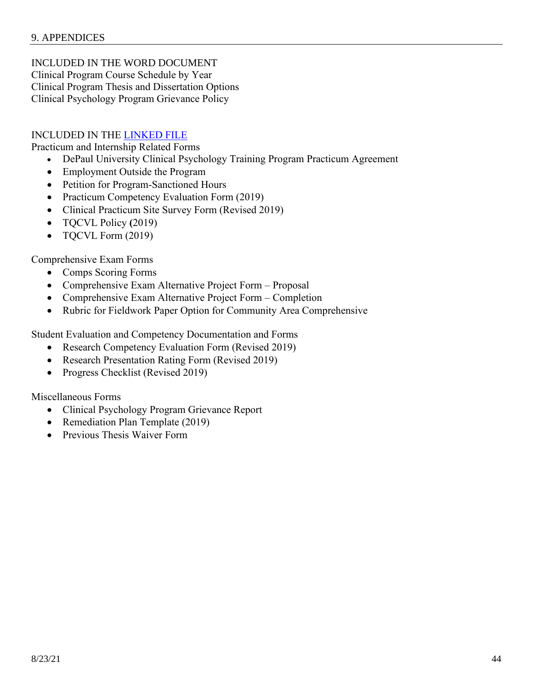INCLUDED IN THE WORD DOCUMENT Clinical Program Course Schedule by Year Clinical Program Thesis and Dissertation Options Clinical Psychology Program Grievance Policy

#### INCLUDED IN THE [LINKED FILE](https://depauledu-my.sharepoint.com/:f:/g/personal/jcarter9_depaul_edu/EvhiFfsYsIxEjmwlm8lSQN4BMDzjb6hmAfBUfaXXUiBnJg?e=3R1xcL)

Practicum and Internship Related Forms

- DePaul University Clinical Psychology Training Program Practicum Agreement
- Employment Outside the Program
- Petition for Program-Sanctioned Hours
- Practicum Competency Evaluation Form (2019)
- Clinical Practicum Site Survey Form (Revised 2019)
- TQCVL Policy **(**2019)
- TQCVL Form (2019)

Comprehensive Exam Forms

- Comps Scoring Forms
- Comprehensive Exam Alternative Project Form Proposal
- Comprehensive Exam Alternative Project Form Completion
- Rubric for Fieldwork Paper Option for Community Area Comprehensive

Student Evaluation and Competency Documentation and Forms

- Research Competency Evaluation Form (Revised 2019)
- Research Presentation Rating Form (Revised 2019)
- Progress Checklist (Revised 2019)

Miscellaneous Forms

- Clinical Psychology Program Grievance Report
- Remediation Plan Template (2019)
- Previous Thesis Waiver Form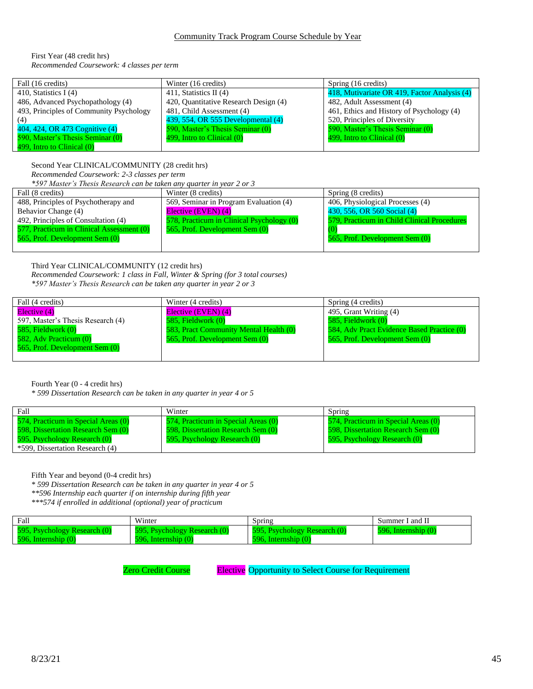First Year (48 credit hrs) *Recommended Coursework: 4 classes per term*

| Fall (16 credits)                       | Winter (16 credits)                   | Spring (16 credits)                          |
|-----------------------------------------|---------------------------------------|----------------------------------------------|
| 410, Statistics I $(4)$                 | 411, Statistics II $(4)$              | 418, Mutivariate OR 419, Factor Analysis (4) |
| 486, Advanced Psychopathology (4)       | 420, Quantitative Research Design (4) | 482, Adult Assessment (4)                    |
| 493, Principles of Community Psychology | 481, Child Assessment (4)             | 461, Ethics and History of Psychology (4)    |
| (4)                                     | 439, 554, OR 555 Developmental (4)    | 520, Principles of Diversity                 |
| 404, 424, OR 473 Cognitive (4)          | 590, Master's Thesis Seminar (0)      | 590, Master's Thesis Seminar (0)             |
| 590, Master's Thesis Seminar (0)        | 499, Intro to Clinical (0)            | 499, Intro to Clinical (0)                   |
| 499, Intro to Clinical (0)              |                                       |                                              |

Second Year CLINICAL/COMMUNITY (28 credit hrs)

*Recommended Coursework: 2-3 classes per term*

*\*597 Master's Thesis Research can be taken any quarter in year 2 or 3*

| Fall (8 credits)                          | Winter (8 credits)                        | Spring (8 credits)                          |
|-------------------------------------------|-------------------------------------------|---------------------------------------------|
| 488, Principles of Psychotherapy and      | 569, Seminar in Program Evaluation (4)    | 406, Physiological Processes (4)            |
| Behavior Change (4)                       | Elective (EVEN) (4)                       | 430, 556, OR 560 Social (4)                 |
| 492, Principles of Consultation (4)       | 578, Practicum in Clinical Psychology (0) | 579, Practicum in Child Clinical Procedures |
| 577, Practicum in Clinical Assessment (0) | 565, Prof. Development Sem (0)            |                                             |
| 565, Prof. Development Sem (0)            |                                           | 565, Prof. Development Sem (0)              |
|                                           |                                           |                                             |

#### Third Year CLINICAL/COMMUNITY (12 credit hrs)

*Recommended Coursework: 1 class in Fall, Winter & Spring (for 3 total courses) \*597 Master's Thesis Research can be taken any quarter in year 2 or 3*

| Fall (4 credits)                  | Winter (4 credits)                     | Spring (4 credits)                         |
|-----------------------------------|----------------------------------------|--------------------------------------------|
| Elective (4)                      | Elective (EVEN) (4)                    | 495, Grant Writing (4)                     |
| 597, Master's Thesis Research (4) | 585, Fieldwork (0)                     | 585, Fieldwork (0)                         |
| $585$ , Fieldwork $(0)$           | 583, Pract Community Mental Health (0) | 584, Adv Pract Evidence Based Practice (0) |
| 582, Adv Practicum (0)            | 565, Prof. Development Sem (0)         | 565, Prof. Development Sem (0)             |
| 565, Prof. Development Sem (0)    |                                        |                                            |
|                                   |                                        |                                            |

Fourth Year (0 - 4 credit hrs)

*\* 599 Dissertation Research can be taken in any quarter in year 4 or 5*

| Fall                                | Winter                              | Spring                              |
|-------------------------------------|-------------------------------------|-------------------------------------|
| 574, Practicum in Special Areas (0) | 574, Practicum in Special Areas (0) | 574, Practicum in Special Areas (0) |
| 598, Dissertation Research Sem (0)  | 598, Dissertation Research Sem (0)  | 598, Dissertation Research Sem (0)  |
| 595, Psychology Research (0)        | 595, Psychology Research (0)        | 595, Psychology Research (0)        |
| *599, Dissertation Research (4)     |                                     |                                     |

Fifth Year and beyond (0-4 credit hrs)

- *\* 599 Dissertation Research can be taken in any quarter in year 4 or 5*
- *\*\*596 Internship each quarter if on internship during fifth year*

*\*\*\*574 if enrolled in additional (optional) year of practicum* 

| Fall                         | Winter                       | Spring                       | Summer I and II          |
|------------------------------|------------------------------|------------------------------|--------------------------|
| 595, Psychology Research (0) | 595, Psychology Research (0) | 595, Psychology Research (0) | $596$ . Internship $(0)$ |
| $596.$ Internship $(0)$      | Internship (0)               | $596$ . Internship $(0)$     |                          |

Zero Credit Course **Elective** Opportunity to Select Course for Requirement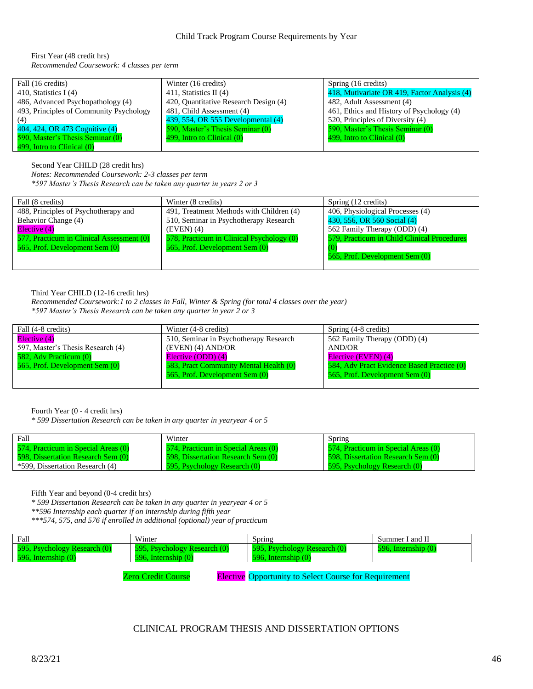First Year (48 credit hrs) *Recommended Coursework: 4 classes per term*

| Fall (16 credits)                       | Winter (16 credits)                   | Spring (16 credits)                          |
|-----------------------------------------|---------------------------------------|----------------------------------------------|
| 410, Statistics I $(4)$                 | 411, Statistics II $(4)$              | 418, Mutivariate OR 419, Factor Analysis (4) |
| 486, Advanced Psychopathology (4)       | 420, Quantitative Research Design (4) | 482, Adult Assessment (4)                    |
| 493, Principles of Community Psychology | 481, Child Assessment (4)             | 461, Ethics and History of Psychology (4)    |
| (4)                                     | 439, 554, OR 555 Developmental (4)    | 520, Principles of Diversity (4)             |
| 404, 424, OR 473 Cognitive (4)          | 590, Master's Thesis Seminar (0)      | 590, Master's Thesis Seminar (0)             |
| 590, Master's Thesis Seminar (0)        | 499, Intro to Clinical (0)            | 499, Intro to Clinical (0)                   |
| 499, Intro to Clinical (0)              |                                       |                                              |

Second Year CHILD (28 credit hrs)

*Notes: Recommended Coursework: 2-3 classes per term*

*\*597 Master's Thesis Research can be taken any quarter in years 2 or 3*

| Fall (8 credits)                          | Winter (8 credits)                        | Spring (12 credits)                         |
|-------------------------------------------|-------------------------------------------|---------------------------------------------|
| 488, Principles of Psychotherapy and      | 491, Treatment Methods with Children (4)  | 406, Physiological Processes (4)            |
| Behavior Change (4)                       | 510, Seminar in Psychotherapy Research    | 430, 556, OR 560 Social (4)                 |
| Elective (4)                              | $(EVEN)$ (4)                              | 562 Family Therapy (ODD) (4)                |
| 577, Practicum in Clinical Assessment (0) | 578, Practicum in Clinical Psychology (0) | 579, Practicum in Child Clinical Procedures |
| 565, Prof. Development Sem (0)            | 565, Prof. Development Sem (0)            |                                             |
|                                           |                                           | 565, Prof. Development Sem (0)              |
|                                           |                                           |                                             |

Third Year CHILD (12-16 credit hrs)

*Recommended Coursework:1 to 2 classes in Fall, Winter & Spring (for total 4 classes over the year) \*597 Master's Thesis Research can be taken any quarter in year 2 or 3*

| Fall (4-8 credits)                | Winter (4-8 credits)                   | Spring (4-8 credits)                       |
|-----------------------------------|----------------------------------------|--------------------------------------------|
| Elective (4)                      | 510, Seminar in Psychotherapy Research | 562 Family Therapy (ODD) (4)               |
| 597, Master's Thesis Research (4) | $(EVEN)$ (4) $AND/OR$                  | AND/OR                                     |
| 582, Adv Practicum (0)            | Elective (ODD) (4)                     | Elective (EVEN) (4)                        |
| 565, Prof. Development Sem (0)    | 583, Pract Community Mental Health (0) | 584, Adv Pract Evidence Based Practice (0) |
|                                   | 565, Prof. Development Sem (0)         | 565, Prof. Development Sem (0)             |
|                                   |                                        |                                            |

Fourth Year (0 - 4 credit hrs)

*\* 599 Dissertation Research can be taken in any quarter in yearyear 4 or 5*

| Fall                                | Winter                              | Spring                              |
|-------------------------------------|-------------------------------------|-------------------------------------|
| 574, Practicum in Special Areas (0) | 574, Practicum in Special Areas (0) | 574, Practicum in Special Areas (0) |
| 598, Dissertation Research Sem (0)  | 598. Dissertation Research Sem (0)  | 598. Dissertation Research Sem (0)  |
| *599, Dissertation Research (4)     | 595, Psychology Research (0)        | 595, Psychology Research (0)        |

Fifth Year and beyond (0-4 credit hrs)

*\* 599 Dissertation Research can be taken in any quarter in yearyear 4 or 5*

*\*\*596 Internship each quarter if on internship during fifth year* 

*\*\*\*574, 575, and 576 if enrolled in additional (optional) year of practicum* 

| Fall                         | Winter                                 | Spring                       | Summer I and II        |
|------------------------------|----------------------------------------|------------------------------|------------------------|
| 595, Psychology Research (0) | <b>Psychology Research (0)</b><br>595. | 595, Psychology Research (0) | 596.<br>Internship (0) |
| 596. Internship $(0)$        | Internship $(0)$<br>596                | $596$ . Internship $(0)$     |                        |

Zero Credit Course **Elective** Opportunity to Select Course for Requirement

#### CLINICAL PROGRAM THESIS AND DISSERTATION OPTIONS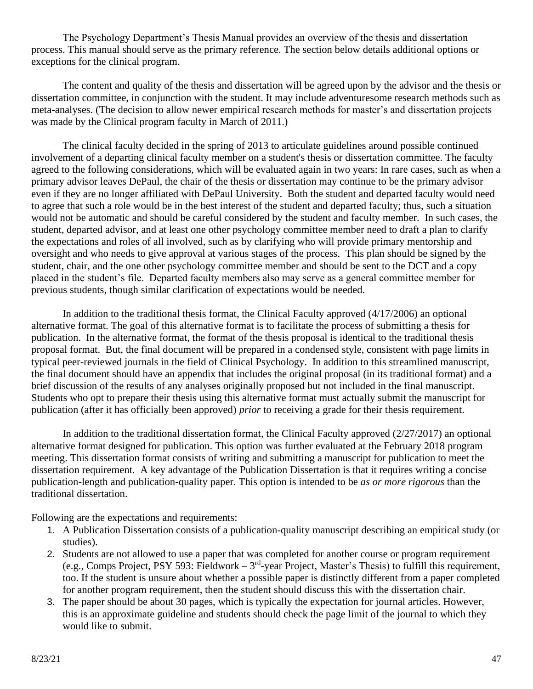The Psychology Department's Thesis Manual provides an overview of the thesis and dissertation process. This manual should serve as the primary reference. The section below details additional options or exceptions for the clinical program.

The content and quality of the thesis and dissertation will be agreed upon by the advisor and the thesis or dissertation committee, in conjunction with the student. It may include adventuresome research methods such as meta-analyses. (The decision to allow newer empirical research methods for master's and dissertation projects was made by the Clinical program faculty in March of 2011.)

The clinical faculty decided in the spring of 2013 to articulate guidelines around possible continued involvement of a departing clinical faculty member on a student's thesis or dissertation committee. The faculty agreed to the following considerations, which will be evaluated again in two years: In rare cases, such as when a primary advisor leaves DePaul, the chair of the thesis or dissertation may continue to be the primary advisor even if they are no longer affiliated with DePaul University. Both the student and departed faculty would need to agree that such a role would be in the best interest of the student and departed faculty; thus, such a situation would not be automatic and should be careful considered by the student and faculty member. In such cases, the student, departed advisor, and at least one other psychology committee member need to draft a plan to clarify the expectations and roles of all involved, such as by clarifying who will provide primary mentorship and oversight and who needs to give approval at various stages of the process. This plan should be signed by the student, chair, and the one other psychology committee member and should be sent to the DCT and a copy placed in the student's file. Departed faculty members also may serve as a general committee member for previous students, though similar clarification of expectations would be needed.

In addition to the traditional thesis format, the Clinical Faculty approved (4/17/2006) an optional alternative format. The goal of this alternative format is to facilitate the process of submitting a thesis for publication. In the alternative format, the format of the thesis proposal is identical to the traditional thesis proposal format. But, the final document will be prepared in a condensed style, consistent with page limits in typical peer-reviewed journals in the field of Clinical Psychology. In addition to this streamlined manuscript, the final document should have an appendix that includes the original proposal (in its traditional format) and a brief discussion of the results of any analyses originally proposed but not included in the final manuscript. Students who opt to prepare their thesis using this alternative format must actually submit the manuscript for publication (after it has officially been approved) *prior* to receiving a grade for their thesis requirement.

In addition to the traditional dissertation format, the Clinical Faculty approved  $(2/27/2017)$  an optional alternative format designed for publication. This option was further evaluated at the February 2018 program meeting. This dissertation format consists of writing and submitting a manuscript for publication to meet the dissertation requirement. A key advantage of the Publication Dissertation is that it requires writing a concise publication-length and publication-quality paper. This option is intended to be *as or more rigorous* than the traditional dissertation.

Following are the expectations and requirements:

- 1. A Publication Dissertation consists of a publication-quality manuscript describing an empirical study (or studies).
- 2. Students are not allowed to use a paper that was completed for another course or program requirement (e.g., Comps Project, PSY 593: Fieldwork –  $3<sup>rd</sup>$ -year Project, Master's Thesis) to fulfill this requirement, too. If the student is unsure about whether a possible paper is distinctly different from a paper completed for another program requirement, then the student should discuss this with the dissertation chair.
- 3. The paper should be about 30 pages, which is typically the expectation for journal articles. However, this is an approximate guideline and students should check the page limit of the journal to which they would like to submit.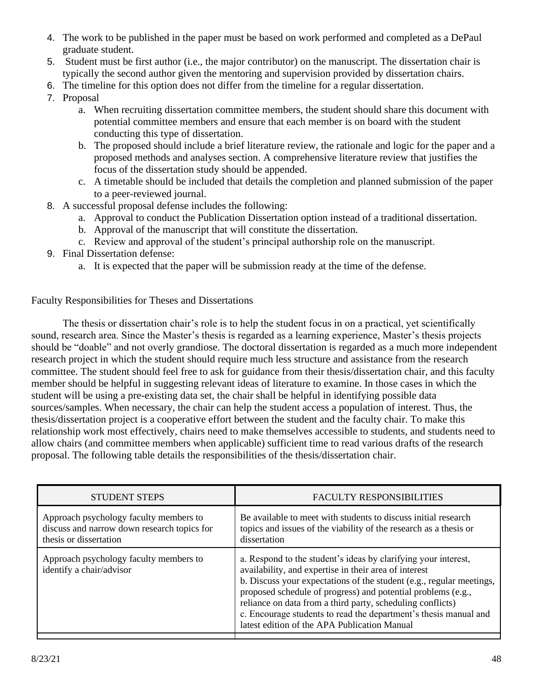- 4. The work to be published in the paper must be based on work performed and completed as a DePaul graduate student.
- 5. Student must be first author (i.e., the major contributor) on the manuscript. The dissertation chair is typically the second author given the mentoring and supervision provided by dissertation chairs.
- 6. The timeline for this option does not differ from the timeline for a regular dissertation.
- 7. Proposal
	- a. When recruiting dissertation committee members, the student should share this document with potential committee members and ensure that each member is on board with the student conducting this type of dissertation.
	- b. The proposed should include a brief literature review, the rationale and logic for the paper and a proposed methods and analyses section. A comprehensive literature review that justifies the focus of the dissertation study should be appended.
	- c. A timetable should be included that details the completion and planned submission of the paper to a peer-reviewed journal.
- 8. A successful proposal defense includes the following:
	- a. Approval to conduct the Publication Dissertation option instead of a traditional dissertation.
	- b. Approval of the manuscript that will constitute the dissertation.
	- c. Review and approval of the student's principal authorship role on the manuscript.
- 9. Final Dissertation defense:
	- a. It is expected that the paper will be submission ready at the time of the defense.

## Faculty Responsibilities for Theses and Dissertations

The thesis or dissertation chair's role is to help the student focus in on a practical, yet scientifically sound, research area. Since the Master's thesis is regarded as a learning experience, Master's thesis projects should be "doable" and not overly grandiose. The doctoral dissertation is regarded as a much more independent research project in which the student should require much less structure and assistance from the research committee. The student should feel free to ask for guidance from their thesis/dissertation chair, and this faculty member should be helpful in suggesting relevant ideas of literature to examine. In those cases in which the student will be using a pre-existing data set, the chair shall be helpful in identifying possible data sources/samples. When necessary, the chair can help the student access a population of interest. Thus, the thesis/dissertation project is a cooperative effort between the student and the faculty chair. To make this relationship work most effectively, chairs need to make themselves accessible to students, and students need to allow chairs (and committee members when applicable) sufficient time to read various drafts of the research proposal. The following table details the responsibilities of the thesis/dissertation chair.

| <b>STUDENT STEPS</b>                                                                                            | <b>FACULTY RESPONSIBILITIES</b>                                                                                                                                                                                                                                                                                                                                                                                                                   |
|-----------------------------------------------------------------------------------------------------------------|---------------------------------------------------------------------------------------------------------------------------------------------------------------------------------------------------------------------------------------------------------------------------------------------------------------------------------------------------------------------------------------------------------------------------------------------------|
| Approach psychology faculty members to<br>discuss and narrow down research topics for<br>thesis or dissertation | Be available to meet with students to discuss initial research<br>topics and issues of the viability of the research as a thesis or<br>dissertation                                                                                                                                                                                                                                                                                               |
| Approach psychology faculty members to<br>identify a chair/advisor                                              | a. Respond to the student's ideas by clarifying your interest,<br>availability, and expertise in their area of interest<br>b. Discuss your expectations of the student (e.g., regular meetings,<br>proposed schedule of progress) and potential problems (e.g.,<br>reliance on data from a third party, scheduling conflicts)<br>c. Encourage students to read the department's thesis manual and<br>latest edition of the APA Publication Manual |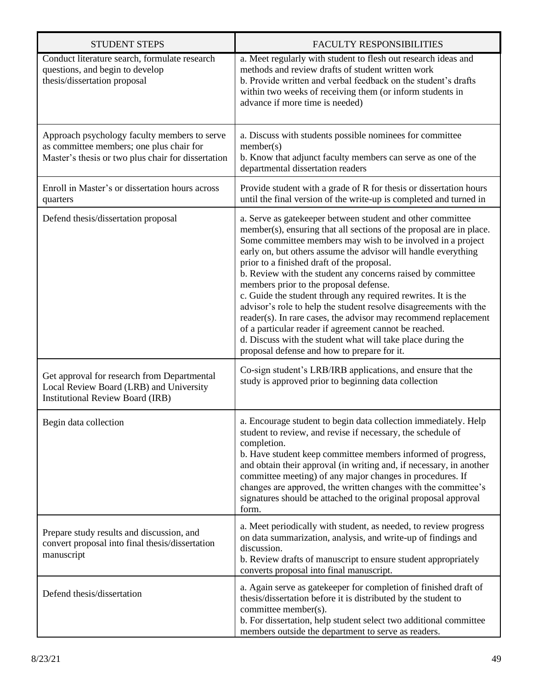| <b>STUDENT STEPS</b>                                                                                                                           | <b>FACULTY RESPONSIBILITIES</b>                                                                                                                                                                                                                                                                                                                                                                                                                                                                                                                                                                                                                                                                                                                                                                            |
|------------------------------------------------------------------------------------------------------------------------------------------------|------------------------------------------------------------------------------------------------------------------------------------------------------------------------------------------------------------------------------------------------------------------------------------------------------------------------------------------------------------------------------------------------------------------------------------------------------------------------------------------------------------------------------------------------------------------------------------------------------------------------------------------------------------------------------------------------------------------------------------------------------------------------------------------------------------|
| Conduct literature search, formulate research<br>questions, and begin to develop<br>thesis/dissertation proposal                               | a. Meet regularly with student to flesh out research ideas and<br>methods and review drafts of student written work<br>b. Provide written and verbal feedback on the student's drafts<br>within two weeks of receiving them (or inform students in<br>advance if more time is needed)                                                                                                                                                                                                                                                                                                                                                                                                                                                                                                                      |
| Approach psychology faculty members to serve<br>as committee members; one plus chair for<br>Master's thesis or two plus chair for dissertation | a. Discuss with students possible nominees for committee<br>member(s)<br>b. Know that adjunct faculty members can serve as one of the<br>departmental dissertation readers                                                                                                                                                                                                                                                                                                                                                                                                                                                                                                                                                                                                                                 |
| Enroll in Master's or dissertation hours across<br>quarters                                                                                    | Provide student with a grade of R for thesis or dissertation hours<br>until the final version of the write-up is completed and turned in                                                                                                                                                                                                                                                                                                                                                                                                                                                                                                                                                                                                                                                                   |
| Defend thesis/dissertation proposal                                                                                                            | a. Serve as gatekeeper between student and other committee<br>member(s), ensuring that all sections of the proposal are in place.<br>Some committee members may wish to be involved in a project<br>early on, but others assume the advisor will handle everything<br>prior to a finished draft of the proposal.<br>b. Review with the student any concerns raised by committee<br>members prior to the proposal defense.<br>c. Guide the student through any required rewrites. It is the<br>advisor's role to help the student resolve disagreements with the<br>reader(s). In rare cases, the advisor may recommend replacement<br>of a particular reader if agreement cannot be reached.<br>d. Discuss with the student what will take place during the<br>proposal defense and how to prepare for it. |
| Get approval for research from Departmental<br>Local Review Board (LRB) and University<br><b>Institutional Review Board (IRB)</b>              | Co-sign student's LRB/IRB applications, and ensure that the<br>study is approved prior to beginning data collection                                                                                                                                                                                                                                                                                                                                                                                                                                                                                                                                                                                                                                                                                        |
| Begin data collection                                                                                                                          | a. Encourage student to begin data collection immediately. Help<br>student to review, and revise if necessary, the schedule of<br>completion.<br>b. Have student keep committee members informed of progress,<br>and obtain their approval (in writing and, if necessary, in another<br>committee meeting) of any major changes in procedures. If<br>changes are approved, the written changes with the committee's<br>signatures should be attached to the original proposal approval<br>form.                                                                                                                                                                                                                                                                                                            |
| Prepare study results and discussion, and<br>convert proposal into final thesis/dissertation<br>manuscript                                     | a. Meet periodically with student, as needed, to review progress<br>on data summarization, analysis, and write-up of findings and<br>discussion.<br>b. Review drafts of manuscript to ensure student appropriately<br>converts proposal into final manuscript.                                                                                                                                                                                                                                                                                                                                                                                                                                                                                                                                             |
| Defend thesis/dissertation                                                                                                                     | a. Again serve as gatekeeper for completion of finished draft of<br>thesis/dissertation before it is distributed by the student to<br>committee member(s).<br>b. For dissertation, help student select two additional committee<br>members outside the department to serve as readers.                                                                                                                                                                                                                                                                                                                                                                                                                                                                                                                     |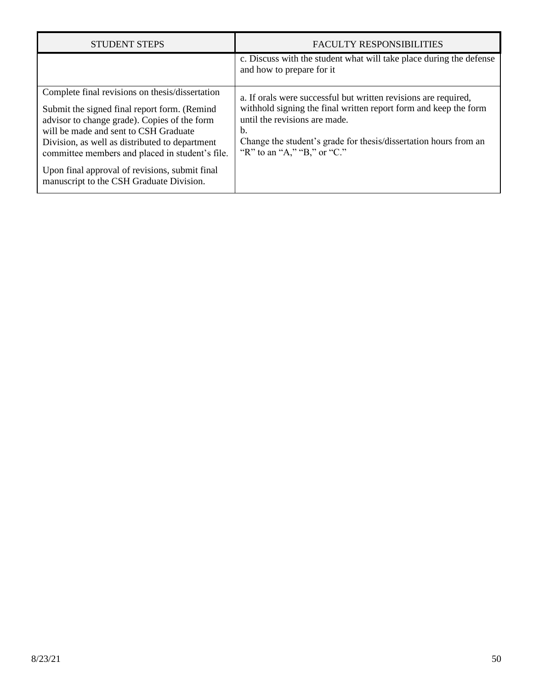| <b>STUDENT STEPS</b>                                                                                                                                                                                                                                                                                                                                                                        | <b>FACULTY RESPONSIBILITIES</b>                                                                                                                                                                                                                                               |
|---------------------------------------------------------------------------------------------------------------------------------------------------------------------------------------------------------------------------------------------------------------------------------------------------------------------------------------------------------------------------------------------|-------------------------------------------------------------------------------------------------------------------------------------------------------------------------------------------------------------------------------------------------------------------------------|
|                                                                                                                                                                                                                                                                                                                                                                                             | c. Discuss with the student what will take place during the defense<br>and how to prepare for it                                                                                                                                                                              |
| Complete final revisions on thesis/dissertation<br>Submit the signed final report form. (Remind<br>advisor to change grade). Copies of the form<br>will be made and sent to CSH Graduate<br>Division, as well as distributed to department<br>committee members and placed in student's file.<br>Upon final approval of revisions, submit final<br>manuscript to the CSH Graduate Division. | a. If orals were successful but written revisions are required,<br>withhold signing the final written report form and keep the form<br>until the revisions are made.<br>b.<br>Change the student's grade for thesis/dissertation hours from an<br>"R" to an "A," "B," or "C." |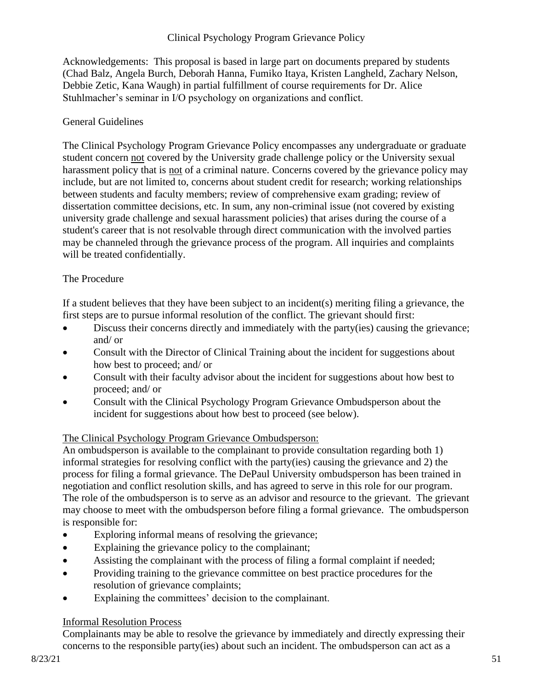## Clinical Psychology Program Grievance Policy

Acknowledgements: This proposal is based in large part on documents prepared by students (Chad Balz, Angela Burch, Deborah Hanna, Fumiko Itaya, Kristen Langheld, Zachary Nelson, Debbie Zetic, Kana Waugh) in partial fulfillment of course requirements for Dr. Alice Stuhlmacher's seminar in I/O psychology on organizations and conflict.

## General Guidelines

The Clinical Psychology Program Grievance Policy encompasses any undergraduate or graduate student concern not covered by the University grade challenge policy or the University sexual harassment policy that is not of a criminal nature. Concerns covered by the grievance policy may include, but are not limited to, concerns about student credit for research; working relationships between students and faculty members; review of comprehensive exam grading; review of dissertation committee decisions, etc. In sum, any non-criminal issue (not covered by existing university grade challenge and sexual harassment policies) that arises during the course of a student's career that is not resolvable through direct communication with the involved parties may be channeled through the grievance process of the program. All inquiries and complaints will be treated confidentially.

## The Procedure

If a student believes that they have been subject to an incident(s) meriting filing a grievance, the first steps are to pursue informal resolution of the conflict. The grievant should first:

- Discuss their concerns directly and immediately with the party(ies) causing the grievance; and/ or
- Consult with the Director of Clinical Training about the incident for suggestions about how best to proceed; and/ or
- Consult with their faculty advisor about the incident for suggestions about how best to proceed; and/ or
- Consult with the Clinical Psychology Program Grievance Ombudsperson about the incident for suggestions about how best to proceed (see below).

## The Clinical Psychology Program Grievance Ombudsperson:

An ombudsperson is available to the complainant to provide consultation regarding both 1) informal strategies for resolving conflict with the party(ies) causing the grievance and 2) the process for filing a formal grievance. The DePaul University ombudsperson has been trained in negotiation and conflict resolution skills, and has agreed to serve in this role for our program. The role of the ombudsperson is to serve as an advisor and resource to the grievant. The grievant may choose to meet with the ombudsperson before filing a formal grievance. The ombudsperson is responsible for:

- Exploring informal means of resolving the grievance;
- Explaining the grievance policy to the complainant;
- Assisting the complainant with the process of filing a formal complaint if needed;
- Providing training to the grievance committee on best practice procedures for the resolution of grievance complaints;
- Explaining the committees' decision to the complainant.

## Informal Resolution Process

Complainants may be able to resolve the grievance by immediately and directly expressing their concerns to the responsible party(ies) about such an incident. The ombudsperson can act as a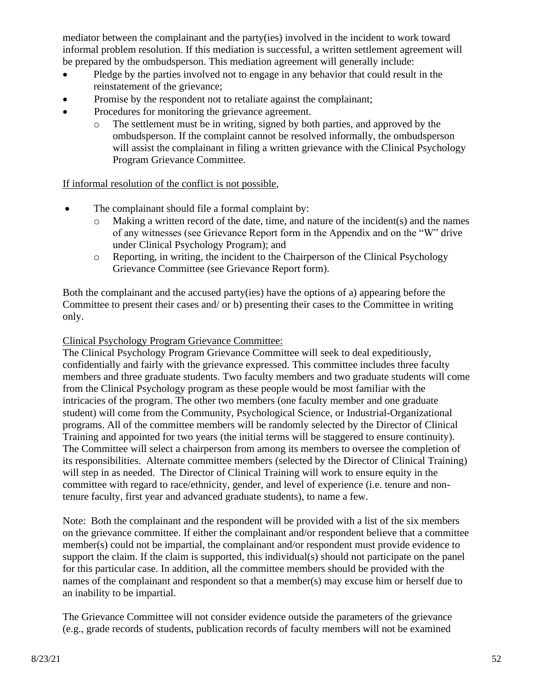mediator between the complainant and the party(ies) involved in the incident to work toward informal problem resolution. If this mediation is successful, a written settlement agreement will be prepared by the ombudsperson. This mediation agreement will generally include:

- Pledge by the parties involved not to engage in any behavior that could result in the reinstatement of the grievance;
- Promise by the respondent not to retaliate against the complainant;
- Procedures for monitoring the grievance agreement.
	- o The settlement must be in writing, signed by both parties, and approved by the ombudsperson. If the complaint cannot be resolved informally, the ombudsperson will assist the complainant in filing a written grievance with the Clinical Psychology Program Grievance Committee.

If informal resolution of the conflict is not possible,

- The complainant should file a formal complaint by:
	- $\circ$  Making a written record of the date, time, and nature of the incident(s) and the names of any witnesses (see Grievance Report form in the Appendix and on the "W" drive under Clinical Psychology Program); and
	- o Reporting, in writing, the incident to the Chairperson of the Clinical Psychology Grievance Committee (see Grievance Report form).

Both the complainant and the accused party(ies) have the options of a) appearing before the Committee to present their cases and/ or b) presenting their cases to the Committee in writing only.

## Clinical Psychology Program Grievance Committee:

The Clinical Psychology Program Grievance Committee will seek to deal expeditiously, confidentially and fairly with the grievance expressed. This committee includes three faculty members and three graduate students. Two faculty members and two graduate students will come from the Clinical Psychology program as these people would be most familiar with the intricacies of the program. The other two members (one faculty member and one graduate student) will come from the Community, Psychological Science, or Industrial-Organizational programs. All of the committee members will be randomly selected by the Director of Clinical Training and appointed for two years (the initial terms will be staggered to ensure continuity). The Committee will select a chairperson from among its members to oversee the completion of its responsibilities. Alternate committee members (selected by the Director of Clinical Training) will step in as needed. The Director of Clinical Training will work to ensure equity in the committee with regard to race/ethnicity, gender, and level of experience (i.e. tenure and nontenure faculty, first year and advanced graduate students), to name a few.

Note: Both the complainant and the respondent will be provided with a list of the six members on the grievance committee. If either the complainant and/or respondent believe that a committee member(s) could not be impartial, the complainant and/or respondent must provide evidence to support the claim. If the claim is supported, this individual(s) should not participate on the panel for this particular case. In addition, all the committee members should be provided with the names of the complainant and respondent so that a member(s) may excuse him or herself due to an inability to be impartial.

The Grievance Committee will not consider evidence outside the parameters of the grievance (e.g., grade records of students, publication records of faculty members will not be examined